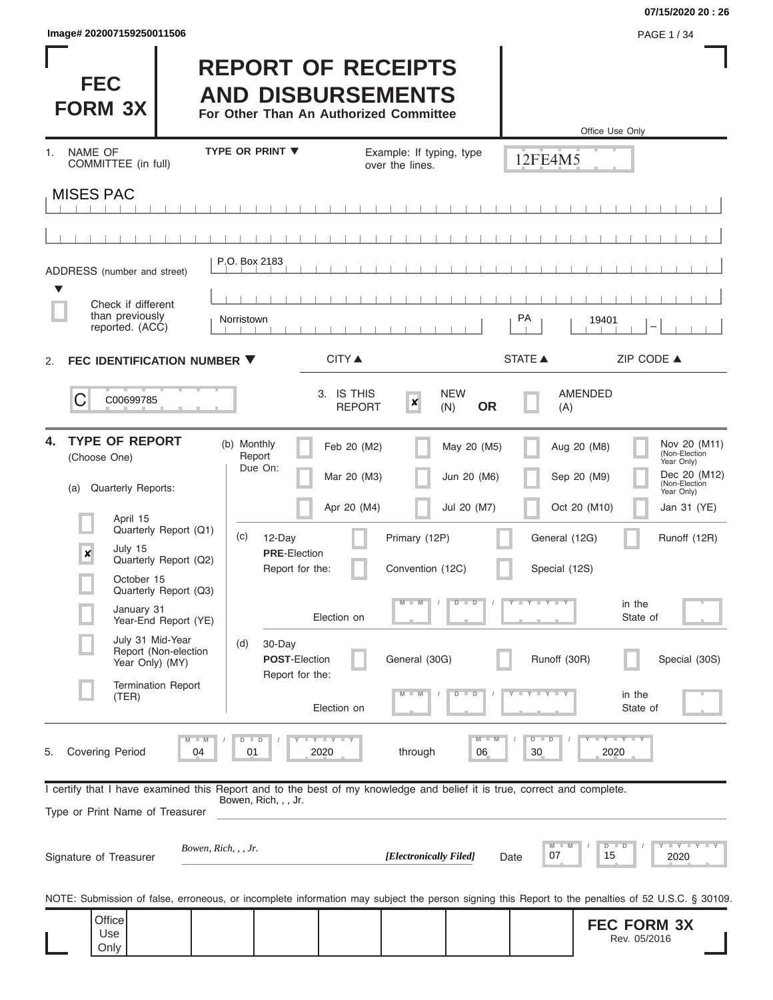| Image# 202007159250011506 | <b>PAGE 1/34</b> |
|---------------------------|------------------|
|---------------------------|------------------|

Г

#### **07/15/2020 20 : 26**

| ı<br><b>FEC</b><br><b>FORM 3X</b>                                                                                                                          | <b>REPORT OF RECEIPTS</b><br><b>AND DISBURSEMENTS</b><br>For Other Than An Authorized Committee |                                                 |                                       |                                | Office Use Only                                                            |
|------------------------------------------------------------------------------------------------------------------------------------------------------------|-------------------------------------------------------------------------------------------------|-------------------------------------------------|---------------------------------------|--------------------------------|----------------------------------------------------------------------------|
| <b>NAME OF</b><br>1.<br>COMMITTEE (in full)                                                                                                                | <b>TYPE OR PRINT ▼</b>                                                                          | Example: If typing, type<br>over the lines.     |                                       | 12FE4M5                        |                                                                            |
| <b>MISES PAC</b>                                                                                                                                           |                                                                                                 |                                                 |                                       |                                |                                                                            |
|                                                                                                                                                            |                                                                                                 |                                                 |                                       |                                |                                                                            |
| ADDRESS (number and street)<br>▼                                                                                                                           | P.O. Box 2183                                                                                   |                                                 |                                       |                                |                                                                            |
| Check if different<br>than previously<br>reported. (ACC)                                                                                                   | Norristown                                                                                      |                                                 |                                       | PA                             | 19401                                                                      |
| FEC IDENTIFICATION NUMBER ▼<br>2.                                                                                                                          |                                                                                                 | <b>CITY ▲</b>                                   |                                       | <b>STATE ▲</b>                 | ZIP CODE ▲                                                                 |
| C<br>C00699785                                                                                                                                             |                                                                                                 | 3. IS THIS<br>$\boldsymbol{x}$<br><b>REPORT</b> | <b>NEW</b><br><b>OR</b><br>(N)        | (A)                            | <b>AMENDED</b>                                                             |
| <b>TYPE OF REPORT</b><br>4.<br>(Choose One)                                                                                                                | (b) Monthly<br>Report<br>Due On:                                                                | Feb 20 (M2)                                     | May 20 (M5)                           |                                | Nov 20 (M11)<br>Aug 20 (M8)<br>(Non-Election<br>Year Only)<br>Dec 20 (M12) |
| Quarterly Reports:<br>(a)                                                                                                                                  |                                                                                                 | Mar 20 (M3)                                     | Jun 20 (M6)                           |                                | Sep 20 (M9)<br>(Non-Election<br>Year Only)                                 |
| April 15<br>Quarterly Report (Q1)                                                                                                                          |                                                                                                 | Apr 20 (M4)                                     | Jul 20 (M7)                           |                                | Oct 20 (M10)<br>Jan 31 (YE)                                                |
| July 15<br>$\pmb{\times}$<br>Quarterly Report (Q2)                                                                                                         | (c)<br>12-Day<br><b>PRE-Election</b><br>Report for the:                                         | Primary (12P)<br>Convention (12C)               |                                       | General (12G)<br>Special (12S) | Runoff (12R)                                                               |
| October 15<br>Quarterly Report (Q3)                                                                                                                        |                                                                                                 | $M - M$                                         | $D$ $D$                               | $T$ $Y$ $T$ $Y$ $T$ $Y$        | in the                                                                     |
| January 31<br>Year-End Report (YE)                                                                                                                         | Election on                                                                                     |                                                 |                                       |                                | State of                                                                   |
| July 31 Mid-Year<br>Report (Non-election<br>Year Only) (MY)                                                                                                | (d)<br>30-Day<br><b>POST-Election</b><br>Report for the:                                        | General (30G)                                   |                                       | Runoff (30R)                   | Special (30S)                                                              |
| <b>Termination Report</b><br>(TER)                                                                                                                         | Election on                                                                                     | $M - M$                                         | $D$ $D$                               | $T$ $Y$ $T$ $Y$ $T$ $Y$        | in the<br>State of                                                         |
| <b>Covering Period</b><br>5.<br>04                                                                                                                         | $T$ $Y$ $T$ $Y$ $T$ $Y$<br>$D$ $D$<br>2020<br>01                                                | through                                         | $\overline{\mathsf{M}}$<br>$-M$<br>06 | $D$ $D$<br>30                  | $Y - Y - Y - I - Y$<br>2020                                                |
| I certify that I have examined this Report and to the best of my knowledge and belief it is true, correct and complete.<br>Type or Print Name of Treasurer | Bowen, Rich, , , Jr.                                                                            |                                                 |                                       |                                |                                                                            |
| Bowen, Rich, , , Jr.<br>Signature of Treasurer                                                                                                             |                                                                                                 | [Electronically Filed]                          |                                       | M<br>M<br>07<br>Date           | Y I Y I Y I Y<br>D<br>D<br>15<br>2020                                      |
| NOTE: Submission of false, erroneous, or incomplete information may subject the person signing this Report to the penalties of 52 U.S.C. § 30109.          |                                                                                                 |                                                 |                                       |                                |                                                                            |
| Office<br>Use<br>Only                                                                                                                                      |                                                                                                 |                                                 |                                       |                                | <b>FEC FORM 3X</b><br>Rev. 05/2016                                         |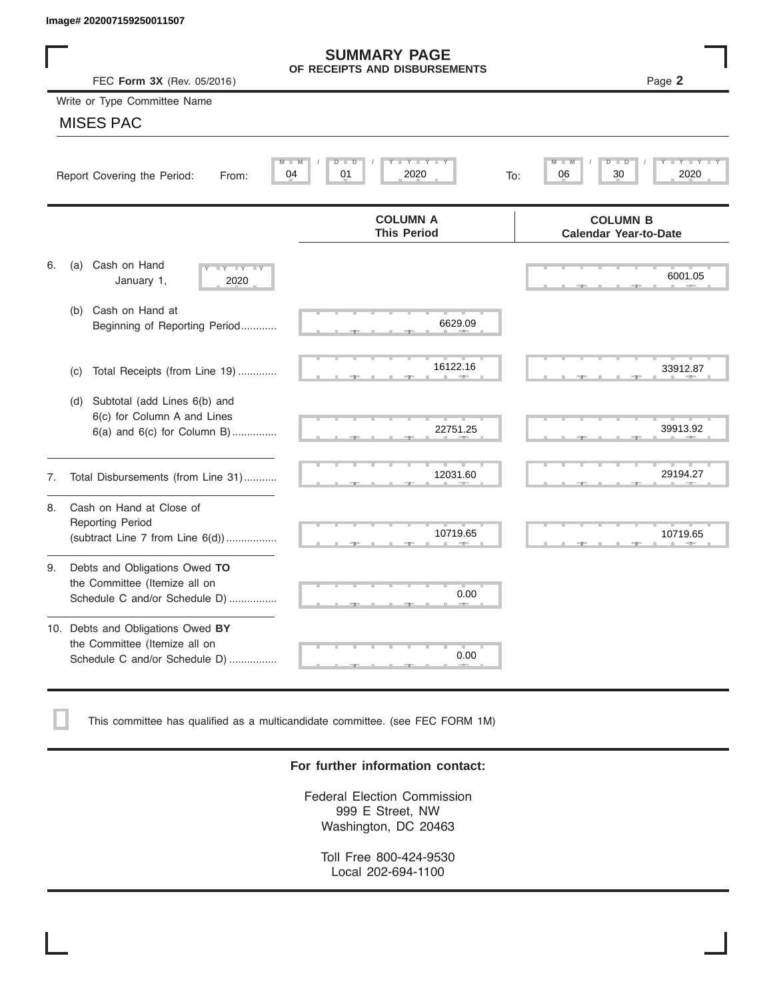|    | Image# 202007159250011507                                                                             |                                                      |                                                 |
|----|-------------------------------------------------------------------------------------------------------|------------------------------------------------------|-------------------------------------------------|
|    | FEC Form 3X (Rev. 05/2016)                                                                            | <b>SUMMARY PAGE</b><br>OF RECEIPTS AND DISBURSEMENTS | Page 2                                          |
|    | Write or Type Committee Name                                                                          |                                                      |                                                 |
|    | <b>MISES PAC</b>                                                                                      |                                                      |                                                 |
|    | M<br>Report Covering the Period:<br>From:                                                             | Y LY L<br>$D$ $D$<br>M<br>04<br>01<br>2020           | D<br>D<br>30<br>2020<br>06<br>To:               |
|    |                                                                                                       | <b>COLUMN A</b><br><b>This Period</b>                | <b>COLUMN B</b><br><b>Calendar Year-to-Date</b> |
| 6. | Cash on Hand<br>(a)<br>$-Y - Y - IY$<br>January 1,<br>2020                                            |                                                      | 6001.05                                         |
|    | Cash on Hand at<br>(b)<br>Beginning of Reporting Period                                               | 6629.09                                              |                                                 |
|    | Total Receipts (from Line 19)<br>(c)                                                                  | 16122.16                                             | 33912.87                                        |
|    | Subtotal (add Lines 6(b) and<br>(d)<br>6(c) for Column A and Lines<br>$6(a)$ and $6(c)$ for Column B) | 22751.25                                             | 39913.92                                        |
| 7. | Total Disbursements (from Line 31)                                                                    | 12031.60                                             | 29194.27                                        |
| 8. | Cash on Hand at Close of<br><b>Reporting Period</b><br>(subtract Line $7$ from Line $6(d)$ )          | 10719.65                                             | 10719.65                                        |
| 9. | Debts and Obligations Owed TO<br>the Committee (Itemize all on<br>Schedule C and/or Schedule D)       | 0.00                                                 |                                                 |
|    | 10. Debts and Obligations Owed BY<br>the Committee (Itemize all on<br>Schedule C and/or Schedule D)   | T.<br>0.00                                           |                                                 |

This committee has qualified as a multicandidate committee. (see FEC FORM 1M)

#### **For further information contact:**

Federal Election Commission 999 E Street, NW Washington, DC 20463

Toll Free 800-424-9530 Local 202-694-1100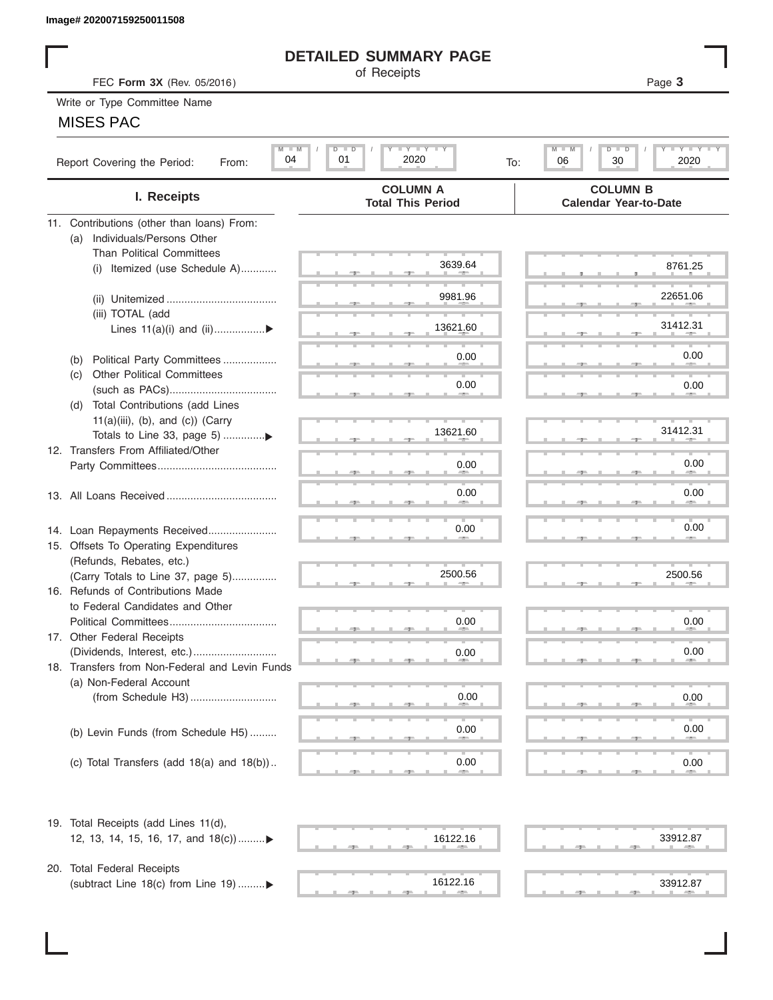# **DETAILED SUMMARY PAGE**

## MISES PAC

|                                                                   | <b>DETAILED SUMMARY PAGE</b>                                                                                  |                                                             |
|-------------------------------------------------------------------|---------------------------------------------------------------------------------------------------------------|-------------------------------------------------------------|
| FEC Form 3X (Rev. 05/2016)                                        | of Receipts                                                                                                   | Page 3                                                      |
| Write or Type Committee Name                                      |                                                                                                               |                                                             |
| <b>MISES PAC</b>                                                  |                                                                                                               |                                                             |
|                                                                   |                                                                                                               |                                                             |
| $M$ $M$<br>04<br>Report Covering the Period:<br>From:             | $\mathbf{I}$ $\mathbf{Y}$ $\mathbf{I}$ $\mathbf{Y}$ $\mathbf{I}$ $\mathbf{Y}$<br>$D$ $D$<br>01<br>2020<br>To: | $I - Y - I - Y - I - Y$<br>M<br>$D$ $D$<br>06<br>30<br>2020 |
| I. Receipts                                                       | <b>COLUMN A</b><br><b>Total This Period</b>                                                                   | <b>COLUMN B</b><br><b>Calendar Year-to-Date</b>             |
| 11. Contributions (other than loans) From:                        |                                                                                                               |                                                             |
| Individuals/Persons Other<br>(a)                                  |                                                                                                               |                                                             |
| <b>Than Political Committees</b>                                  | 3639.64                                                                                                       | 8761.25                                                     |
| Itemized (use Schedule A)<br>(i)                                  |                                                                                                               |                                                             |
|                                                                   | 9981.96                                                                                                       | 22651.06                                                    |
| (iii) TOTAL (add                                                  |                                                                                                               |                                                             |
| Lines $11(a)(i)$ and $(ii)$                                       | 13621.60                                                                                                      | 31412.31                                                    |
|                                                                   |                                                                                                               |                                                             |
| Political Party Committees<br>(b)                                 | 0.00                                                                                                          | 0.00                                                        |
| <b>Other Political Committees</b><br>(C)                          |                                                                                                               |                                                             |
|                                                                   | 0.00                                                                                                          | 0.00                                                        |
| Total Contributions (add Lines<br>(d)                             |                                                                                                               |                                                             |
| $11(a)(iii)$ , (b), and (c)) (Carry                               |                                                                                                               |                                                             |
|                                                                   | 13621.60                                                                                                      | 31412.31                                                    |
| 12. Transfers From Affiliated/Other                               |                                                                                                               |                                                             |
|                                                                   | 0.00                                                                                                          | 0.00                                                        |
|                                                                   | 0.00                                                                                                          | 0.00                                                        |
|                                                                   |                                                                                                               |                                                             |
|                                                                   | 0.00                                                                                                          | 0.00                                                        |
| 14. Loan Repayments Received                                      |                                                                                                               |                                                             |
| 15. Offsets To Operating Expenditures<br>(Refunds, Rebates, etc.) |                                                                                                               |                                                             |
| (Carry Totals to Line 37, page 5)                                 | 2500.56                                                                                                       | 2500.56                                                     |
| 16. Refunds of Contributions Made                                 |                                                                                                               |                                                             |
| to Federal Candidates and Other                                   |                                                                                                               |                                                             |
| Political Committees                                              | 0.00                                                                                                          | 0.00                                                        |
| 17. Other Federal Receipts                                        |                                                                                                               |                                                             |
| (Dividends, Interest, etc.)                                       | 0.00                                                                                                          | 0.00                                                        |
| 18. Transfers from Non-Federal and Levin Funds                    |                                                                                                               |                                                             |
| (a) Non-Federal Account                                           |                                                                                                               |                                                             |
|                                                                   | 0.00                                                                                                          | 0.00                                                        |
|                                                                   |                                                                                                               |                                                             |
| (b) Levin Funds (from Schedule H5)                                | 0.00                                                                                                          | 0.00                                                        |
|                                                                   |                                                                                                               |                                                             |
| (c) Total Transfers (add $18(a)$ and $18(b)$ )                    | 0.00                                                                                                          | 0.00                                                        |
| 19. Total Receipts (add Lines 11(d),                              |                                                                                                               |                                                             |
| 12, 13, 14, 15, 16, 17, and 18(c)                                 | 16122.16                                                                                                      | 33912.87                                                    |
|                                                                   |                                                                                                               |                                                             |
| 20. Total Federal Receipts                                        |                                                                                                               |                                                             |
| (subtract Line 18(c) from Line 19) ▶                              | 16122.16                                                                                                      | 33912.87                                                    |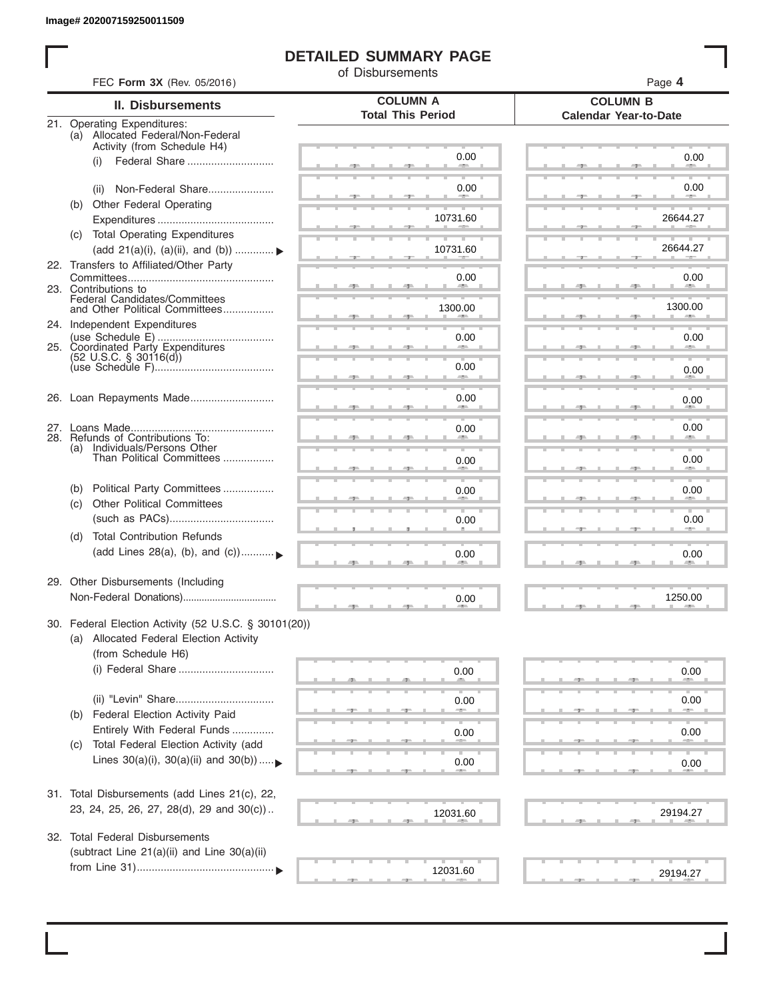# **DETAILED SUMMARY PAGE**

of Disbursements

| FEC Form 3X (Rev. 05/2016)                                                                                             |                                             | Page 4                                          |
|------------------------------------------------------------------------------------------------------------------------|---------------------------------------------|-------------------------------------------------|
| <b>II. Disbursements</b>                                                                                               | <b>COLUMN A</b><br><b>Total This Period</b> | <b>COLUMN B</b><br><b>Calendar Year-to-Date</b> |
| 21. Operating Expenditures:<br>(a) Allocated Federal/Non-Federal<br>Activity (from Schedule H4)                        |                                             |                                                 |
| Federal Share<br>(i)                                                                                                   | 0.00                                        | 0.00                                            |
| Non-Federal Share<br>(ii)                                                                                              | 0.00                                        | 0.00                                            |
| Other Federal Operating<br>(b)                                                                                         | 10731.60                                    | 26644.27                                        |
| (c) Total Operating Expenditures<br>(add 21(a)(i), (a)(ii), and (b))                                                   | 10731.60                                    | 26644.27                                        |
| 22. Transfers to Affiliated/Other Party                                                                                | 0.00                                        | 0.00                                            |
| 23. Contributions to<br>Federal Candidates/Committees<br>and Other Political Committees                                | 1300.00                                     | <b>Allen</b><br>1300.00                         |
| 24. Independent Expenditures                                                                                           |                                             |                                                 |
| 25. Coordinated Party Expenditures<br>$(52 \text{ U.S.C. }$ § 30116(d))                                                | 0.00                                        | 0.00                                            |
|                                                                                                                        | 0.00<br><b>SERVICE</b>                      | 0.00                                            |
| 26. Loan Repayments Made                                                                                               | 0.00                                        | 0.00                                            |
| 28. Refunds of Contributions To:                                                                                       | 0.00                                        | 0.00                                            |
| (a) Individuals/Persons Other<br>Than Political Committees                                                             | 0.00                                        | 0.00                                            |
| Political Party Committees<br>(b)<br><b>Other Political Committees</b>                                                 | 0.00                                        | 0.00                                            |
| (C)                                                                                                                    | 0.00                                        | 0.00                                            |
| <b>Total Contribution Refunds</b><br>(d)<br>(add Lines 28(a), (b), and (c))                                            | 0.00                                        | 0.00                                            |
| 29. Other Disbursements (Including                                                                                     | 0.00                                        | 1250.00                                         |
| 30. Federal Election Activity (52 U.S.C. § 30101(20))<br>(a) Allocated Federal Election Activity<br>(from Schedule H6) |                                             |                                                 |
| (i) Federal Share                                                                                                      | 0.00                                        | 0.00                                            |
| Federal Election Activity Paid<br>(b)                                                                                  | 0.00                                        | 0.00                                            |
| Entirely With Federal Funds                                                                                            | 0.00                                        | 0.00                                            |
| Total Federal Election Activity (add<br>(C)<br>Lines $30(a)(i)$ , $30(a)(ii)$ and $30(b))$                             | 0.00                                        | 0.00                                            |
| 31. Total Disbursements (add Lines 21(c), 22,                                                                          |                                             |                                                 |
| 23, 24, 25, 26, 27, 28(d), 29 and 30(c))                                                                               | 12031.60                                    | 29194.27                                        |
| 32. Total Federal Disbursements<br>(subtract Line 21(a)(ii) and Line 30(a)(ii)                                         |                                             |                                                 |
|                                                                                                                        | 12031.60                                    | 29194.27                                        |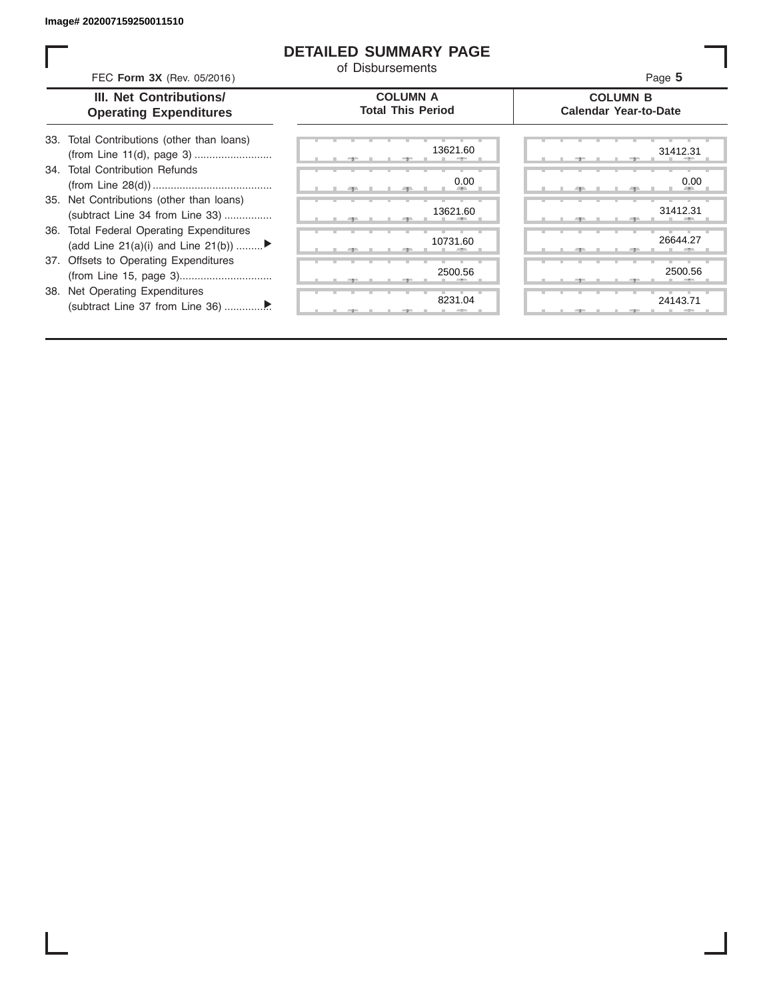ı

## **DETAILED SUMMARY PAGE**

of Disbursements

| FEC Form 3X (Rev. 05/2016)                                                     | OI DISDUISEIHEHIS                           | Page 5                                          |
|--------------------------------------------------------------------------------|---------------------------------------------|-------------------------------------------------|
| III. Net Contributions/<br><b>Operating Expenditures</b>                       | <b>COLUMN A</b><br><b>Total This Period</b> | <b>COLUMN B</b><br><b>Calendar Year-to-Date</b> |
| 33. Total Contributions (other than loans)                                     | 13621.60                                    | 31412.31                                        |
| 34. Total Contribution Refunds                                                 | 0.00                                        | 0.00                                            |
| 35. Net Contributions (other than loans)<br>(subtract Line 34 from Line 33)    | 13621.60                                    | 31412.31                                        |
| 36. Total Federal Operating Expenditures<br>(add Line 21(a)(i) and Line 21(b)) | 10731.60                                    | 26644.27                                        |
| 37. Offsets to Operating Expenditures                                          | 2500.56                                     | 2500.56                                         |
| 38. Net Operating Expenditures                                                 | 8231.04                                     | 24143.71                                        |
|                                                                                |                                             |                                                 |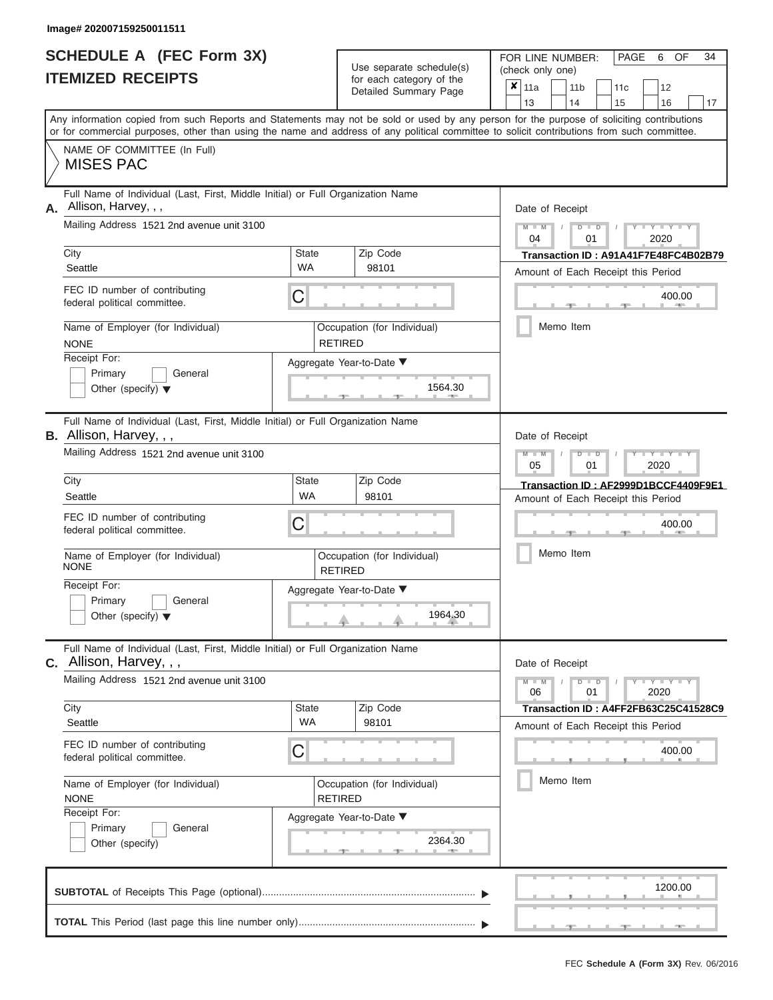| <b>SCHEDULE A (FEC Form 3X)</b> |  |
|---------------------------------|--|
| <b>ITEMIZED RECEIPTS</b>        |  |

Use separate schedule(s)<br>for each category of the

FOR LINE NUMBER:<br>(check only one)

PAGE 6 OF 34

|                                                                                                                                            |              | $0.0011$ $0.00001$ $0.0000$<br>Detailed Summary Page |           | $x \mid$ 11a                       |           | 11 <sub>b</sub> |                                                       | 11 <sub>c</sub> | 12                                   |    |  |  |  |  |  |
|--------------------------------------------------------------------------------------------------------------------------------------------|--------------|------------------------------------------------------|-----------|------------------------------------|-----------|-----------------|-------------------------------------------------------|-----------------|--------------------------------------|----|--|--|--|--|--|
| Any information copied from such Reports and Statements may not be sold or used by any person for the purpose of soliciting contributions  |              |                                                      |           | 13                                 |           | 14              |                                                       | 15              | 16                                   | 17 |  |  |  |  |  |
| or for commercial purposes, other than using the name and address of any political committee to solicit contributions from such committee. |              |                                                      |           |                                    |           |                 |                                                       |                 |                                      |    |  |  |  |  |  |
| NAME OF COMMITTEE (In Full)                                                                                                                |              |                                                      |           |                                    |           |                 |                                                       |                 |                                      |    |  |  |  |  |  |
| <b>MISES PAC</b>                                                                                                                           |              |                                                      |           |                                    |           |                 |                                                       |                 |                                      |    |  |  |  |  |  |
| Full Name of Individual (Last, First, Middle Initial) or Full Organization Name<br>Allison, Harvey, , ,<br>А.                              |              |                                                      |           | Date of Receipt                    |           |                 |                                                       |                 |                                      |    |  |  |  |  |  |
| Mailing Address 1521 2nd avenue unit 3100                                                                                                  |              |                                                      |           |                                    |           |                 | $M - M$<br>$Y - Y - Y$<br>$D$ $D$<br>04<br>2020<br>01 |                 |                                      |    |  |  |  |  |  |
| City<br><b>State</b><br><b>WA</b><br>Seattle                                                                                               |              | Zip Code<br>98101                                    |           |                                    |           |                 |                                                       |                 | Transaction ID: A91A41F7E48FC4B02B79 |    |  |  |  |  |  |
|                                                                                                                                            |              |                                                      |           |                                    |           |                 |                                                       |                 | Amount of Each Receipt this Period   |    |  |  |  |  |  |
| FEC ID number of contributing<br>federal political committee.                                                                              | С            |                                                      |           |                                    |           |                 |                                                       |                 | 400.00<br><b>ARTICLE</b>             |    |  |  |  |  |  |
| Name of Employer (for Individual)<br><b>NONE</b>                                                                                           |              | Occupation (for Individual)<br><b>RETIRED</b>        |           |                                    | Memo Item |                 |                                                       |                 |                                      |    |  |  |  |  |  |
| Receipt For:                                                                                                                               |              | Aggregate Year-to-Date ▼                             |           |                                    |           |                 |                                                       |                 |                                      |    |  |  |  |  |  |
| Primary<br>General<br>Other (specify) $\blacktriangledown$                                                                                 |              | 1564.30                                              |           |                                    |           |                 |                                                       |                 |                                      |    |  |  |  |  |  |
| Full Name of Individual (Last, First, Middle Initial) or Full Organization Name<br>B. Allison, Harvey, , ,                                 |              |                                                      |           | Date of Receipt                    |           |                 |                                                       |                 |                                      |    |  |  |  |  |  |
| Mailing Address 1521 2nd avenue unit 3100                                                                                                  |              |                                                      |           |                                    |           |                 | $M - M$<br>Y I Y I<br>$D$ $D$<br>2020<br>05<br>01     |                 |                                      |    |  |  |  |  |  |
| City                                                                                                                                       | <b>State</b> | Zip Code                                             |           |                                    |           |                 |                                                       |                 | Transaction ID: AF2999D1BCCF4409F9E1 |    |  |  |  |  |  |
| Seattle                                                                                                                                    | <b>WA</b>    | 98101                                                |           | Amount of Each Receipt this Period |           |                 |                                                       |                 |                                      |    |  |  |  |  |  |
| FEC ID number of contributing<br>federal political committee.                                                                              | С            |                                                      |           |                                    |           |                 | 400.00                                                |                 |                                      |    |  |  |  |  |  |
| Name of Employer (for Individual)<br><b>NONE</b>                                                                                           |              | Occupation (for Individual)<br><b>RETIRED</b>        | Memo Item |                                    |           |                 |                                                       |                 |                                      |    |  |  |  |  |  |
| Receipt For:                                                                                                                               |              | Aggregate Year-to-Date ▼                             |           |                                    |           |                 |                                                       |                 |                                      |    |  |  |  |  |  |
| Primary<br>General<br>Other (specify) $\blacktriangledown$                                                                                 |              | 1964.30                                              |           |                                    |           |                 |                                                       |                 |                                      |    |  |  |  |  |  |
| Full Name of Individual (Last, First, Middle Initial) or Full Organization Name<br>C. Allison, Harvey, , ,                                 |              |                                                      |           | Date of Receipt                    |           |                 |                                                       |                 |                                      |    |  |  |  |  |  |
| Mailing Address 1521 2nd avenue unit 3100                                                                                                  |              |                                                      |           | $M - M$<br>06                      |           |                 | $D$ $D$<br>01                                         |                 | $Y - Y - Y - Y - Y$<br>2020          |    |  |  |  |  |  |
| City                                                                                                                                       | <b>State</b> | Zip Code                                             |           |                                    |           |                 |                                                       |                 | Transaction ID: A4FF2FB63C25C41528C9 |    |  |  |  |  |  |
| Seattle                                                                                                                                    | <b>WA</b>    | 98101                                                |           |                                    |           |                 |                                                       |                 | Amount of Each Receipt this Period   |    |  |  |  |  |  |
| FEC ID number of contributing<br>federal political committee.                                                                              | С            |                                                      |           |                                    |           |                 |                                                       |                 | 400.00                               |    |  |  |  |  |  |
| Name of Employer (for Individual)<br><b>NONE</b>                                                                                           |              | Occupation (for Individual)<br><b>RETIRED</b>        |           |                                    | Memo Item |                 |                                                       |                 |                                      |    |  |  |  |  |  |
| Receipt For:                                                                                                                               |              | Aggregate Year-to-Date ▼                             |           |                                    |           |                 |                                                       |                 |                                      |    |  |  |  |  |  |
| Primary<br>General<br>Other (specify)                                                                                                      |              | 2364.30                                              |           |                                    |           |                 |                                                       |                 |                                      |    |  |  |  |  |  |
|                                                                                                                                            |              |                                                      |           |                                    |           |                 |                                                       |                 | 1200.00                              |    |  |  |  |  |  |
|                                                                                                                                            |              |                                                      |           |                                    |           |                 |                                                       |                 |                                      |    |  |  |  |  |  |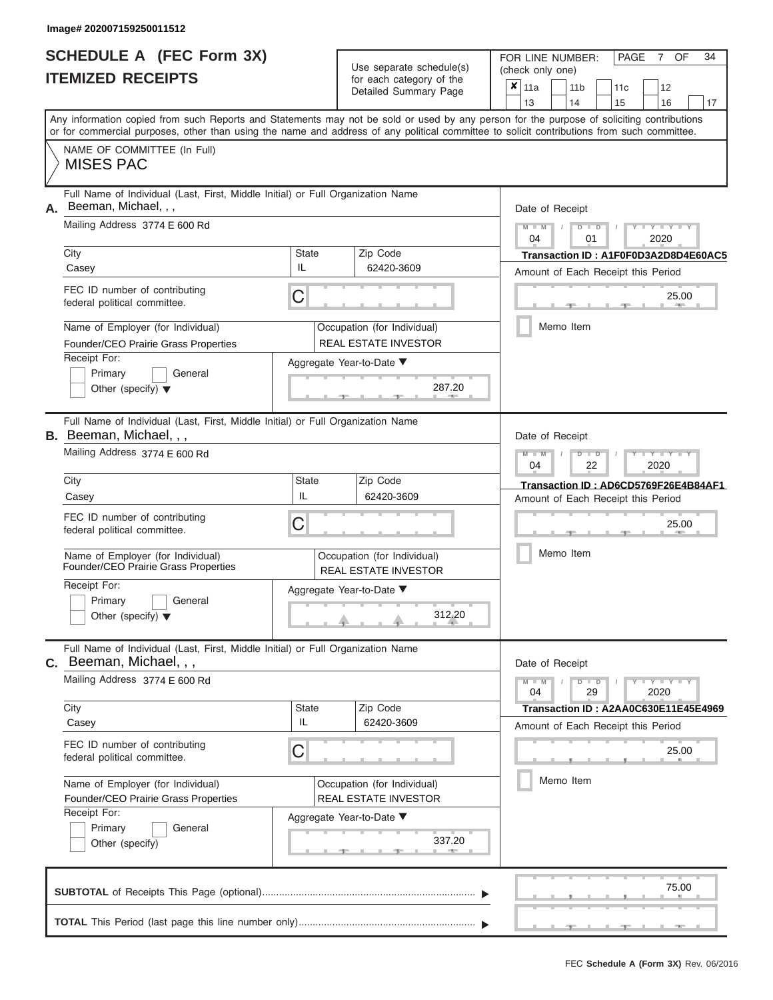ı

|                          | <b>SCHEDULE A (FEC Form 3X)</b> |
|--------------------------|---------------------------------|
| <b>ITEMIZED RECEIPTS</b> |                                 |

Use separate schedule(s) (check only one) for each category of the

FOR LINE NUMBER:<br>(check only one)

PAGE 7 OF 34

| ITEMIZED RECEIPTS                                                                                                                                                                                                                                                                       |                    | for each category of the<br>Detailed Summary Page          | ×<br>11a<br>12<br>11 <sub>b</sub><br>11 <sub>c</sub><br>13<br>14<br>15<br>16<br>17 |
|-----------------------------------------------------------------------------------------------------------------------------------------------------------------------------------------------------------------------------------------------------------------------------------------|--------------------|------------------------------------------------------------|------------------------------------------------------------------------------------|
| Any information copied from such Reports and Statements may not be sold or used by any person for the purpose of soliciting contributions<br>or for commercial purposes, other than using the name and address of any political committee to solicit contributions from such committee. |                    |                                                            |                                                                                    |
| NAME OF COMMITTEE (In Full)<br><b>MISES PAC</b>                                                                                                                                                                                                                                         |                    |                                                            |                                                                                    |
| Full Name of Individual (Last, First, Middle Initial) or Full Organization Name<br>A. Beeman, Michael, , ,<br>Mailing Address 3774 E 600 Rd                                                                                                                                             |                    |                                                            | Date of Receipt<br>$M - M$<br>$-Y - Y - Y$<br>$D$ $D$                              |
| City                                                                                                                                                                                                                                                                                    | <b>State</b>       | Zip Code                                                   | 04<br>2020<br>01<br>Transaction ID: A1F0F0D3A2D8D4E60AC5                           |
| Casey                                                                                                                                                                                                                                                                                   | IL                 | 62420-3609                                                 | Amount of Each Receipt this Period                                                 |
| FEC ID number of contributing<br>federal political committee.                                                                                                                                                                                                                           | С                  |                                                            | 25.00                                                                              |
| Name of Employer (for Individual)<br>Founder/CEO Prairie Grass Properties                                                                                                                                                                                                               |                    | Occupation (for Individual)<br><b>REAL ESTATE INVESTOR</b> | Memo Item                                                                          |
| Receipt For:<br>Primary<br>General<br>Other (specify) $\blacktriangledown$                                                                                                                                                                                                              |                    | Aggregate Year-to-Date ▼<br>287.20                         |                                                                                    |
| Full Name of Individual (Last, First, Middle Initial) or Full Organization Name<br><b>B.</b> Beeman, Michael, , ,                                                                                                                                                                       |                    |                                                            | Date of Receipt                                                                    |
| Mailing Address 3774 E 600 Rd                                                                                                                                                                                                                                                           |                    |                                                            | $T - Y = T - Y = T - Y$<br>$M - M$<br>$\Box$<br>04<br>2020<br>22                   |
| City<br>Casey                                                                                                                                                                                                                                                                           | State<br>IL        | Zip Code<br>62420-3609                                     | Transaction ID: AD6CD5769F26E4B84AF1<br>Amount of Each Receipt this Period         |
| FEC ID number of contributing<br>federal political committee.                                                                                                                                                                                                                           | С                  |                                                            | 25.00                                                                              |
| Name of Employer (for Individual)<br>Founder/CEO Prairie Grass Properties                                                                                                                                                                                                               |                    | Occupation (for Individual)<br><b>REAL ESTATE INVESTOR</b> | Memo Item                                                                          |
| Receipt For:<br>General<br>Primary<br>Other (specify) $\blacktriangledown$                                                                                                                                                                                                              |                    | Aggregate Year-to-Date ▼<br>312.20                         |                                                                                    |
| Full Name of Individual (Last, First, Middle Initial) or Full Organization Name<br>$c.$ Beeman, Michael, , ,                                                                                                                                                                            |                    |                                                            | Date of Receipt                                                                    |
| Mailing Address 3774 E 600 Rd                                                                                                                                                                                                                                                           |                    |                                                            | $Y - Y - Y$<br>$M - M$<br>$D$ $D$<br>29<br>2020<br>04                              |
| City<br>Casey                                                                                                                                                                                                                                                                           | <b>State</b><br>IL | Zip Code<br>62420-3609                                     | Transaction ID: A2AA0C630E11E45E4969                                               |
| FEC ID number of contributing<br>federal political committee.                                                                                                                                                                                                                           | С                  |                                                            | Amount of Each Receipt this Period<br>25.00                                        |
| Name of Employer (for Individual)<br>Founder/CEO Prairie Grass Properties                                                                                                                                                                                                               |                    | Occupation (for Individual)<br><b>REAL ESTATE INVESTOR</b> | Memo Item                                                                          |
| Receipt For:<br>Primary<br>General<br>Other (specify)                                                                                                                                                                                                                                   |                    | Aggregate Year-to-Date ▼<br>337.20<br><b>AND A</b><br>$-1$ |                                                                                    |
|                                                                                                                                                                                                                                                                                         |                    |                                                            | 75.00                                                                              |
|                                                                                                                                                                                                                                                                                         |                    |                                                            |                                                                                    |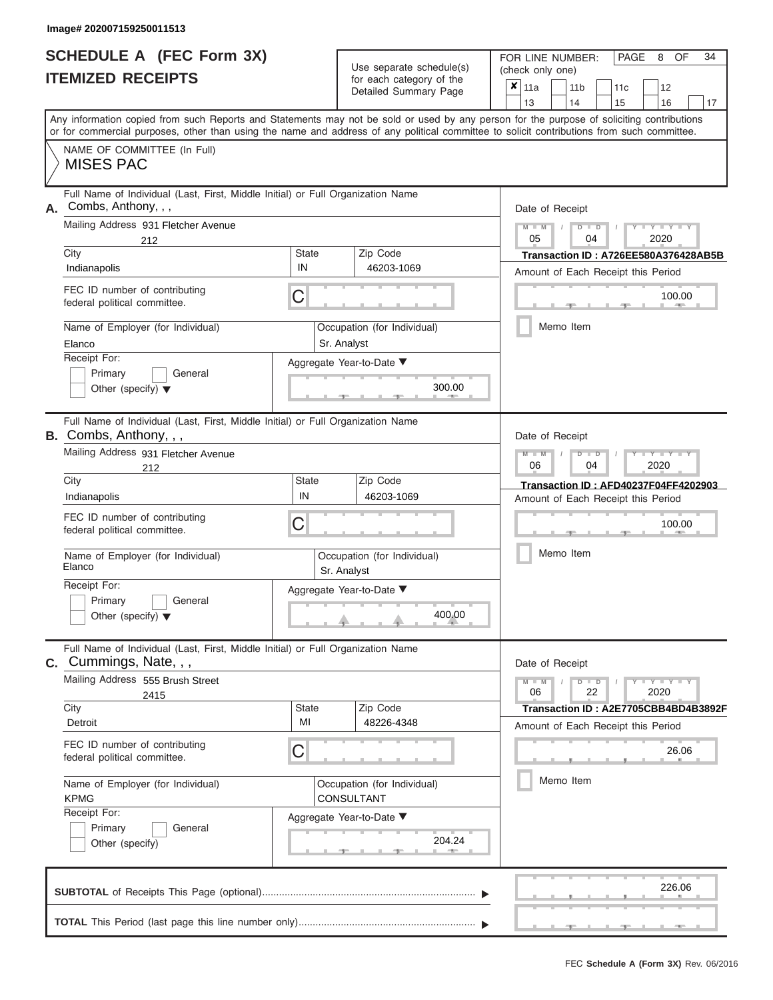|                          | SCHEDULE A (FEC Form 3X) |
|--------------------------|--------------------------|
| <b>ITEMIZED RECEIPTS</b> |                          |

Use separate schedule(s)<br>for each category of the

FOR LINE NUMBER: PAGE<br>
(check only one)

8 34

|    | IILMILLU RLVLIF IJ                                                                                                                                                                                                                                                                      |                          | ior each calegory or the<br>Detailed Summary Page | x                                                                          | 11a<br>13                                                                  |           | 11 <sub>b</sub><br>14 |                   | 11c<br>15 | 12<br>16                           | 17                                   |  |  |  |
|----|-----------------------------------------------------------------------------------------------------------------------------------------------------------------------------------------------------------------------------------------------------------------------------------------|--------------------------|---------------------------------------------------|----------------------------------------------------------------------------|----------------------------------------------------------------------------|-----------|-----------------------|-------------------|-----------|------------------------------------|--------------------------------------|--|--|--|
|    | Any information copied from such Reports and Statements may not be sold or used by any person for the purpose of soliciting contributions<br>or for commercial purposes, other than using the name and address of any political committee to solicit contributions from such committee. |                          |                                                   |                                                                            |                                                                            |           |                       |                   |           |                                    |                                      |  |  |  |
|    | NAME OF COMMITTEE (In Full)<br><b>MISES PAC</b>                                                                                                                                                                                                                                         |                          |                                                   |                                                                            |                                                                            |           |                       |                   |           |                                    |                                      |  |  |  |
| А. | Full Name of Individual (Last, First, Middle Initial) or Full Organization Name<br>Combs, Anthony, , ,                                                                                                                                                                                  |                          |                                                   |                                                                            | Date of Receipt                                                            |           |                       |                   |           |                                    |                                      |  |  |  |
|    | Mailing Address 931 Fletcher Avenue<br>212                                                                                                                                                                                                                                              |                          |                                                   |                                                                            | $M - M$<br>05                                                              |           |                       | $D$ $D$<br>04     |           | $- Y -$<br>2020                    |                                      |  |  |  |
|    | City<br>IN<br>Indianapolis                                                                                                                                                                                                                                                              | <b>State</b>             |                                                   | Transaction ID: A726EE580A376428AB5B<br>Amount of Each Receipt this Period |                                                                            |           |                       |                   |           |                                    |                                      |  |  |  |
|    | FEC ID number of contributing<br>С<br>federal political committee.                                                                                                                                                                                                                      |                          |                                                   | 100.00<br>$\mathcal{L}(\mathbb{R})$                                        |                                                                            |           |                       |                   |           |                                    |                                      |  |  |  |
|    | Name of Employer (for Individual)<br>Elanco                                                                                                                                                                                                                                             | Sr. Analyst              | Occupation (for Individual)                       |                                                                            |                                                                            | Memo Item |                       |                   |           |                                    |                                      |  |  |  |
|    | Receipt For:<br>Primary<br>General<br>Other (specify) $\blacktriangledown$                                                                                                                                                                                                              |                          | Aggregate Year-to-Date ▼<br>300.00                |                                                                            |                                                                            |           |                       |                   |           |                                    |                                      |  |  |  |
|    | Full Name of Individual (Last, First, Middle Initial) or Full Organization Name<br>B. Combs, Anthony, , ,                                                                                                                                                                               |                          |                                                   |                                                                            | Date of Receipt                                                            |           |                       |                   |           |                                    |                                      |  |  |  |
|    | Mailing Address 931 Fletcher Avenue<br>212                                                                                                                                                                                                                                              |                          |                                                   |                                                                            | $M - M$<br>06                                                              |           |                       | D<br>$\Box$<br>04 |           | 2020                               |                                      |  |  |  |
|    | City<br>IN<br>Indianapolis                                                                                                                                                                                                                                                              | <b>State</b>             | Zip Code<br>46203-1069                            |                                                                            | Transaction ID: AFD40237F04FF4202903<br>Amount of Each Receipt this Period |           |                       |                   |           |                                    |                                      |  |  |  |
|    | FEC ID number of contributing<br>С<br>federal political committee.                                                                                                                                                                                                                      |                          |                                                   |                                                                            | 100.00                                                                     |           |                       |                   |           |                                    |                                      |  |  |  |
|    | Name of Employer (for Individual)<br>Elanco                                                                                                                                                                                                                                             | Sr. Analyst              | Occupation (for Individual)                       |                                                                            | Memo Item                                                                  |           |                       |                   |           |                                    |                                      |  |  |  |
|    | Receipt For:<br>Primary<br>General<br>Other (specify) $\blacktriangledown$                                                                                                                                                                                                              | Aggregate Year-to-Date ▼ |                                                   |                                                                            |                                                                            |           |                       |                   |           |                                    |                                      |  |  |  |
| С. | Full Name of Individual (Last, First, Middle Initial) or Full Organization Name<br>Cummings, Nate, , ,                                                                                                                                                                                  |                          |                                                   |                                                                            | Date of Receipt                                                            |           |                       |                   |           |                                    |                                      |  |  |  |
|    | Mailing Address 555 Brush Street<br>2415                                                                                                                                                                                                                                                | <b>State</b>             |                                                   |                                                                            | $M - M$<br>06                                                              |           |                       | $D$ $D$<br>22     |           | $-Y - Y - Y - Y$<br>2020           |                                      |  |  |  |
|    | City<br>MI<br>Detroit                                                                                                                                                                                                                                                                   |                          | Zip Code<br>48226-4348                            |                                                                            |                                                                            |           |                       |                   |           | Amount of Each Receipt this Period | Transaction ID: A2E7705CBB4BD4B3892F |  |  |  |
|    | FEC ID number of contributing<br>С<br>federal political committee.                                                                                                                                                                                                                      |                          |                                                   |                                                                            |                                                                            |           |                       |                   |           | 26.06                              |                                      |  |  |  |
|    | Name of Employer (for Individual)<br><b>KPMG</b>                                                                                                                                                                                                                                        |                          | Occupation (for Individual)<br>CONSULTANT         |                                                                            |                                                                            | Memo Item |                       |                   |           |                                    |                                      |  |  |  |
|    | Receipt For:<br>General<br>Primary<br>Other (specify)                                                                                                                                                                                                                                   |                          | Aggregate Year-to-Date ▼<br>204.24                |                                                                            |                                                                            |           |                       |                   |           |                                    |                                      |  |  |  |
|    |                                                                                                                                                                                                                                                                                         |                          |                                                   |                                                                            |                                                                            |           |                       |                   |           | 226.06                             |                                      |  |  |  |
|    |                                                                                                                                                                                                                                                                                         |                          |                                                   |                                                                            |                                                                            |           |                       |                   |           |                                    |                                      |  |  |  |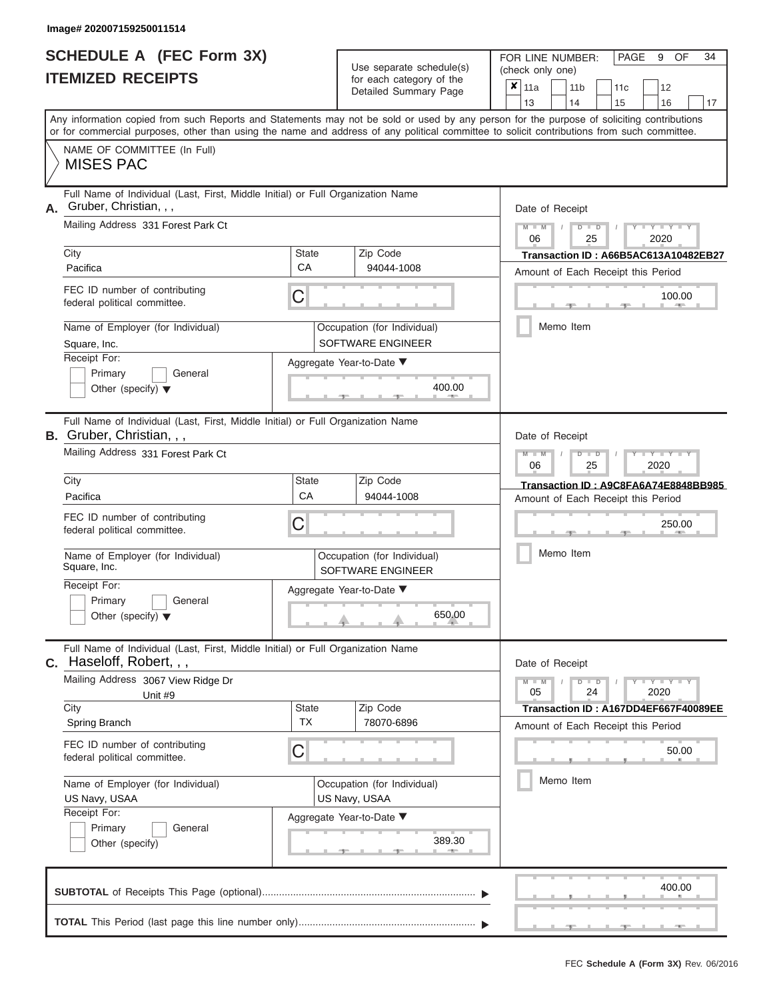ı

|                          | <b>SCHEDULE A (FEC Form 3X)</b> |
|--------------------------|---------------------------------|
| <b>ITEMIZED RECEIPTS</b> |                                 |

Use separate schedule(s)<br>for each category of the

FOR LINE NUMBER:<br>(check only one)

PAGE 9 OF 34

|                                                                 |                                                                                 | babii balogoiy<br>Detailed Summary Page                                                                                                                                                                                                                                                 | x | 11a             | 11 <sub>b</sub> | 11 <sub>c</sub> | 12                                   |    |
|-----------------------------------------------------------------|---------------------------------------------------------------------------------|-----------------------------------------------------------------------------------------------------------------------------------------------------------------------------------------------------------------------------------------------------------------------------------------|---|-----------------|-----------------|-----------------|--------------------------------------|----|
|                                                                 |                                                                                 |                                                                                                                                                                                                                                                                                         |   | 13              | 14              | 15              | 16                                   | 17 |
|                                                                 |                                                                                 | Any information copied from such Reports and Statements may not be sold or used by any person for the purpose of soliciting contributions<br>or for commercial purposes, other than using the name and address of any political committee to solicit contributions from such committee. |   |                 |                 |                 |                                      |    |
| NAME OF COMMITTEE (In Full)<br><b>MISES PAC</b>                 |                                                                                 |                                                                                                                                                                                                                                                                                         |   |                 |                 |                 |                                      |    |
| Gruber, Christian, , ,<br>А.                                    | Full Name of Individual (Last, First, Middle Initial) or Full Organization Name |                                                                                                                                                                                                                                                                                         |   | Date of Receipt |                 |                 |                                      |    |
| Mailing Address 331 Forest Park Ct                              |                                                                                 |                                                                                                                                                                                                                                                                                         |   | $M - M$<br>06   | $D$ $D$<br>25   |                 | $Y - Y - Y$<br>2020                  |    |
| City                                                            | <b>State</b><br>CA                                                              | Zip Code                                                                                                                                                                                                                                                                                |   |                 |                 |                 | Transaction ID: A66B5AC613A10482EB27 |    |
| Pacifica                                                        |                                                                                 | 94044-1008                                                                                                                                                                                                                                                                              |   |                 |                 |                 | Amount of Each Receipt this Period   |    |
| FEC ID number of contributing<br>federal political committee.   | С                                                                               |                                                                                                                                                                                                                                                                                         |   |                 |                 |                 | 100.00<br>$-$                        |    |
| Name of Employer (for Individual)<br>Square, Inc.               |                                                                                 | Occupation (for Individual)<br>SOFTWARE ENGINEER                                                                                                                                                                                                                                        |   |                 | Memo Item       |                 |                                      |    |
| Receipt For:                                                    |                                                                                 | Aggregate Year-to-Date ▼                                                                                                                                                                                                                                                                |   |                 |                 |                 |                                      |    |
| Primary<br>Other (specify) $\blacktriangledown$                 | General                                                                         | 400.00                                                                                                                                                                                                                                                                                  |   |                 |                 |                 |                                      |    |
| B. Gruber, Christian, , ,                                       | Full Name of Individual (Last, First, Middle Initial) or Full Organization Name |                                                                                                                                                                                                                                                                                         |   | Date of Receipt |                 |                 |                                      |    |
| Mailing Address 331 Forest Park Ct                              |                                                                                 |                                                                                                                                                                                                                                                                                         |   | $M - M$<br>06   | $D$ $D$<br>25   |                 | Y TYT<br>2020                        |    |
| City                                                            | State                                                                           | Zip Code                                                                                                                                                                                                                                                                                |   |                 |                 |                 | Transaction ID: A9C8FA6A74E8848BB985 |    |
| Pacifica                                                        | CA                                                                              | 94044-1008                                                                                                                                                                                                                                                                              |   |                 |                 |                 | Amount of Each Receipt this Period   |    |
| FEC ID number of contributing<br>federal political committee.   | С                                                                               |                                                                                                                                                                                                                                                                                         |   |                 |                 |                 | 250.00                               |    |
| Name of Employer (for Individual)<br>Square, Inc.               |                                                                                 | Occupation (for Individual)<br>SOFTWARE ENGINEER                                                                                                                                                                                                                                        |   |                 | Memo Item       |                 |                                      |    |
| Receipt For:<br>Primary<br>Other (specify) $\blacktriangledown$ | General                                                                         | Aggregate Year-to-Date ▼<br>650.00                                                                                                                                                                                                                                                      |   |                 |                 |                 |                                      |    |
| C. Haseloff, Robert, , ,                                        | Full Name of Individual (Last, First, Middle Initial) or Full Organization Name |                                                                                                                                                                                                                                                                                         |   | Date of Receipt |                 |                 |                                      |    |
| Mailing Address 3067 View Ridge Dr<br>Unit #9                   |                                                                                 |                                                                                                                                                                                                                                                                                         |   | $M - M$<br>05   | $D$ $D$<br>24   |                 | $T - Y$ $T - Y$ $T - Y$<br>2020      |    |
| City                                                            | <b>State</b>                                                                    | Zip Code                                                                                                                                                                                                                                                                                |   |                 |                 |                 | Transaction ID: A167DD4EF667F40089EE |    |
| Spring Branch                                                   | <b>TX</b>                                                                       | 78070-6896                                                                                                                                                                                                                                                                              |   |                 |                 |                 | Amount of Each Receipt this Period   |    |
| FEC ID number of contributing<br>federal political committee.   | С                                                                               |                                                                                                                                                                                                                                                                                         |   |                 |                 |                 | 50.00                                |    |
| Name of Employer (for Individual)<br>US Navy, USAA              |                                                                                 | Occupation (for Individual)<br>US Navy, USAA                                                                                                                                                                                                                                            |   |                 | Memo Item       |                 |                                      |    |
| Receipt For:                                                    |                                                                                 | Aggregate Year-to-Date ▼                                                                                                                                                                                                                                                                |   |                 |                 |                 |                                      |    |
| Primary<br>Other (specify)                                      | General                                                                         | 389.30                                                                                                                                                                                                                                                                                  |   |                 |                 |                 |                                      |    |
|                                                                 |                                                                                 |                                                                                                                                                                                                                                                                                         |   |                 |                 |                 | 400.00                               |    |
|                                                                 |                                                                                 |                                                                                                                                                                                                                                                                                         |   |                 |                 |                 |                                      |    |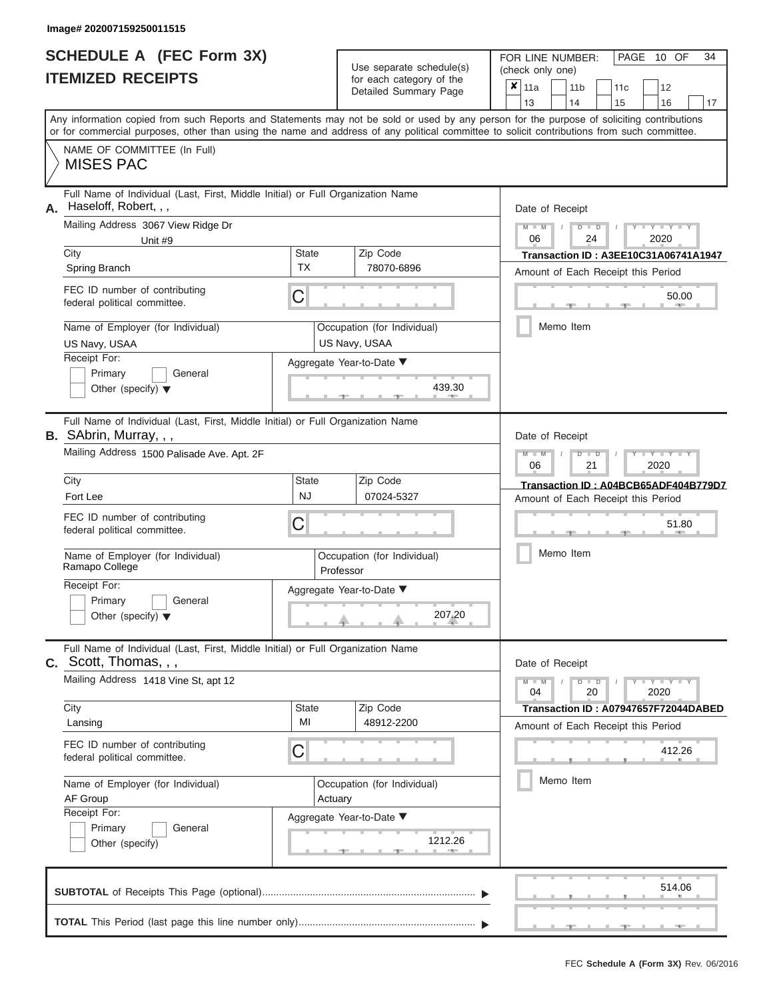# **SCHEDULE A (FEC Form 3X)**

| SCHEDULE A (FEC Form 3X)<br><b>ITEMIZED RECEIPTS</b>                                                                                                                                                                                                                                                                                                                                          |                                    | Use separate schedule(s)<br>for each category of the<br>Detailed Summary Page                                | 34<br>FOR LINE NUMBER:<br>PAGE 10 OF<br>(check only one)<br>$\overline{\mathbf{x}}$   11a<br>11 <sub>b</sub><br>11 <sub>c</sub><br>12<br>13<br>14<br>16                                        |
|-----------------------------------------------------------------------------------------------------------------------------------------------------------------------------------------------------------------------------------------------------------------------------------------------------------------------------------------------------------------------------------------------|------------------------------------|--------------------------------------------------------------------------------------------------------------|------------------------------------------------------------------------------------------------------------------------------------------------------------------------------------------------|
| Any information copied from such Reports and Statements may not be sold or used by any person for the purpose of soliciting contributions<br>or for commercial purposes, other than using the name and address of any political committee to solicit contributions from such committee.<br>NAME OF COMMITTEE (In Full)<br><b>MISES PAC</b>                                                    |                                    |                                                                                                              | 15<br>17                                                                                                                                                                                       |
| Full Name of Individual (Last, First, Middle Initial) or Full Organization Name<br>Haseloff, Robert, , ,<br>А.<br>Mailing Address 3067 View Ridge Dr<br>Unit #9<br>City<br>Spring Branch<br>FEC ID number of contributing<br>federal political committee.<br>Name of Employer (for Individual)<br>US Navy, USAA<br>Receipt For:<br>Primary<br>General<br>Other (specify) $\blacktriangledown$ | <b>State</b><br><b>TX</b><br>С     | Zip Code<br>78070-6896<br>Occupation (for Individual)<br>US Navy, USAA<br>Aggregate Year-to-Date ▼<br>439.30 | Date of Receipt<br>$M - M$ /<br>$Y - Y - Y$<br>$D$ $D$<br>06<br>24<br>2020<br>Transaction ID: A3EE10C31A06741A1947<br>Amount of Each Receipt this Period<br>50.00<br><b>AND A</b><br>Memo Item |
| Full Name of Individual (Last, First, Middle Initial) or Full Organization Name<br>B. SAbrin, Murray, , ,<br>Mailing Address 1500 Palisade Ave. Apt. 2F<br>City<br>Fort Lee<br>FEC ID number of contributing<br>federal political committee.<br>Name of Employer (for Individual)<br>Ramapo College<br>Receipt For:<br>Primary<br>General<br>Other (specify) $\blacktriangledown$             | <b>State</b><br><b>NJ</b><br>С     | Zip Code<br>07024-5327<br>Occupation (for Individual)<br>Professor<br>Aggregate Year-to-Date ▼<br>207.20     | Date of Receipt<br>$M - M$<br>Y TYT<br>$D$ $D$<br>06<br>2020<br>21<br>Transaction ID: A04BCB65ADF404B779D7<br>Amount of Each Receipt this Period<br>51.80<br>Memo Item                         |
| Full Name of Individual (Last, First, Middle Initial) or Full Organization Name<br><b>C.</b> Scott, Thomas, , ,<br>Mailing Address 1418 Vine St, apt 12<br>City<br>Lansing<br>FEC ID number of contributing<br>federal political committee.<br>Name of Employer (for Individual)<br>AF Group<br>Receipt For:<br>Primary<br>General<br>Other (specify)                                         | <b>State</b><br>MI<br>С<br>Actuary | Zip Code<br>48912-2200<br>Occupation (for Individual)<br>Aggregate Year-to-Date ▼<br>1212.26                 | Date of Receipt<br>$M - M$<br>$D$ $D$<br>$Y - Y - Y - Y - Y$<br>04<br>20<br>2020<br>Transaction ID: A07947657F72044DABED<br>Amount of Each Receipt this Period<br>412.26<br>Memo Item          |
|                                                                                                                                                                                                                                                                                                                                                                                               |                                    |                                                                                                              | 514.06                                                                                                                                                                                         |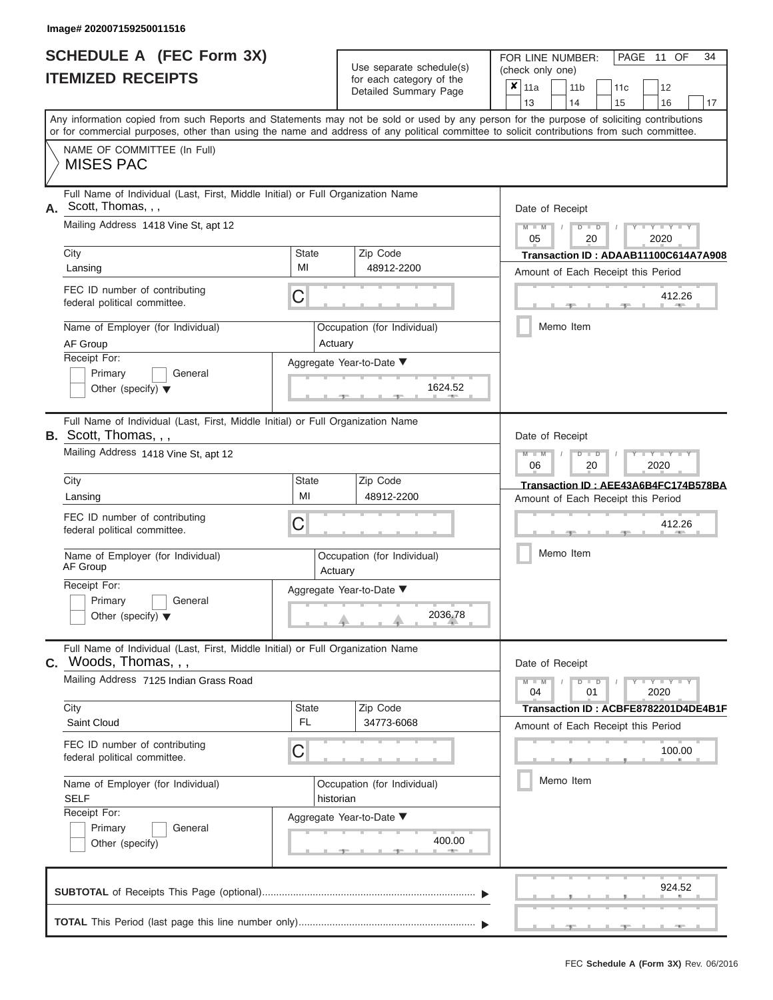#### **Image# 202007159250011516**

| <b>SCHEDULE A (FEC Form 3X)</b> |  |  |
|---------------------------------|--|--|
| <b>ITEMIZED RECEIPTS</b>        |  |  |

Use separate schedule(s)<br>for each category of the

FOR LINE NUMBER:<br>(check only one)

PAGE 11 OF 34

|                                                                                                                                                                                                                                                                                         |              | babii batogory<br>Detailed Summary Page  | × | 11a             |  | 11 <sub>b</sub> |    | 11 <sub>c</sub> | 12                                                                                                                                         |    |
|-----------------------------------------------------------------------------------------------------------------------------------------------------------------------------------------------------------------------------------------------------------------------------------------|--------------|------------------------------------------|---|-----------------|--|-----------------|----|-----------------|--------------------------------------------------------------------------------------------------------------------------------------------|----|
|                                                                                                                                                                                                                                                                                         |              |                                          |   | 13              |  | 14              |    | 15              | 16                                                                                                                                         | 17 |
| Any information copied from such Reports and Statements may not be sold or used by any person for the purpose of soliciting contributions<br>or for commercial purposes, other than using the name and address of any political committee to solicit contributions from such committee. |              |                                          |   |                 |  |                 |    |                 |                                                                                                                                            |    |
| NAME OF COMMITTEE (In Full)<br><b>MISES PAC</b>                                                                                                                                                                                                                                         |              |                                          |   |                 |  |                 |    |                 |                                                                                                                                            |    |
|                                                                                                                                                                                                                                                                                         |              |                                          |   |                 |  |                 |    |                 |                                                                                                                                            |    |
| Full Name of Individual (Last, First, Middle Initial) or Full Organization Name<br>Scott, Thomas, , ,<br>А.                                                                                                                                                                             |              |                                          |   | Date of Receipt |  |                 |    |                 |                                                                                                                                            |    |
| Mailing Address 1418 Vine St, apt 12                                                                                                                                                                                                                                                    |              |                                          |   | $M - M$<br>05   |  | $D$ $D$         | 20 |                 | $Y = Y =$<br>2020                                                                                                                          |    |
| City                                                                                                                                                                                                                                                                                    | <b>State</b> | Zip Code                                 |   |                 |  |                 |    |                 | Transaction ID: ADAAB11100C614A7A908                                                                                                       |    |
| Lansing                                                                                                                                                                                                                                                                                 | MI           | 48912-2200                               |   |                 |  |                 |    |                 | Amount of Each Receipt this Period                                                                                                         |    |
| FEC ID number of contributing<br>federal political committee.                                                                                                                                                                                                                           | C            |                                          |   |                 |  |                 |    |                 | 412.26<br>$-$                                                                                                                              |    |
| Name of Employer (for Individual)<br>AF Group                                                                                                                                                                                                                                           |              | Occupation (for Individual)<br>Actuary   |   |                 |  | Memo Item       |    |                 |                                                                                                                                            |    |
| Receipt For:                                                                                                                                                                                                                                                                            |              | Aggregate Year-to-Date ▼                 |   |                 |  |                 |    |                 |                                                                                                                                            |    |
| Primary<br>General<br>Other (specify) $\blacktriangledown$                                                                                                                                                                                                                              |              | 1624.52                                  |   |                 |  |                 |    |                 |                                                                                                                                            |    |
| Full Name of Individual (Last, First, Middle Initial) or Full Organization Name<br>B. Scott, Thomas, , ,                                                                                                                                                                                |              |                                          |   | Date of Receipt |  |                 |    |                 |                                                                                                                                            |    |
| Mailing Address 1418 Vine St, apt 12                                                                                                                                                                                                                                                    |              |                                          |   | $M - M$<br>06   |  | $D$ $D$         | 20 |                 | Y TYT<br>2020                                                                                                                              |    |
| City                                                                                                                                                                                                                                                                                    | State        | Zip Code                                 |   |                 |  |                 |    |                 | Transaction ID: AEE43A6B4FC174B578BA                                                                                                       |    |
| Lansing                                                                                                                                                                                                                                                                                 | MI           | 48912-2200                               |   |                 |  |                 |    |                 | Amount of Each Receipt this Period                                                                                                         |    |
| FEC ID number of contributing<br>federal political committee.                                                                                                                                                                                                                           | С            |                                          |   |                 |  |                 |    |                 | 412.26                                                                                                                                     |    |
| Name of Employer (for Individual)<br>AF Group                                                                                                                                                                                                                                           |              | Occupation (for Individual)<br>Actuary   |   |                 |  | Memo Item       |    |                 |                                                                                                                                            |    |
| Receipt For:                                                                                                                                                                                                                                                                            |              | Aggregate Year-to-Date ▼                 |   |                 |  |                 |    |                 |                                                                                                                                            |    |
| Primary<br>General<br>Other (specify) $\blacktriangledown$                                                                                                                                                                                                                              |              | 2036.78                                  |   |                 |  |                 |    |                 |                                                                                                                                            |    |
| Full Name of Individual (Last, First, Middle Initial) or Full Organization Name<br>C. Woods, Thomas, , ,                                                                                                                                                                                |              |                                          |   | Date of Receipt |  |                 |    |                 |                                                                                                                                            |    |
| Mailing Address 7125 Indian Grass Road                                                                                                                                                                                                                                                  |              |                                          |   | $M - M$<br>04   |  | $D$ $D$         | 01 |                 | $\begin{array}{c c c c c} \hline \textbf{I} & \textbf{Y} & \textbf{I} & \textbf{Y} & \textbf{I} & \textbf{Y} \\\hline \end{array}$<br>2020 |    |
| City                                                                                                                                                                                                                                                                                    | State        | Zip Code                                 |   |                 |  |                 |    |                 | Transaction ID: ACBFE8782201D4DE4B1F                                                                                                       |    |
| Saint Cloud                                                                                                                                                                                                                                                                             | FL.          | 34773-6068                               |   |                 |  |                 |    |                 | Amount of Each Receipt this Period                                                                                                         |    |
| FEC ID number of contributing<br>federal political committee.                                                                                                                                                                                                                           | C            |                                          |   |                 |  |                 |    |                 | 100.00                                                                                                                                     |    |
| Name of Employer (for Individual)<br><b>SELF</b>                                                                                                                                                                                                                                        |              | Occupation (for Individual)<br>historian |   |                 |  | Memo Item       |    |                 |                                                                                                                                            |    |
| Receipt For:                                                                                                                                                                                                                                                                            |              | Aggregate Year-to-Date ▼                 |   |                 |  |                 |    |                 |                                                                                                                                            |    |
| Primary<br>General<br>Other (specify)                                                                                                                                                                                                                                                   |              | 400.00                                   |   |                 |  |                 |    |                 |                                                                                                                                            |    |
|                                                                                                                                                                                                                                                                                         |              |                                          |   |                 |  |                 |    |                 | 924.52                                                                                                                                     |    |
|                                                                                                                                                                                                                                                                                         |              |                                          |   |                 |  |                 |    |                 |                                                                                                                                            |    |
|                                                                                                                                                                                                                                                                                         |              |                                          |   |                 |  |                 |    |                 | $-1 -$                                                                                                                                     |    |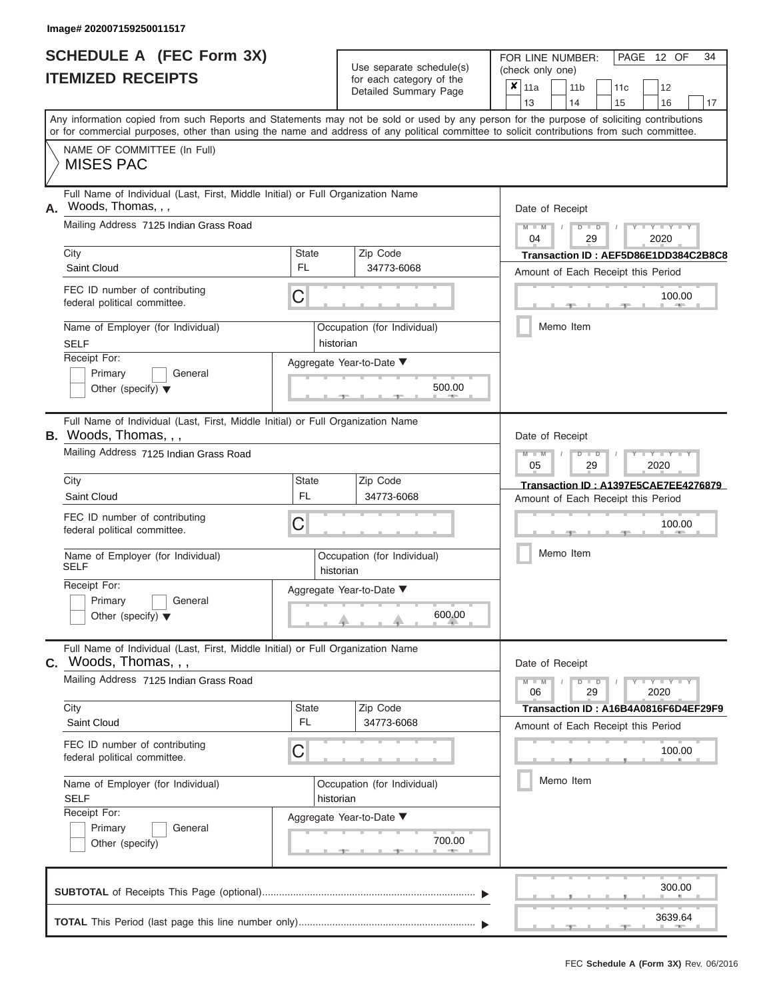|                          | <b>SCHEDULE A (FEC Form 3X)</b> |
|--------------------------|---------------------------------|
| <b>ITEMIZED RECEIPTS</b> |                                 |

Use separate schedule(s)<br>for each category of the

FOR LINE NUMBER:<br>(check only one)

PAGE 12 OF 34

| 13<br>14<br>15<br>Any information copied from such Reports and Statements may not be sold or used by any person for the purpose of soliciting contributions<br>NAME OF COMMITTEE (In Full)<br><b>MISES PAC</b><br>Full Name of Individual (Last, First, Middle Initial) or Full Organization Name<br>Woods, Thomas, , ,<br>Date of Receipt<br>Mailing Address 7125 Indian Grass Road<br>$M - M$<br>$D$ $D$<br>04<br>29<br>City<br><b>State</b><br>Zip Code<br>FL.<br>Saint Cloud<br>34773-6068<br>Amount of Each Receipt this Period<br>FEC ID number of contributing<br>С<br>federal political committee.<br>Memo Item<br>Name of Employer (for Individual)<br>Occupation (for Individual)<br><b>SELF</b><br>historian<br>Receipt For:<br>Aggregate Year-to-Date ▼<br>Primary<br>General<br>500.00<br>Other (specify) $\blacktriangledown$<br>Full Name of Individual (Last, First, Middle Initial) or Full Organization Name<br>Date of Receipt<br>Mailing Address 7125 Indian Grass Road<br>$M - M$<br>$D$ $D$<br>05<br>29<br>City<br>State<br>Zip Code<br><b>FL</b><br>Saint Cloud<br>34773-6068<br>Amount of Each Receipt this Period<br>FEC ID number of contributing<br>С<br>federal political committee.<br>Memo Item<br>Name of Employer (for Individual)<br>Occupation (for Individual)<br><b>SELF</b><br>historian<br>Receipt For:<br>Aggregate Year-to-Date ▼<br>Primary<br>General<br>600.00<br>Other (specify) $\blacktriangledown$<br>Full Name of Individual (Last, First, Middle Initial) or Full Organization Name<br>Date of Receipt<br>Mailing Address 7125 Indian Grass Road<br>$M - M$<br>$D$ $D$<br>06<br>29<br>City<br>Zip Code<br><b>State</b><br>FL.<br>34773-6068<br>Saint Cloud<br>Amount of Each Receipt this Period<br>FEC ID number of contributing<br>С<br>federal political committee.<br>Memo Item<br>Name of Employer (for Individual)<br>Occupation (for Individual)<br><b>SELF</b><br>historian<br>Receipt For:<br>Aggregate Year-to-Date ▼<br>Primary<br>General<br>700.00<br>Other (specify) | 11 <sub>c</sub><br>12                                                                                                                                                                         | 11 <sub>b</sub> |  | 11a |  | x |  | babii balogoiy<br>Detailed Summary Page |  |  |
|-------------------------------------------------------------------------------------------------------------------------------------------------------------------------------------------------------------------------------------------------------------------------------------------------------------------------------------------------------------------------------------------------------------------------------------------------------------------------------------------------------------------------------------------------------------------------------------------------------------------------------------------------------------------------------------------------------------------------------------------------------------------------------------------------------------------------------------------------------------------------------------------------------------------------------------------------------------------------------------------------------------------------------------------------------------------------------------------------------------------------------------------------------------------------------------------------------------------------------------------------------------------------------------------------------------------------------------------------------------------------------------------------------------------------------------------------------------------------------------------------------------------------------------------------------------------------------------------------------------------------------------------------------------------------------------------------------------------------------------------------------------------------------------------------------------------------------------------------------------------------------------------------------------------------------------------------------------------------------------------------------------------------------------|-----------------------------------------------------------------------------------------------------------------------------------------------------------------------------------------------|-----------------|--|-----|--|---|--|-----------------------------------------|--|--|
| or for commercial purposes, other than using the name and address of any political committee to solicit contributions from such committee.<br>А.                                                                                                                                                                                                                                                                                                                                                                                                                                                                                                                                                                                                                                                                                                                                                                                                                                                                                                                                                                                                                                                                                                                                                                                                                                                                                                                                                                                                                                                                                                                                                                                                                                                                                                                                                                                                                                                                                    | 16<br>17                                                                                                                                                                                      |                 |  |     |  |   |  |                                         |  |  |
|                                                                                                                                                                                                                                                                                                                                                                                                                                                                                                                                                                                                                                                                                                                                                                                                                                                                                                                                                                                                                                                                                                                                                                                                                                                                                                                                                                                                                                                                                                                                                                                                                                                                                                                                                                                                                                                                                                                                                                                                                                     |                                                                                                                                                                                               |                 |  |     |  |   |  |                                         |  |  |
|                                                                                                                                                                                                                                                                                                                                                                                                                                                                                                                                                                                                                                                                                                                                                                                                                                                                                                                                                                                                                                                                                                                                                                                                                                                                                                                                                                                                                                                                                                                                                                                                                                                                                                                                                                                                                                                                                                                                                                                                                                     |                                                                                                                                                                                               |                 |  |     |  |   |  |                                         |  |  |
|                                                                                                                                                                                                                                                                                                                                                                                                                                                                                                                                                                                                                                                                                                                                                                                                                                                                                                                                                                                                                                                                                                                                                                                                                                                                                                                                                                                                                                                                                                                                                                                                                                                                                                                                                                                                                                                                                                                                                                                                                                     |                                                                                                                                                                                               |                 |  |     |  |   |  |                                         |  |  |
|                                                                                                                                                                                                                                                                                                                                                                                                                                                                                                                                                                                                                                                                                                                                                                                                                                                                                                                                                                                                                                                                                                                                                                                                                                                                                                                                                                                                                                                                                                                                                                                                                                                                                                                                                                                                                                                                                                                                                                                                                                     | $Y - Y - I$<br>2020                                                                                                                                                                           |                 |  |     |  |   |  |                                         |  |  |
|                                                                                                                                                                                                                                                                                                                                                                                                                                                                                                                                                                                                                                                                                                                                                                                                                                                                                                                                                                                                                                                                                                                                                                                                                                                                                                                                                                                                                                                                                                                                                                                                                                                                                                                                                                                                                                                                                                                                                                                                                                     | Transaction ID: AEF5D86E1DD384C2B8C8                                                                                                                                                          |                 |  |     |  |   |  |                                         |  |  |
|                                                                                                                                                                                                                                                                                                                                                                                                                                                                                                                                                                                                                                                                                                                                                                                                                                                                                                                                                                                                                                                                                                                                                                                                                                                                                                                                                                                                                                                                                                                                                                                                                                                                                                                                                                                                                                                                                                                                                                                                                                     |                                                                                                                                                                                               |                 |  |     |  |   |  |                                         |  |  |
|                                                                                                                                                                                                                                                                                                                                                                                                                                                                                                                                                                                                                                                                                                                                                                                                                                                                                                                                                                                                                                                                                                                                                                                                                                                                                                                                                                                                                                                                                                                                                                                                                                                                                                                                                                                                                                                                                                                                                                                                                                     | 100.00<br>$\sim$                                                                                                                                                                              |                 |  |     |  |   |  |                                         |  |  |
|                                                                                                                                                                                                                                                                                                                                                                                                                                                                                                                                                                                                                                                                                                                                                                                                                                                                                                                                                                                                                                                                                                                                                                                                                                                                                                                                                                                                                                                                                                                                                                                                                                                                                                                                                                                                                                                                                                                                                                                                                                     |                                                                                                                                                                                               |                 |  |     |  |   |  |                                         |  |  |
|                                                                                                                                                                                                                                                                                                                                                                                                                                                                                                                                                                                                                                                                                                                                                                                                                                                                                                                                                                                                                                                                                                                                                                                                                                                                                                                                                                                                                                                                                                                                                                                                                                                                                                                                                                                                                                                                                                                                                                                                                                     |                                                                                                                                                                                               |                 |  |     |  |   |  |                                         |  |  |
| <b>B.</b> Woods, Thomas, , ,<br>C. Woods, Thomas, , ,                                                                                                                                                                                                                                                                                                                                                                                                                                                                                                                                                                                                                                                                                                                                                                                                                                                                                                                                                                                                                                                                                                                                                                                                                                                                                                                                                                                                                                                                                                                                                                                                                                                                                                                                                                                                                                                                                                                                                                               |                                                                                                                                                                                               |                 |  |     |  |   |  |                                         |  |  |
|                                                                                                                                                                                                                                                                                                                                                                                                                                                                                                                                                                                                                                                                                                                                                                                                                                                                                                                                                                                                                                                                                                                                                                                                                                                                                                                                                                                                                                                                                                                                                                                                                                                                                                                                                                                                                                                                                                                                                                                                                                     |                                                                                                                                                                                               |                 |  |     |  |   |  |                                         |  |  |
|                                                                                                                                                                                                                                                                                                                                                                                                                                                                                                                                                                                                                                                                                                                                                                                                                                                                                                                                                                                                                                                                                                                                                                                                                                                                                                                                                                                                                                                                                                                                                                                                                                                                                                                                                                                                                                                                                                                                                                                                                                     | Y TYT<br>2020                                                                                                                                                                                 |                 |  |     |  |   |  |                                         |  |  |
|                                                                                                                                                                                                                                                                                                                                                                                                                                                                                                                                                                                                                                                                                                                                                                                                                                                                                                                                                                                                                                                                                                                                                                                                                                                                                                                                                                                                                                                                                                                                                                                                                                                                                                                                                                                                                                                                                                                                                                                                                                     | Transaction ID: A1397E5CAE7EE4276879                                                                                                                                                          |                 |  |     |  |   |  |                                         |  |  |
|                                                                                                                                                                                                                                                                                                                                                                                                                                                                                                                                                                                                                                                                                                                                                                                                                                                                                                                                                                                                                                                                                                                                                                                                                                                                                                                                                                                                                                                                                                                                                                                                                                                                                                                                                                                                                                                                                                                                                                                                                                     |                                                                                                                                                                                               |                 |  |     |  |   |  |                                         |  |  |
|                                                                                                                                                                                                                                                                                                                                                                                                                                                                                                                                                                                                                                                                                                                                                                                                                                                                                                                                                                                                                                                                                                                                                                                                                                                                                                                                                                                                                                                                                                                                                                                                                                                                                                                                                                                                                                                                                                                                                                                                                                     | 100.00                                                                                                                                                                                        |                 |  |     |  |   |  |                                         |  |  |
|                                                                                                                                                                                                                                                                                                                                                                                                                                                                                                                                                                                                                                                                                                                                                                                                                                                                                                                                                                                                                                                                                                                                                                                                                                                                                                                                                                                                                                                                                                                                                                                                                                                                                                                                                                                                                                                                                                                                                                                                                                     |                                                                                                                                                                                               |                 |  |     |  |   |  |                                         |  |  |
|                                                                                                                                                                                                                                                                                                                                                                                                                                                                                                                                                                                                                                                                                                                                                                                                                                                                                                                                                                                                                                                                                                                                                                                                                                                                                                                                                                                                                                                                                                                                                                                                                                                                                                                                                                                                                                                                                                                                                                                                                                     |                                                                                                                                                                                               |                 |  |     |  |   |  |                                         |  |  |
|                                                                                                                                                                                                                                                                                                                                                                                                                                                                                                                                                                                                                                                                                                                                                                                                                                                                                                                                                                                                                                                                                                                                                                                                                                                                                                                                                                                                                                                                                                                                                                                                                                                                                                                                                                                                                                                                                                                                                                                                                                     |                                                                                                                                                                                               |                 |  |     |  |   |  |                                         |  |  |
|                                                                                                                                                                                                                                                                                                                                                                                                                                                                                                                                                                                                                                                                                                                                                                                                                                                                                                                                                                                                                                                                                                                                                                                                                                                                                                                                                                                                                                                                                                                                                                                                                                                                                                                                                                                                                                                                                                                                                                                                                                     |                                                                                                                                                                                               |                 |  |     |  |   |  |                                         |  |  |
|                                                                                                                                                                                                                                                                                                                                                                                                                                                                                                                                                                                                                                                                                                                                                                                                                                                                                                                                                                                                                                                                                                                                                                                                                                                                                                                                                                                                                                                                                                                                                                                                                                                                                                                                                                                                                                                                                                                                                                                                                                     | $\frac{1}{2}$ $\frac{1}{2}$ $\frac{1}{2}$ $\frac{1}{2}$ $\frac{1}{2}$ $\frac{1}{2}$ $\frac{1}{2}$ $\frac{1}{2}$ $\frac{1}{2}$ $\frac{1}{2}$ $\frac{1}{2}$ $\frac{1}{2}$ $\frac{1}{2}$<br>2020 |                 |  |     |  |   |  |                                         |  |  |
|                                                                                                                                                                                                                                                                                                                                                                                                                                                                                                                                                                                                                                                                                                                                                                                                                                                                                                                                                                                                                                                                                                                                                                                                                                                                                                                                                                                                                                                                                                                                                                                                                                                                                                                                                                                                                                                                                                                                                                                                                                     | Transaction ID: A16B4A0816F6D4EF29F9                                                                                                                                                          |                 |  |     |  |   |  |                                         |  |  |
|                                                                                                                                                                                                                                                                                                                                                                                                                                                                                                                                                                                                                                                                                                                                                                                                                                                                                                                                                                                                                                                                                                                                                                                                                                                                                                                                                                                                                                                                                                                                                                                                                                                                                                                                                                                                                                                                                                                                                                                                                                     |                                                                                                                                                                                               |                 |  |     |  |   |  |                                         |  |  |
|                                                                                                                                                                                                                                                                                                                                                                                                                                                                                                                                                                                                                                                                                                                                                                                                                                                                                                                                                                                                                                                                                                                                                                                                                                                                                                                                                                                                                                                                                                                                                                                                                                                                                                                                                                                                                                                                                                                                                                                                                                     | 100.00                                                                                                                                                                                        |                 |  |     |  |   |  |                                         |  |  |
|                                                                                                                                                                                                                                                                                                                                                                                                                                                                                                                                                                                                                                                                                                                                                                                                                                                                                                                                                                                                                                                                                                                                                                                                                                                                                                                                                                                                                                                                                                                                                                                                                                                                                                                                                                                                                                                                                                                                                                                                                                     |                                                                                                                                                                                               |                 |  |     |  |   |  |                                         |  |  |
|                                                                                                                                                                                                                                                                                                                                                                                                                                                                                                                                                                                                                                                                                                                                                                                                                                                                                                                                                                                                                                                                                                                                                                                                                                                                                                                                                                                                                                                                                                                                                                                                                                                                                                                                                                                                                                                                                                                                                                                                                                     |                                                                                                                                                                                               |                 |  |     |  |   |  |                                         |  |  |
|                                                                                                                                                                                                                                                                                                                                                                                                                                                                                                                                                                                                                                                                                                                                                                                                                                                                                                                                                                                                                                                                                                                                                                                                                                                                                                                                                                                                                                                                                                                                                                                                                                                                                                                                                                                                                                                                                                                                                                                                                                     |                                                                                                                                                                                               |                 |  |     |  |   |  |                                         |  |  |
|                                                                                                                                                                                                                                                                                                                                                                                                                                                                                                                                                                                                                                                                                                                                                                                                                                                                                                                                                                                                                                                                                                                                                                                                                                                                                                                                                                                                                                                                                                                                                                                                                                                                                                                                                                                                                                                                                                                                                                                                                                     | 300.00                                                                                                                                                                                        |                 |  |     |  |   |  |                                         |  |  |
|                                                                                                                                                                                                                                                                                                                                                                                                                                                                                                                                                                                                                                                                                                                                                                                                                                                                                                                                                                                                                                                                                                                                                                                                                                                                                                                                                                                                                                                                                                                                                                                                                                                                                                                                                                                                                                                                                                                                                                                                                                     | 3639.64<br>$-1$                                                                                                                                                                               |                 |  |     |  |   |  |                                         |  |  |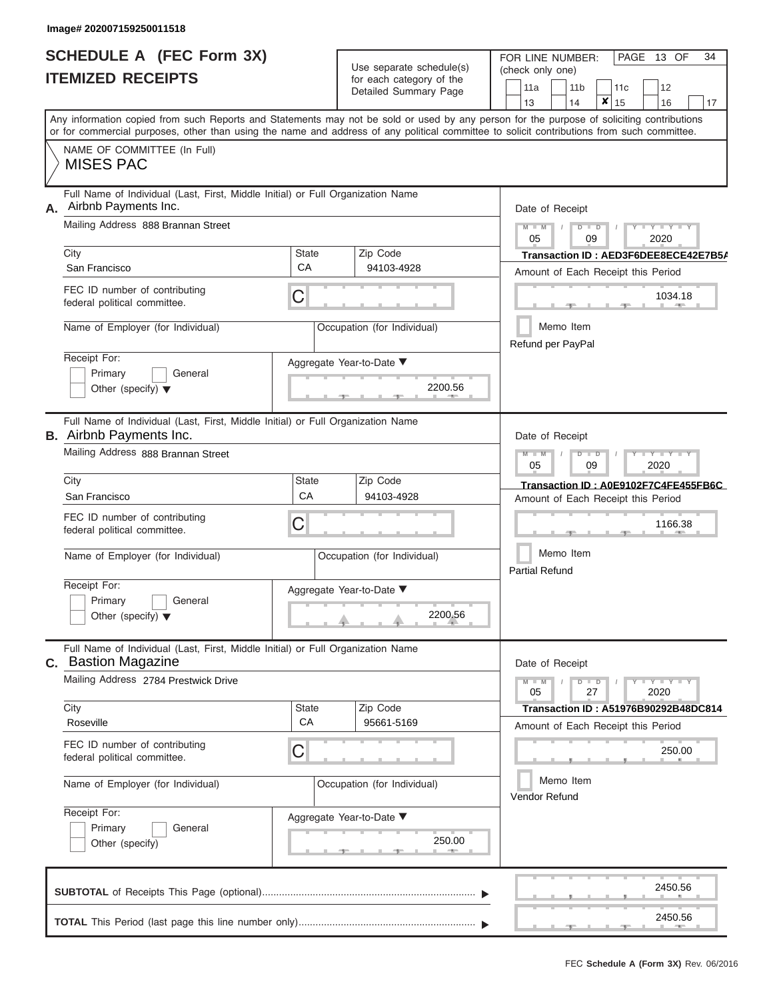#### **Image# 202007159250011518**

| <b>SCHEDULE A (FEC Form 3X)</b> |  |  |
|---------------------------------|--|--|
| <b>ITEMIZED RECEIPTS</b>        |  |  |

Use separate schedule(s) (check only one) for each category of the

FOR LINE NUMBER:<br>(check only one)

PAGE 13 OF 34

|                                                                                                                   |              | Detailed Summary Page               | 11a<br>11 b<br>11c<br>12<br>×<br>13<br>14<br>15<br>16<br>17                                                                                                                                                                                                                             |
|-------------------------------------------------------------------------------------------------------------------|--------------|-------------------------------------|-----------------------------------------------------------------------------------------------------------------------------------------------------------------------------------------------------------------------------------------------------------------------------------------|
|                                                                                                                   |              |                                     | Any information copied from such Reports and Statements may not be sold or used by any person for the purpose of soliciting contributions<br>or for commercial purposes, other than using the name and address of any political committee to solicit contributions from such committee. |
| NAME OF COMMITTEE (In Full)<br><b>MISES PAC</b>                                                                   |              |                                     |                                                                                                                                                                                                                                                                                         |
| Full Name of Individual (Last, First, Middle Initial) or Full Organization Name<br>Airbnb Payments Inc.<br>А.     |              |                                     | Date of Receipt                                                                                                                                                                                                                                                                         |
| Mailing Address 888 Brannan Street                                                                                |              |                                     | $+Y+Y+Y$<br>$M - M$<br>$D$ $D$<br>$\sqrt{ }$<br>05<br>09<br>2020                                                                                                                                                                                                                        |
| City                                                                                                              | <b>State</b> | Zip Code                            | Transaction ID: AED3F6DEE8ECE42E7B5A                                                                                                                                                                                                                                                    |
| San Francisco                                                                                                     | CA           | 94103-4928                          | Amount of Each Receipt this Period                                                                                                                                                                                                                                                      |
| FEC ID number of contributing<br>federal political committee.                                                     | C            |                                     | 1034.18<br><b>CONTRACTOR</b>                                                                                                                                                                                                                                                            |
| Name of Employer (for Individual)                                                                                 |              | Occupation (for Individual)         | Memo Item<br>Refund per PayPal                                                                                                                                                                                                                                                          |
| Receipt For:                                                                                                      |              | Aggregate Year-to-Date ▼            |                                                                                                                                                                                                                                                                                         |
| Primary<br>General<br>Other (specify) $\blacktriangledown$                                                        |              | 2200.56                             |                                                                                                                                                                                                                                                                                         |
| Full Name of Individual (Last, First, Middle Initial) or Full Organization Name<br><b>B.</b> Airbnb Payments Inc. |              |                                     | Date of Receipt                                                                                                                                                                                                                                                                         |
| Mailing Address 888 Brannan Street                                                                                |              |                                     | $D$ $\Box$ $D$<br>$Y - Y - Y - Y - Y$<br>$M - M$<br>$\prime$<br>05<br>09<br>2020                                                                                                                                                                                                        |
| City                                                                                                              | State        | Zip Code                            | Transaction ID: A0E9102F7C4FE455FB6C                                                                                                                                                                                                                                                    |
| San Francisco                                                                                                     | СA           | 94103-4928                          | Amount of Each Receipt this Period                                                                                                                                                                                                                                                      |
| FEC ID number of contributing<br>federal political committee.                                                     | C            |                                     | 1166.38                                                                                                                                                                                                                                                                                 |
| Name of Employer (for Individual)                                                                                 |              | Occupation (for Individual)         | Memo Item<br><b>Partial Refund</b>                                                                                                                                                                                                                                                      |
| Receipt For:<br>Primary<br>General<br>Other (specify) $\blacktriangledown$                                        |              | Aggregate Year-to-Date ▼<br>2200.56 |                                                                                                                                                                                                                                                                                         |
| Full Name of Individual (Last, First, Middle Initial) or Full Organization Name<br><b>Bastion Magazine</b><br>C.  |              |                                     | Date of Receipt                                                                                                                                                                                                                                                                         |
| Mailing Address 2784 Prestwick Drive                                                                              |              |                                     | $Y - Y - Y - Y$<br>$M - M$<br>$D$ $\Box$ $D$<br>05<br>27<br>2020                                                                                                                                                                                                                        |
| City                                                                                                              | <b>State</b> | Zip Code                            | Transaction ID: A51976B90292B48DC814                                                                                                                                                                                                                                                    |
| Roseville                                                                                                         | CA           | 95661-5169                          | Amount of Each Receipt this Period                                                                                                                                                                                                                                                      |
| FEC ID number of contributing<br>federal political committee.                                                     | C            |                                     | 250.00                                                                                                                                                                                                                                                                                  |
| Name of Employer (for Individual)                                                                                 |              | Occupation (for Individual)         | Memo Item<br>Vendor Refund                                                                                                                                                                                                                                                              |
| Receipt For:                                                                                                      |              | Aggregate Year-to-Date ▼            |                                                                                                                                                                                                                                                                                         |
| Primary<br>General<br>Other (specify)                                                                             |              | 250.00                              |                                                                                                                                                                                                                                                                                         |
|                                                                                                                   |              |                                     | 2450.56                                                                                                                                                                                                                                                                                 |
|                                                                                                                   |              |                                     | 2450.56                                                                                                                                                                                                                                                                                 |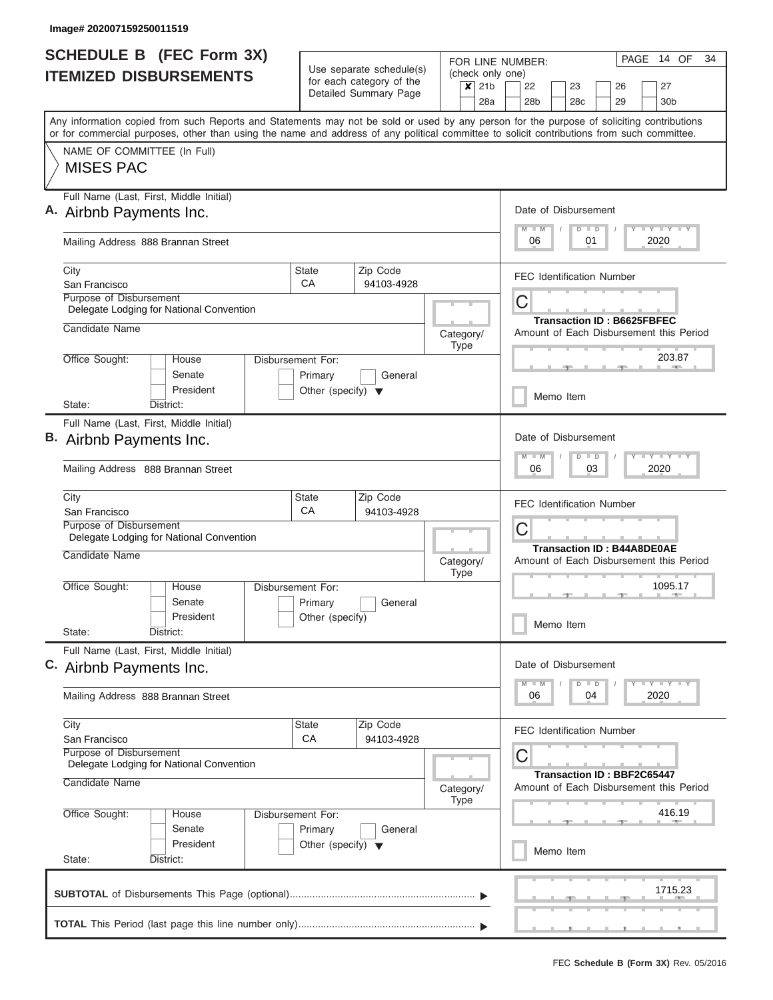| <b>SCHEDULE B (FEC Form 3X)</b>                                                                                                                                                                                                                                                         | Use separate schedule(s)                                   | FOR LINE NUMBER:                   | PAGE 14 OF<br>34                                                                              |
|-----------------------------------------------------------------------------------------------------------------------------------------------------------------------------------------------------------------------------------------------------------------------------------------|------------------------------------------------------------|------------------------------------|-----------------------------------------------------------------------------------------------|
| <b>ITEMIZED DISBURSEMENTS</b>                                                                                                                                                                                                                                                           | for each category of the<br>Detailed Summary Page          | (check only one)<br>$x$ 21b<br>28a | 22<br>27<br>23<br>26<br>28 <sub>b</sub><br>28c<br>29<br>30 <sub>b</sub>                       |
| Any information copied from such Reports and Statements may not be sold or used by any person for the purpose of soliciting contributions<br>or for commercial purposes, other than using the name and address of any political committee to solicit contributions from such committee. |                                                            |                                    |                                                                                               |
| NAME OF COMMITTEE (In Full)<br><b>MISES PAC</b>                                                                                                                                                                                                                                         |                                                            |                                    |                                                                                               |
| Full Name (Last, First, Middle Initial)<br>A. Airbnb Payments Inc.                                                                                                                                                                                                                      |                                                            |                                    | Date of Disbursement<br>$T - Y = T - Y = T - Y$<br>$D$ $D$                                    |
| Mailing Address 888 Brannan Street                                                                                                                                                                                                                                                      |                                                            |                                    | 2020<br>06<br>01                                                                              |
| City<br>San Francisco                                                                                                                                                                                                                                                                   | <b>State</b><br>Zip Code<br>CA<br>94103-4928               |                                    | <b>FEC Identification Number</b>                                                              |
| Purpose of Disbursement<br>Delegate Lodging for National Convention                                                                                                                                                                                                                     |                                                            |                                    | C<br><b>Transaction ID: B6625FBFEC</b>                                                        |
| Candidate Name                                                                                                                                                                                                                                                                          |                                                            | Category/<br>Type                  | Amount of Each Disbursement this Period                                                       |
| Office Sought:<br>House<br>Senate<br>President                                                                                                                                                                                                                                          | Disbursement For:<br>Primary<br>General                    |                                    | 203.87                                                                                        |
| State:<br>District:                                                                                                                                                                                                                                                                     | Other (specify) $\blacktriangledown$                       |                                    | Memo Item                                                                                     |
| Full Name (Last, First, Middle Initial)<br>B. Airbnb Payments Inc.<br>Mailing Address 888 Brannan Street                                                                                                                                                                                |                                                            |                                    | Date of Disbursement<br>$T - Y$ $T - Y$<br>M<br>$D$ $D$<br>$\blacksquare$<br>03<br>2020<br>06 |
| City<br>San Francisco                                                                                                                                                                                                                                                                   | <b>State</b><br>Zip Code<br>CA<br>94103-4928               |                                    | <b>FEC Identification Number</b>                                                              |
| Purpose of Disbursement<br>Delegate Lodging for National Convention                                                                                                                                                                                                                     |                                                            |                                    | C<br><b>Transaction ID: B44A8DE0AE</b>                                                        |
| Candidate Name                                                                                                                                                                                                                                                                          |                                                            | Category/<br><b>Type</b>           | Amount of Each Disbursement this Period                                                       |
| Office Sought:<br>House<br>Senate<br>President                                                                                                                                                                                                                                          | Disbursement For:<br>Primary<br>General<br>Other (specify) |                                    | 1095.17                                                                                       |
| State:<br>District:                                                                                                                                                                                                                                                                     |                                                            |                                    | Memo Item                                                                                     |
| Full Name (Last, First, Middle Initial)<br>C. Airbnb Payments Inc.                                                                                                                                                                                                                      |                                                            |                                    | Date of Disbursement                                                                          |
| Mailing Address 888 Brannan Street                                                                                                                                                                                                                                                      |                                                            |                                    | $T - Y$ $T - Y$ $T - Y$<br>$D$ $D$<br>2020<br>04<br>06                                        |
| City<br>San Francisco<br>Purpose of Disbursement                                                                                                                                                                                                                                        | State<br>Zip Code<br>CA<br>94103-4928                      |                                    | <b>FEC Identification Number</b><br>C                                                         |
| Delegate Lodging for National Convention<br>Candidate Name                                                                                                                                                                                                                              |                                                            | Category/<br><b>Type</b>           | <b>Transaction ID: BBF2C65447</b><br>Amount of Each Disbursement this Period                  |
| Office Sought:<br>House<br>Senate                                                                                                                                                                                                                                                       | Disbursement For:<br>Primary<br>General                    |                                    | 416.19                                                                                        |
| President<br>State:<br>District:                                                                                                                                                                                                                                                        | Other (specify) $\blacktriangledown$                       |                                    | Memo Item                                                                                     |
|                                                                                                                                                                                                                                                                                         |                                                            |                                    | 1715.23                                                                                       |
|                                                                                                                                                                                                                                                                                         |                                                            |                                    | __                                                                                            |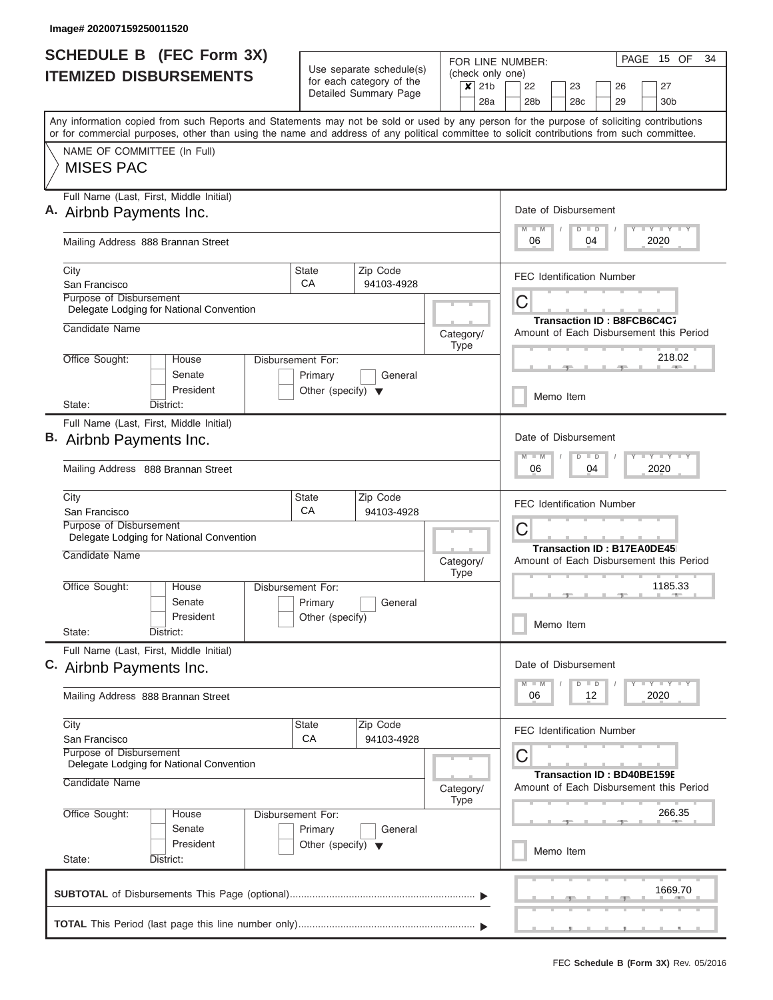| Use separate schedule(s)<br>(check only one)<br><b>ITEMIZED DISBURSEMENTS</b><br>for each category of the<br>$\overline{\mathsf{x}}$ 21b<br>Detailed Summary Page<br>28a<br>Any information copied from such Reports and Statements may not be sold or used by any person for the purpose of soliciting contributions<br>or for commercial purposes, other than using the name and address of any political committee to solicit contributions from such committee.<br>NAME OF COMMITTEE (In Full)<br><b>MISES PAC</b><br>Full Name (Last, First, Middle Initial)<br>A. Airbnb Payments Inc.<br>Mailing Address 888 Brannan Street<br>State<br>Zip Code<br>City<br>CA<br>San Francisco<br>94103-4928<br>Purpose of Disbursement<br>Delegate Lodging for National Convention<br>Candidate Name<br>Category/<br>Type<br>Office Sought:<br>House<br>Disbursement For:<br>Senate<br>General<br>Primary<br>President<br>Other (specify) $\blacktriangledown$<br>State:<br>District:<br>Full Name (Last, First, Middle Initial)<br>B. Airbnb Payments Inc.<br>Mailing Address 888 Brannan Street<br>State<br>Zip Code<br>City | 27<br>22<br>23<br>26<br>28b<br>28c<br>29<br>30 <sub>b</sub><br>Date of Disbursement<br>Y I Y I Y I Y<br>$M - M$<br>$D$ $D$<br>2020<br>06<br>04<br><b>FEC Identification Number</b><br>C<br><b>Transaction ID: B8FCB6C4C7</b><br>Amount of Each Disbursement this Period<br>218.02<br>Memo Item |
|-------------------------------------------------------------------------------------------------------------------------------------------------------------------------------------------------------------------------------------------------------------------------------------------------------------------------------------------------------------------------------------------------------------------------------------------------------------------------------------------------------------------------------------------------------------------------------------------------------------------------------------------------------------------------------------------------------------------------------------------------------------------------------------------------------------------------------------------------------------------------------------------------------------------------------------------------------------------------------------------------------------------------------------------------------------------------------------------------------------------------|------------------------------------------------------------------------------------------------------------------------------------------------------------------------------------------------------------------------------------------------------------------------------------------------|
|                                                                                                                                                                                                                                                                                                                                                                                                                                                                                                                                                                                                                                                                                                                                                                                                                                                                                                                                                                                                                                                                                                                         |                                                                                                                                                                                                                                                                                                |
|                                                                                                                                                                                                                                                                                                                                                                                                                                                                                                                                                                                                                                                                                                                                                                                                                                                                                                                                                                                                                                                                                                                         |                                                                                                                                                                                                                                                                                                |
|                                                                                                                                                                                                                                                                                                                                                                                                                                                                                                                                                                                                                                                                                                                                                                                                                                                                                                                                                                                                                                                                                                                         |                                                                                                                                                                                                                                                                                                |
|                                                                                                                                                                                                                                                                                                                                                                                                                                                                                                                                                                                                                                                                                                                                                                                                                                                                                                                                                                                                                                                                                                                         |                                                                                                                                                                                                                                                                                                |
|                                                                                                                                                                                                                                                                                                                                                                                                                                                                                                                                                                                                                                                                                                                                                                                                                                                                                                                                                                                                                                                                                                                         |                                                                                                                                                                                                                                                                                                |
|                                                                                                                                                                                                                                                                                                                                                                                                                                                                                                                                                                                                                                                                                                                                                                                                                                                                                                                                                                                                                                                                                                                         |                                                                                                                                                                                                                                                                                                |
|                                                                                                                                                                                                                                                                                                                                                                                                                                                                                                                                                                                                                                                                                                                                                                                                                                                                                                                                                                                                                                                                                                                         |                                                                                                                                                                                                                                                                                                |
|                                                                                                                                                                                                                                                                                                                                                                                                                                                                                                                                                                                                                                                                                                                                                                                                                                                                                                                                                                                                                                                                                                                         |                                                                                                                                                                                                                                                                                                |
|                                                                                                                                                                                                                                                                                                                                                                                                                                                                                                                                                                                                                                                                                                                                                                                                                                                                                                                                                                                                                                                                                                                         |                                                                                                                                                                                                                                                                                                |
|                                                                                                                                                                                                                                                                                                                                                                                                                                                                                                                                                                                                                                                                                                                                                                                                                                                                                                                                                                                                                                                                                                                         |                                                                                                                                                                                                                                                                                                |
|                                                                                                                                                                                                                                                                                                                                                                                                                                                                                                                                                                                                                                                                                                                                                                                                                                                                                                                                                                                                                                                                                                                         |                                                                                                                                                                                                                                                                                                |
|                                                                                                                                                                                                                                                                                                                                                                                                                                                                                                                                                                                                                                                                                                                                                                                                                                                                                                                                                                                                                                                                                                                         |                                                                                                                                                                                                                                                                                                |
|                                                                                                                                                                                                                                                                                                                                                                                                                                                                                                                                                                                                                                                                                                                                                                                                                                                                                                                                                                                                                                                                                                                         |                                                                                                                                                                                                                                                                                                |
|                                                                                                                                                                                                                                                                                                                                                                                                                                                                                                                                                                                                                                                                                                                                                                                                                                                                                                                                                                                                                                                                                                                         |                                                                                                                                                                                                                                                                                                |
|                                                                                                                                                                                                                                                                                                                                                                                                                                                                                                                                                                                                                                                                                                                                                                                                                                                                                                                                                                                                                                                                                                                         | Date of Disbursement<br>Y FY FY FY<br>$M - M$<br>$D$ $D$                                                                                                                                                                                                                                       |
|                                                                                                                                                                                                                                                                                                                                                                                                                                                                                                                                                                                                                                                                                                                                                                                                                                                                                                                                                                                                                                                                                                                         | 2020<br>06<br>04                                                                                                                                                                                                                                                                               |
| CA<br>San Francisco<br>94103-4928                                                                                                                                                                                                                                                                                                                                                                                                                                                                                                                                                                                                                                                                                                                                                                                                                                                                                                                                                                                                                                                                                       | <b>FEC Identification Number</b>                                                                                                                                                                                                                                                               |
| Purpose of Disbursement<br>Delegate Lodging for National Convention                                                                                                                                                                                                                                                                                                                                                                                                                                                                                                                                                                                                                                                                                                                                                                                                                                                                                                                                                                                                                                                     | C                                                                                                                                                                                                                                                                                              |
| Candidate Name<br>Category/<br><b>Type</b>                                                                                                                                                                                                                                                                                                                                                                                                                                                                                                                                                                                                                                                                                                                                                                                                                                                                                                                                                                                                                                                                              | <b>Transaction ID: B17EA0DE45</b><br>Amount of Each Disbursement this Period                                                                                                                                                                                                                   |
| Office Sought:<br>Disbursement For:<br>House<br>Senate<br>Primary<br>General                                                                                                                                                                                                                                                                                                                                                                                                                                                                                                                                                                                                                                                                                                                                                                                                                                                                                                                                                                                                                                            | 1185.33                                                                                                                                                                                                                                                                                        |
| President<br>Other (specify)<br>State:<br>District:                                                                                                                                                                                                                                                                                                                                                                                                                                                                                                                                                                                                                                                                                                                                                                                                                                                                                                                                                                                                                                                                     | Memo Item                                                                                                                                                                                                                                                                                      |
| Full Name (Last, First, Middle Initial)<br>C. Airbnb Payments Inc.                                                                                                                                                                                                                                                                                                                                                                                                                                                                                                                                                                                                                                                                                                                                                                                                                                                                                                                                                                                                                                                      | Date of Disbursement                                                                                                                                                                                                                                                                           |
| Mailing Address 888 Brannan Street                                                                                                                                                                                                                                                                                                                                                                                                                                                                                                                                                                                                                                                                                                                                                                                                                                                                                                                                                                                                                                                                                      | $Y - Y - Y - Y - I - Y$<br>$M - M$<br>$D$ $D$<br>2020<br>06<br>12                                                                                                                                                                                                                              |
| Zip Code<br>City<br>State                                                                                                                                                                                                                                                                                                                                                                                                                                                                                                                                                                                                                                                                                                                                                                                                                                                                                                                                                                                                                                                                                               |                                                                                                                                                                                                                                                                                                |
| CA<br>94103-4928<br>San Francisco<br>Purpose of Disbursement<br>Delegate Lodging for National Convention                                                                                                                                                                                                                                                                                                                                                                                                                                                                                                                                                                                                                                                                                                                                                                                                                                                                                                                                                                                                                | <b>FEC Identification Number</b><br>C                                                                                                                                                                                                                                                          |
| Candidate Name<br>Category/<br><b>Type</b>                                                                                                                                                                                                                                                                                                                                                                                                                                                                                                                                                                                                                                                                                                                                                                                                                                                                                                                                                                                                                                                                              | <b>Transaction ID: BD40BE159E</b><br>Amount of Each Disbursement this Period                                                                                                                                                                                                                   |
| Office Sought:<br>Disbursement For:<br>House<br>Senate<br>Primary<br>General                                                                                                                                                                                                                                                                                                                                                                                                                                                                                                                                                                                                                                                                                                                                                                                                                                                                                                                                                                                                                                            | 266.35                                                                                                                                                                                                                                                                                         |
| President<br>Other (specify) $\blacktriangledown$<br>State:<br>District:                                                                                                                                                                                                                                                                                                                                                                                                                                                                                                                                                                                                                                                                                                                                                                                                                                                                                                                                                                                                                                                | Memo Item                                                                                                                                                                                                                                                                                      |
|                                                                                                                                                                                                                                                                                                                                                                                                                                                                                                                                                                                                                                                                                                                                                                                                                                                                                                                                                                                                                                                                                                                         |                                                                                                                                                                                                                                                                                                |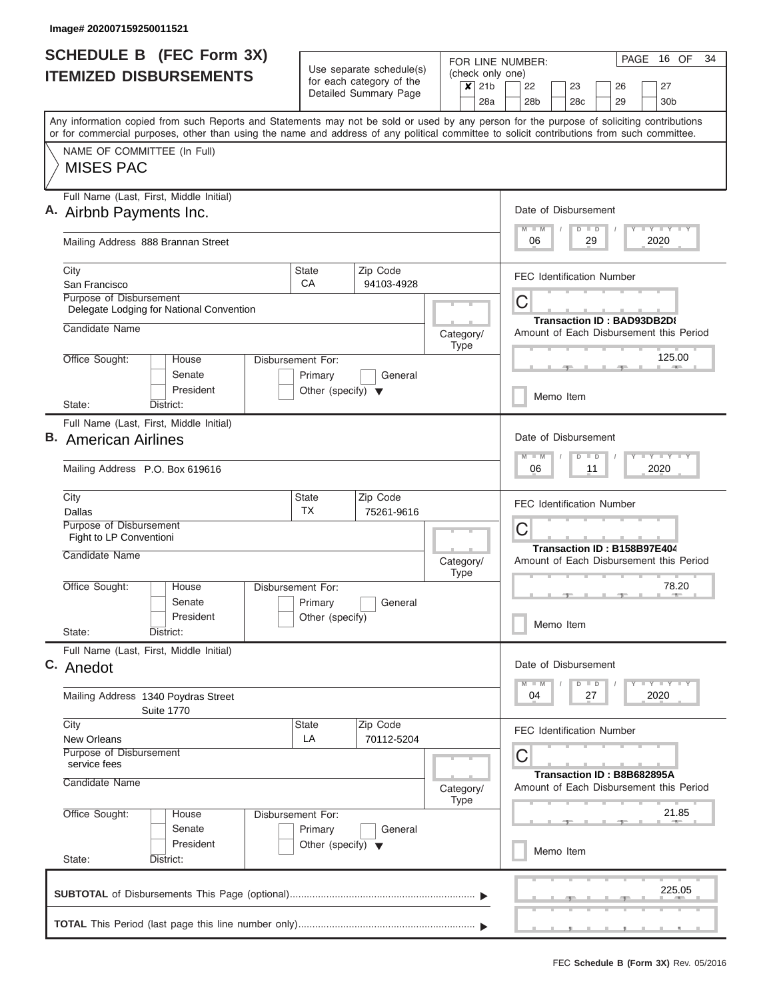| <b>SCHEDULE B</b> (FEC Form 3X)                                                                                                                                                                                                                                                         |                                                                      | Use separate schedule(s)                          |                          | (check only one)                   | PAGE 16 OF<br>34<br>FOR LINE NUMBER:                                                      |
|-----------------------------------------------------------------------------------------------------------------------------------------------------------------------------------------------------------------------------------------------------------------------------------------|----------------------------------------------------------------------|---------------------------------------------------|--------------------------|------------------------------------|-------------------------------------------------------------------------------------------|
| <b>ITEMIZED DISBURSEMENTS</b>                                                                                                                                                                                                                                                           |                                                                      | for each category of the<br>Detailed Summary Page |                          | $\overline{\mathsf{x}}$ 21b<br>28a | 22<br>23<br>27<br>26<br>28 <sub>b</sub><br>28c<br>29<br>30b                               |
| Any information copied from such Reports and Statements may not be sold or used by any person for the purpose of soliciting contributions<br>or for commercial purposes, other than using the name and address of any political committee to solicit contributions from such committee. |                                                                      |                                                   |                          |                                    |                                                                                           |
| NAME OF COMMITTEE (In Full)<br><b>MISES PAC</b>                                                                                                                                                                                                                                         |                                                                      |                                                   |                          |                                    |                                                                                           |
| Full Name (Last, First, Middle Initial)<br>A. Airbnb Payments Inc.                                                                                                                                                                                                                      |                                                                      |                                                   |                          |                                    | Date of Disbursement<br>Y I Y I Y I Y<br>$M$ $M$<br>$D$ $D$                               |
| Mailing Address 888 Brannan Street                                                                                                                                                                                                                                                      |                                                                      |                                                   |                          |                                    | 2020<br>06<br>29                                                                          |
| City<br>San Francisco                                                                                                                                                                                                                                                                   | State<br>CA                                                          | Zip Code<br>94103-4928                            |                          |                                    | <b>FEC Identification Number</b>                                                          |
| Purpose of Disbursement<br>Delegate Lodging for National Convention                                                                                                                                                                                                                     |                                                                      |                                                   |                          |                                    | C<br>Transaction ID: BAD93DB2D8                                                           |
| Candidate Name                                                                                                                                                                                                                                                                          |                                                                      |                                                   | Category/<br><b>Type</b> |                                    | Amount of Each Disbursement this Period                                                   |
| Office Sought:<br>House<br>Senate<br>President                                                                                                                                                                                                                                          | Disbursement For:<br>Primary<br>Other (specify) $\blacktriangledown$ | General                                           |                          |                                    | 125.00                                                                                    |
| State:<br>District:                                                                                                                                                                                                                                                                     |                                                                      |                                                   |                          |                                    | Memo Item                                                                                 |
| Full Name (Last, First, Middle Initial)<br><b>B.</b> American Airlines                                                                                                                                                                                                                  |                                                                      |                                                   |                          |                                    | Date of Disbursement<br>$T - Y$ $T - Y$ $T - Y$<br>$M - M$<br>$D$ $D$<br>2020<br>06<br>11 |
| Mailing Address P.O. Box 619616                                                                                                                                                                                                                                                         |                                                                      |                                                   |                          |                                    |                                                                                           |
| City<br>Dallas<br>Purpose of Disbursement                                                                                                                                                                                                                                               | State<br><b>TX</b>                                                   | Zip Code<br>75261-9616                            |                          |                                    | <b>FEC Identification Number</b><br>C                                                     |
| Fight to LP Conventioni<br>Candidate Name                                                                                                                                                                                                                                               |                                                                      |                                                   | Category/<br><b>Type</b> |                                    | Transaction ID: B158B97E404<br>Amount of Each Disbursement this Period                    |
| Office Sought:<br>House<br>Senate                                                                                                                                                                                                                                                       | Disbursement For:<br>Primary                                         | General                                           |                          |                                    | 78.20<br><b>ARCHITECT</b>                                                                 |
| President<br>State:<br>District:                                                                                                                                                                                                                                                        | Other (specify)                                                      |                                                   |                          |                                    | Memo Item                                                                                 |
| Full Name (Last, First, Middle Initial)<br>C. Anedot                                                                                                                                                                                                                                    |                                                                      |                                                   |                          |                                    | Date of Disbursement<br>$T - Y$ $T - Y$<br>$D$ $D$                                        |
| Mailing Address 1340 Poydras Street<br><b>Suite 1770</b>                                                                                                                                                                                                                                |                                                                      |                                                   |                          |                                    | 2020<br>04<br>27                                                                          |
| City<br><b>New Orleans</b><br>Purpose of Disbursement                                                                                                                                                                                                                                   | State<br>LA                                                          | Zip Code<br>70112-5204                            |                          |                                    | <b>FEC Identification Number</b><br>С                                                     |
|                                                                                                                                                                                                                                                                                         |                                                                      |                                                   | Category/                |                                    | Transaction ID: B8B682895A<br>Amount of Each Disbursement this Period                     |
| service fees<br>Candidate Name                                                                                                                                                                                                                                                          |                                                                      |                                                   |                          |                                    |                                                                                           |
| Office Sought:<br>House<br>Senate<br>President                                                                                                                                                                                                                                          | Disbursement For:<br>Primary<br>Other (specify) $\blacktriangledown$ | General                                           | <b>Type</b>              |                                    | 21.85                                                                                     |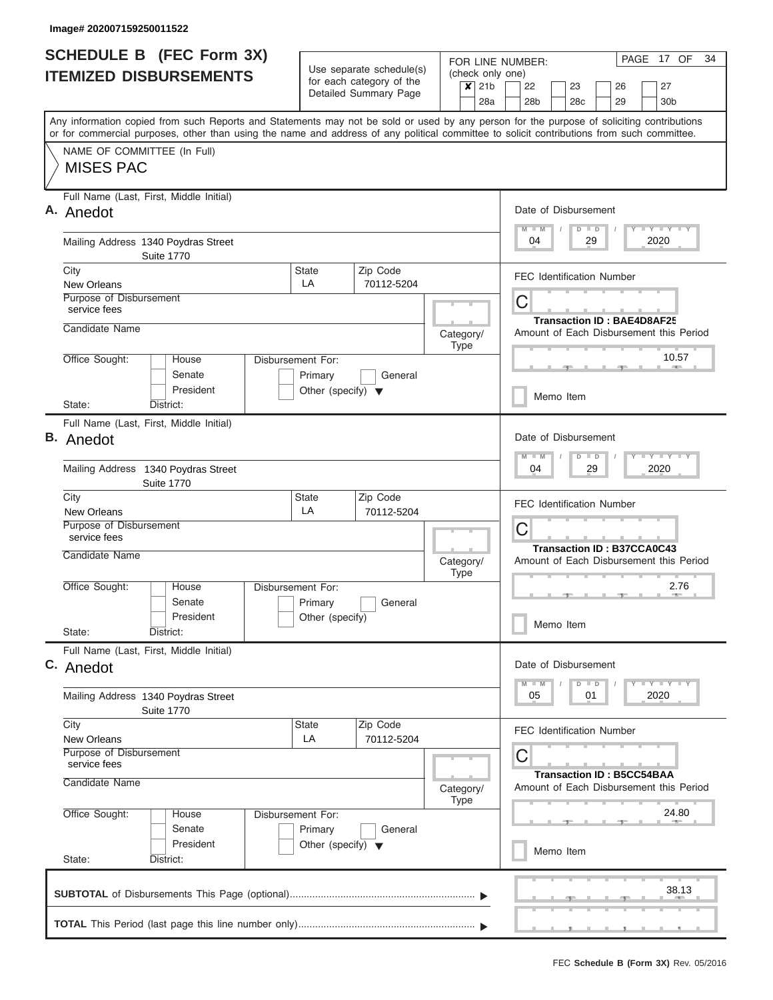| <b>SCHEDULE B</b> (FEC Form 3X)                                                                                                                                                                                                                                                         |                                                                      | Use separate schedule(s)                                          |                          | (check only one)                 | FOR LINE NUMBER:                                                    |                                   |                                         |                                                                               | PAGE 17 OF<br>34                                 |  |  |  |
|-----------------------------------------------------------------------------------------------------------------------------------------------------------------------------------------------------------------------------------------------------------------------------------------|----------------------------------------------------------------------|-------------------------------------------------------------------|--------------------------|----------------------------------|---------------------------------------------------------------------|-----------------------------------|-----------------------------------------|-------------------------------------------------------------------------------|--------------------------------------------------|--|--|--|
| <b>ITEMIZED DISBURSEMENTS</b>                                                                                                                                                                                                                                                           |                                                                      | for each category of the<br>Detailed Summary Page                 |                          |                                  | 22<br>28b                                                           | 23<br>28 <sub>c</sub>             |                                         | 26<br>29                                                                      | 27<br>30 <sub>b</sub>                            |  |  |  |
| Any information copied from such Reports and Statements may not be sold or used by any person for the purpose of soliciting contributions<br>or for commercial purposes, other than using the name and address of any political committee to solicit contributions from such committee. |                                                                      |                                                                   |                          | 28a                              |                                                                     |                                   |                                         |                                                                               |                                                  |  |  |  |
| NAME OF COMMITTEE (In Full)<br><b>MISES PAC</b>                                                                                                                                                                                                                                         |                                                                      |                                                                   |                          |                                  |                                                                     |                                   |                                         |                                                                               |                                                  |  |  |  |
| Full Name (Last, First, Middle Initial)<br>A. Anedot                                                                                                                                                                                                                                    |                                                                      |                                                                   |                          |                                  |                                                                     | Date of Disbursement              |                                         |                                                                               |                                                  |  |  |  |
| Mailing Address 1340 Poydras Street<br><b>Suite 1770</b>                                                                                                                                                                                                                                |                                                                      |                                                                   |                          |                                  | $M - M$<br>04                                                       | $D$ $D$                           | 29                                      |                                                                               | Y LY LY LY<br>2020                               |  |  |  |
| City<br><b>New Orleans</b>                                                                                                                                                                                                                                                              | <b>State</b><br>LA                                                   | Zip Code<br>70112-5204                                            |                          |                                  |                                                                     | <b>FEC Identification Number</b>  |                                         |                                                                               |                                                  |  |  |  |
| Purpose of Disbursement<br>service fees                                                                                                                                                                                                                                                 |                                                                      |                                                                   |                          |                                  | C                                                                   | <b>Transaction ID: BAE4D8AF25</b> |                                         |                                                                               |                                                  |  |  |  |
| Candidate Name<br>House                                                                                                                                                                                                                                                                 |                                                                      |                                                                   | Category/<br><b>Type</b> |                                  |                                                                     |                                   |                                         |                                                                               | Amount of Each Disbursement this Period<br>10.57 |  |  |  |
| Office Sought:<br>Senate<br>President                                                                                                                                                                                                                                                   | Disbursement For:<br>Primary<br>Other (specify) $\blacktriangledown$ | General                                                           |                          |                                  |                                                                     |                                   |                                         |                                                                               | <b>CONTRACTOR</b>                                |  |  |  |
| State:<br>District:                                                                                                                                                                                                                                                                     |                                                                      |                                                                   |                          |                                  | Memo Item                                                           |                                   |                                         |                                                                               |                                                  |  |  |  |
| Full Name (Last, First, Middle Initial)<br><b>B.</b> Anedot                                                                                                                                                                                                                             |                                                                      |                                                                   |                          | $M - M$                          | Date of Disbursement<br>$D$ $D$                                     |                                   |                                         | Y FY FY FY                                                                    |                                                  |  |  |  |
| Mailing Address 1340 Poydras Street<br><b>Suite 1770</b>                                                                                                                                                                                                                                |                                                                      |                                                                   |                          |                                  |                                                                     | 29<br>2020<br>04                  |                                         |                                                                               |                                                  |  |  |  |
| City<br><b>New Orleans</b>                                                                                                                                                                                                                                                              | State<br>LA                                                          | Zip Code<br>70112-5204                                            |                          |                                  |                                                                     | <b>FEC Identification Number</b>  |                                         |                                                                               |                                                  |  |  |  |
| Purpose of Disbursement<br>service fees                                                                                                                                                                                                                                                 |                                                                      |                                                                   |                          |                                  | C                                                                   | <b>Transaction ID: B37CCA0C43</b> |                                         |                                                                               |                                                  |  |  |  |
| Candidate Name<br>House                                                                                                                                                                                                                                                                 |                                                                      | Category/<br><b>Type</b><br>Primary<br>General<br>Other (specify) |                          |                                  | Amount of Each Disbursement this Period<br>2.76<br><b>ARCHITECT</b> |                                   |                                         |                                                                               |                                                  |  |  |  |
| Office Sought:<br>Senate<br>President                                                                                                                                                                                                                                                   | Disbursement For:                                                    |                                                                   |                          |                                  |                                                                     |                                   |                                         |                                                                               |                                                  |  |  |  |
| State:<br>District:                                                                                                                                                                                                                                                                     |                                                                      |                                                                   |                          |                                  | Memo Item                                                           |                                   |                                         |                                                                               |                                                  |  |  |  |
| Full Name (Last, First, Middle Initial)<br>C. Anedot                                                                                                                                                                                                                                    |                                                                      |                                                                   |                          |                                  |                                                                     |                                   | Date of Disbursement                    |                                                                               |                                                  |  |  |  |
| <b>Suite 1770</b>                                                                                                                                                                                                                                                                       | Mailing Address 1340 Poydras Street                                  |                                                                   |                          |                                  |                                                                     |                                   |                                         | $Y - Y - Y - Y - I - Y$<br>$M - M$<br>D<br>$\blacksquare$<br>2020<br>05<br>01 |                                                  |  |  |  |
| City<br><b>New Orleans</b>                                                                                                                                                                                                                                                              | Zip Code<br><b>State</b><br>LA<br>70112-5204                         |                                                                   |                          |                                  |                                                                     |                                   | <b>FEC Identification Number</b>        |                                                                               |                                                  |  |  |  |
| Purpose of Disbursement<br>service fees<br>Candidate Name                                                                                                                                                                                                                               | Category/                                                            |                                                                   | C                        | <b>Transaction ID: B5CC54BAA</b> |                                                                     |                                   | Amount of Each Disbursement this Period |                                                                               |                                                  |  |  |  |
| Office Sought:<br>House<br>Senate                                                                                                                                                                                                                                                       | Disbursement For:<br>Primary                                         | General                                                           | <b>Type</b>              |                                  |                                                                     |                                   |                                         |                                                                               | 24.80                                            |  |  |  |
| President<br>State:<br>District:                                                                                                                                                                                                                                                        | Other (specify) $\blacktriangledown$                                 |                                                                   |                          |                                  |                                                                     | Memo Item                         |                                         |                                                                               |                                                  |  |  |  |
|                                                                                                                                                                                                                                                                                         |                                                                      |                                                                   |                          |                                  |                                                                     |                                   |                                         |                                                                               | 38.13                                            |  |  |  |
|                                                                                                                                                                                                                                                                                         |                                                                      |                                                                   |                          |                                  |                                                                     |                                   |                                         |                                                                               |                                                  |  |  |  |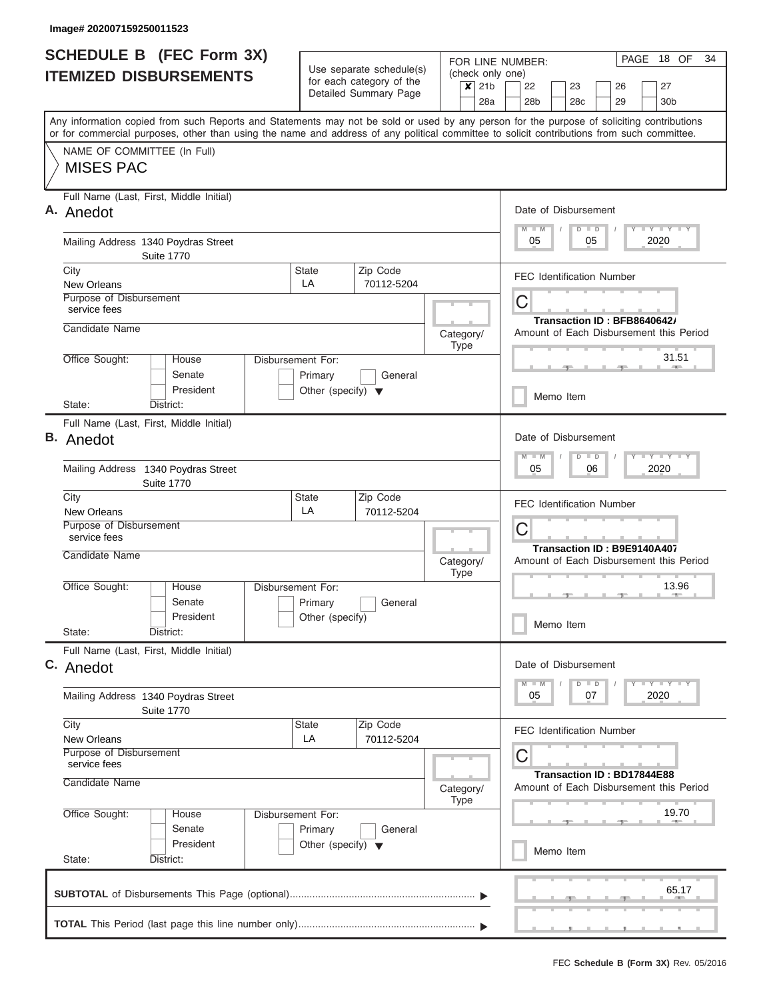| <b>SCHEDULE B</b> (FEC Form 3X)<br><b>ITEMIZED DISBURSEMENTS</b>                                                                                                                                                                                                                        | Use separate schedule(s)                                             | FOR LINE NUMBER:<br>(check only one)              | PAGE 18 OF<br>34                   |                                                                         |
|-----------------------------------------------------------------------------------------------------------------------------------------------------------------------------------------------------------------------------------------------------------------------------------------|----------------------------------------------------------------------|---------------------------------------------------|------------------------------------|-------------------------------------------------------------------------|
|                                                                                                                                                                                                                                                                                         |                                                                      | for each category of the<br>Detailed Summary Page | $\overline{\mathsf{x}}$ 21b<br>28a | 22<br>23<br>26<br>27<br>28c<br>29<br>28 <sub>b</sub><br>30 <sub>b</sub> |
| Any information copied from such Reports and Statements may not be sold or used by any person for the purpose of soliciting contributions<br>or for commercial purposes, other than using the name and address of any political committee to solicit contributions from such committee. |                                                                      |                                                   |                                    |                                                                         |
| NAME OF COMMITTEE (In Full)<br><b>MISES PAC</b>                                                                                                                                                                                                                                         |                                                                      |                                                   |                                    |                                                                         |
| Full Name (Last, First, Middle Initial)<br>A. Anedot                                                                                                                                                                                                                                    |                                                                      |                                                   |                                    | Date of Disbursement<br>Y LY LY LY<br>$M - M$<br>$D$ $D$                |
| Mailing Address 1340 Poydras Street<br><b>Suite 1770</b>                                                                                                                                                                                                                                |                                                                      |                                                   |                                    | 2020<br>05<br>05                                                        |
| City<br>New Orleans                                                                                                                                                                                                                                                                     | <b>State</b><br>LA                                                   | Zip Code<br>70112-5204                            |                                    | <b>FEC Identification Number</b>                                        |
| Purpose of Disbursement<br>service fees                                                                                                                                                                                                                                                 |                                                                      |                                                   |                                    | С<br>Transaction ID: BFB8640642/                                        |
| Candidate Name                                                                                                                                                                                                                                                                          |                                                                      |                                                   | Category/<br>Type                  | Amount of Each Disbursement this Period                                 |
| Office Sought:<br>House<br>Senate<br>President                                                                                                                                                                                                                                          | Disbursement For:<br>Primary                                         | General                                           |                                    | 31.51                                                                   |
| State:<br>District:                                                                                                                                                                                                                                                                     | Other (specify) $\blacktriangledown$                                 |                                                   |                                    | Memo Item                                                               |
| Full Name (Last, First, Middle Initial)<br>В.<br>Anedot                                                                                                                                                                                                                                 |                                                                      |                                                   |                                    | Date of Disbursement                                                    |
| Mailing Address 1340 Poydras Street<br><b>Suite 1770</b>                                                                                                                                                                                                                                |                                                                      |                                                   |                                    | Y - Y - Y - Y<br>$M - M$<br>$D$ $D$<br>2020<br>05<br>06                 |
| City<br>New Orleans                                                                                                                                                                                                                                                                     | <b>State</b><br>LA                                                   | Zip Code<br>70112-5204                            |                                    | <b>FEC Identification Number</b>                                        |
| Purpose of Disbursement<br>service fees                                                                                                                                                                                                                                                 |                                                                      |                                                   |                                    | С<br>Transaction ID: B9E9140A407                                        |
| Candidate Name                                                                                                                                                                                                                                                                          |                                                                      |                                                   | Category/<br><b>Type</b>           | Amount of Each Disbursement this Period                                 |
| Office Sought:<br>House<br>Senate<br>President                                                                                                                                                                                                                                          | Disbursement For:<br>Primary<br>Other (specify)                      | General                                           |                                    | 13.96                                                                   |
| State:<br>District:                                                                                                                                                                                                                                                                     |                                                                      |                                                   |                                    | Memo Item                                                               |
| Full Name (Last, First, Middle Initial)<br>C. Anedot                                                                                                                                                                                                                                    |                                                                      |                                                   |                                    | Date of Disbursement<br>Y FY FY FY<br>$M - M$<br>$D$ $D$                |
| Mailing Address 1340 Poydras Street<br><b>Suite 1770</b>                                                                                                                                                                                                                                |                                                                      |                                                   |                                    | 2020<br>05<br>07                                                        |
| City<br><b>New Orleans</b>                                                                                                                                                                                                                                                              | State<br>LA                                                          | Zip Code<br>70112-5204                            |                                    | <b>FEC Identification Number</b>                                        |
| Purpose of Disbursement<br>service fees<br>Candidate Name                                                                                                                                                                                                                               |                                                                      |                                                   |                                    | С<br>Transaction ID: BD17844E88                                         |
|                                                                                                                                                                                                                                                                                         |                                                                      |                                                   | Category/<br>Type                  | Amount of Each Disbursement this Period                                 |
| Office Sought:<br>House<br>Senate<br>President                                                                                                                                                                                                                                          | Disbursement For:<br>Primary<br>Other (specify) $\blacktriangledown$ | General                                           |                                    | 19.70<br>Memo Item                                                      |
| State:<br>District:                                                                                                                                                                                                                                                                     |                                                                      |                                                   |                                    |                                                                         |
|                                                                                                                                                                                                                                                                                         |                                                                      |                                                   |                                    | 65.17                                                                   |
|                                                                                                                                                                                                                                                                                         |                                                                      |                                                   |                                    |                                                                         |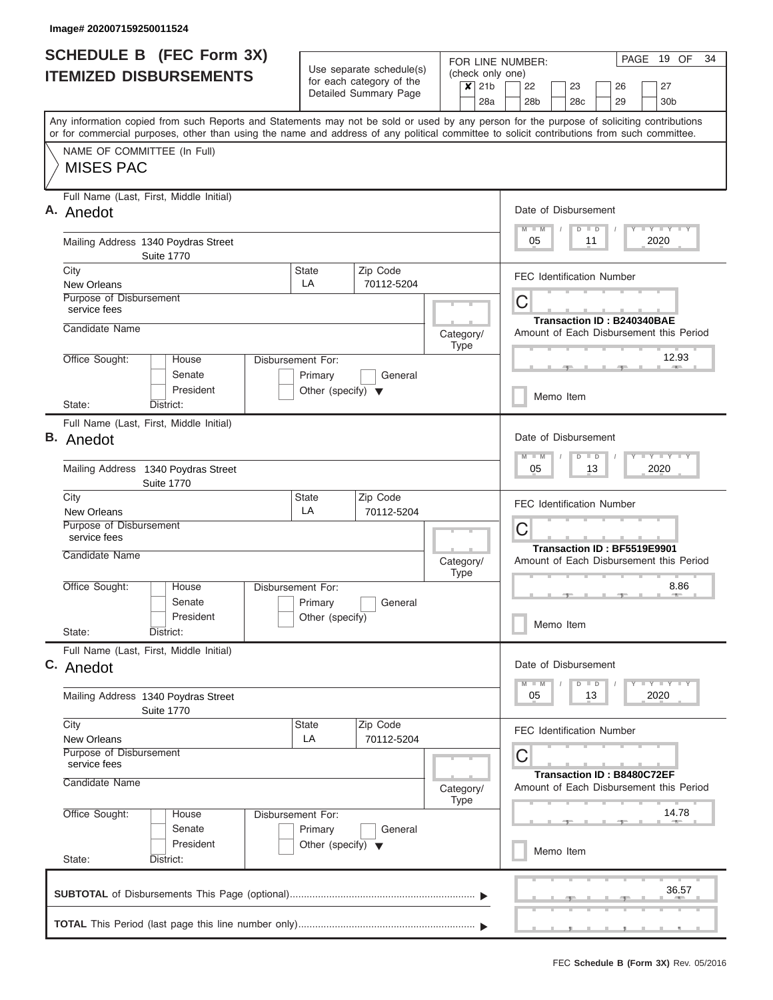| <b>SCHEDULE B</b> (FEC Form 3X)                                                                                                                                                                                                                                                         |                                                                      | Use separate schedule(s) | FOR LINE NUMBER:            |     |                                         |           |                      |                                   |  | PAGE 19 OF                                                    | 34 |
|-----------------------------------------------------------------------------------------------------------------------------------------------------------------------------------------------------------------------------------------------------------------------------------------|----------------------------------------------------------------------|--------------------------|-----------------------------|-----|-----------------------------------------|-----------|----------------------|-----------------------------------|--|---------------------------------------------------------------|----|
| <b>ITEMIZED DISBURSEMENTS</b>                                                                                                                                                                                                                                                           |                                                                      | for each category of the | (check only one)<br>$x$ 21b |     | 22                                      |           | 23                   | 26                                |  | 27                                                            |    |
|                                                                                                                                                                                                                                                                                         |                                                                      | Detailed Summary Page    |                             | 28a | 28 <sub>b</sub>                         |           | 28c                  | 29                                |  | 30b                                                           |    |
| Any information copied from such Reports and Statements may not be sold or used by any person for the purpose of soliciting contributions<br>or for commercial purposes, other than using the name and address of any political committee to solicit contributions from such committee. |                                                                      |                          |                             |     |                                         |           |                      |                                   |  |                                                               |    |
| NAME OF COMMITTEE (In Full)<br><b>MISES PAC</b>                                                                                                                                                                                                                                         |                                                                      |                          |                             |     |                                         |           |                      |                                   |  |                                                               |    |
| Full Name (Last, First, Middle Initial)<br>A. Anedot                                                                                                                                                                                                                                    |                                                                      |                          |                             |     | Date of Disbursement<br>$M - M$         |           | $D$ $D$              |                                   |  | Y I Y I Y I Y                                                 |    |
| Mailing Address 1340 Poydras Street<br><b>Suite 1770</b>                                                                                                                                                                                                                                |                                                                      |                          |                             |     | 05                                      |           | 11                   |                                   |  | 2020                                                          |    |
| City<br>New Orleans                                                                                                                                                                                                                                                                     | <b>State</b><br>LA                                                   | Zip Code<br>70112-5204   |                             |     | FEC Identification Number               |           |                      |                                   |  |                                                               |    |
| Purpose of Disbursement<br>service fees                                                                                                                                                                                                                                                 |                                                                      |                          |                             |     | С                                       |           |                      | <b>Transaction ID: B240340BAE</b> |  |                                                               |    |
| Candidate Name                                                                                                                                                                                                                                                                          |                                                                      |                          | Category/<br><b>Type</b>    |     | Amount of Each Disbursement this Period |           |                      |                                   |  |                                                               |    |
| Office Sought:<br>House<br>Senate<br>President                                                                                                                                                                                                                                          | Disbursement For:<br>Primary<br>Other (specify) $\blacktriangledown$ | General                  |                             |     |                                         |           |                      |                                   |  | 12.93<br><b>CONTRACTOR</b>                                    |    |
| State:<br>District:                                                                                                                                                                                                                                                                     |                                                                      |                          |                             |     |                                         | Memo Item |                      |                                   |  |                                                               |    |
| Full Name (Last, First, Middle Initial)<br><b>B.</b> Anedot                                                                                                                                                                                                                             |                                                                      |                          |                             |     | Date of Disbursement                    |           |                      |                                   |  |                                                               |    |
| Mailing Address 1340 Poydras Street<br><b>Suite 1770</b>                                                                                                                                                                                                                                |                                                                      |                          |                             |     | $M - M$<br>05                           |           | $D$ $D$<br>13        |                                   |  | $T - Y$ $T - Y$ $T - Y$<br>2020                               |    |
| City<br><b>New Orleans</b>                                                                                                                                                                                                                                                              | <b>State</b><br>LA                                                   | Zip Code<br>70112-5204   |                             |     | <b>FEC Identification Number</b>        |           |                      |                                   |  |                                                               |    |
| Purpose of Disbursement<br>service fees                                                                                                                                                                                                                                                 |                                                                      |                          |                             |     | С                                       |           |                      | Transaction ID: BF5519E9901       |  |                                                               |    |
| Candidate Name                                                                                                                                                                                                                                                                          | Category/<br><b>Type</b>                                             |                          |                             |     | Amount of Each Disbursement this Period |           |                      |                                   |  |                                                               |    |
| Office Sought:<br>House<br>Senate                                                                                                                                                                                                                                                       | Disbursement For:<br>Primary                                         | General                  |                             |     |                                         |           |                      |                                   |  | 8.86<br>$-100$                                                |    |
| President<br>State:<br>District:                                                                                                                                                                                                                                                        | Other (specify)                                                      |                          |                             |     | Memo Item                               |           |                      |                                   |  |                                                               |    |
| Full Name (Last, First, Middle Initial)<br>C. Anedot                                                                                                                                                                                                                                    |                                                                      |                          |                             |     | Date of Disbursement                    |           |                      |                                   |  |                                                               |    |
| Mailing Address 1340 Poydras Street<br><b>Suite 1770</b>                                                                                                                                                                                                                                |                                                                      |                          |                             |     | 05                                      |           | $\blacksquare$<br>13 |                                   |  | $\Box$ $\Upsilon$ $\Box$ $\Upsilon$ $\Box$ $\Upsilon$<br>2020 |    |
| City<br><b>New Orleans</b>                                                                                                                                                                                                                                                              | State<br>LA                                                          | Zip Code<br>70112-5204   |                             |     | <b>FEC Identification Number</b>        |           |                      |                                   |  |                                                               |    |
| Purpose of Disbursement<br>service fees<br>Candidate Name                                                                                                                                                                                                                               |                                                                      |                          |                             |     | С                                       |           |                      | <b>Transaction ID: B8480C72EF</b> |  |                                                               |    |
| Office Sought:<br>House                                                                                                                                                                                                                                                                 | Disbursement For:                                                    |                          | Category/<br><b>Type</b>    |     | Amount of Each Disbursement this Period |           |                      |                                   |  | 14.78                                                         |    |
| Senate<br>President                                                                                                                                                                                                                                                                     | Primary<br>Other (specify) $\blacktriangledown$                      | General                  |                             |     |                                         | Memo Item |                      |                                   |  |                                                               |    |
| State:<br>District:                                                                                                                                                                                                                                                                     |                                                                      |                          |                             |     |                                         |           |                      |                                   |  | 36.57                                                         |    |
|                                                                                                                                                                                                                                                                                         |                                                                      |                          |                             |     |                                         |           |                      |                                   |  |                                                               |    |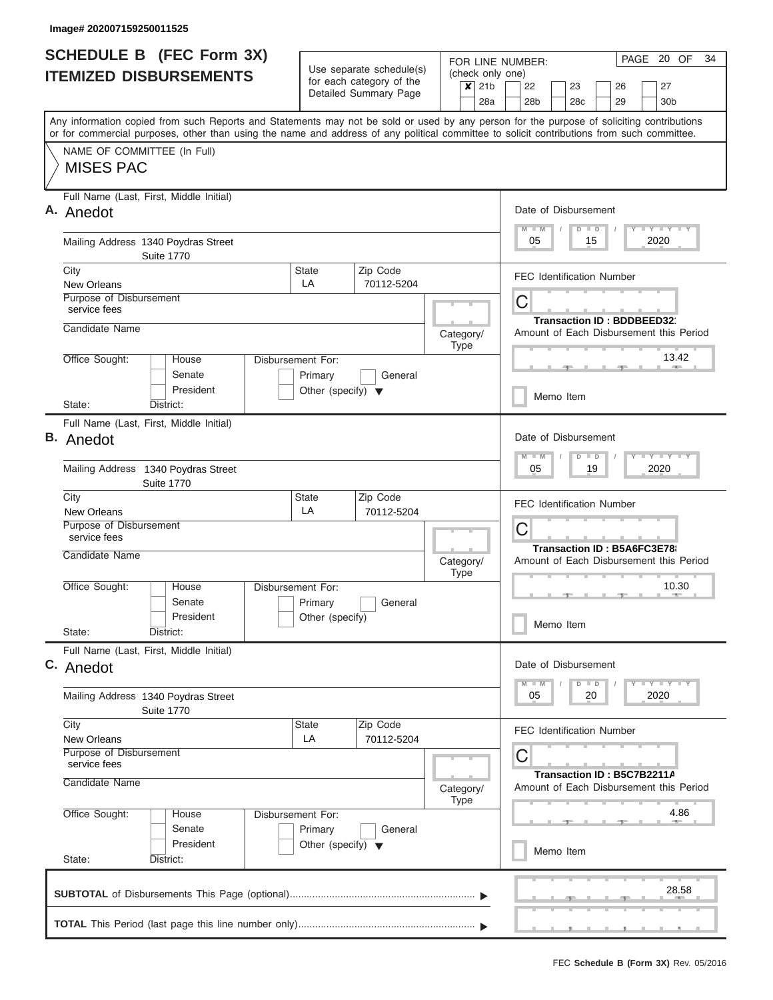| Any information copied from such Reports and Statements may not be sold or used by any person for the purpose of soliciting contributions<br>or for commercial purposes, other than using the name and address of any political committee to solicit contributions from such committee.<br>NAME OF COMMITTEE (In Full)<br><b>MISES PAC</b><br>Full Name (Last, First, Middle Initial)<br>A. Anedot<br>Mailing Address 1340 Poydras Street<br><b>Suite 1770</b><br>City<br><b>State</b><br>LA<br>New Orleans<br>Purpose of Disbursement<br>service fees<br>Candidate Name<br>Office Sought:<br>Disbursement For:<br>House<br>Senate<br>Primary<br>President<br>Other (specify) $\blacktriangledown$<br>State:<br>District:<br>Full Name (Last, First, Middle Initial)<br><b>B.</b> Anedot<br>Mailing Address 1340 Poydras Street<br><b>Suite 1770</b><br>City<br><b>State</b><br>LA<br><b>New Orleans</b><br>Purpose of Disbursement<br>service fees | Zip Code<br>70112-5204 | 28a                      | 28 <sub>b</sub><br>29<br>30 <sub>b</sub><br>28 <sub>c</sub><br>Date of Disbursement<br>Y FYLY FY<br>$M$ $M$<br>$D$ $D$<br>15<br>2020<br>05<br><b>FEC Identification Number</b> |  |  |  |  |
|-----------------------------------------------------------------------------------------------------------------------------------------------------------------------------------------------------------------------------------------------------------------------------------------------------------------------------------------------------------------------------------------------------------------------------------------------------------------------------------------------------------------------------------------------------------------------------------------------------------------------------------------------------------------------------------------------------------------------------------------------------------------------------------------------------------------------------------------------------------------------------------------------------------------------------------------------------|------------------------|--------------------------|--------------------------------------------------------------------------------------------------------------------------------------------------------------------------------|--|--|--|--|
|                                                                                                                                                                                                                                                                                                                                                                                                                                                                                                                                                                                                                                                                                                                                                                                                                                                                                                                                                     |                        |                          |                                                                                                                                                                                |  |  |  |  |
|                                                                                                                                                                                                                                                                                                                                                                                                                                                                                                                                                                                                                                                                                                                                                                                                                                                                                                                                                     |                        |                          |                                                                                                                                                                                |  |  |  |  |
|                                                                                                                                                                                                                                                                                                                                                                                                                                                                                                                                                                                                                                                                                                                                                                                                                                                                                                                                                     |                        |                          |                                                                                                                                                                                |  |  |  |  |
|                                                                                                                                                                                                                                                                                                                                                                                                                                                                                                                                                                                                                                                                                                                                                                                                                                                                                                                                                     |                        |                          |                                                                                                                                                                                |  |  |  |  |
|                                                                                                                                                                                                                                                                                                                                                                                                                                                                                                                                                                                                                                                                                                                                                                                                                                                                                                                                                     |                        |                          |                                                                                                                                                                                |  |  |  |  |
|                                                                                                                                                                                                                                                                                                                                                                                                                                                                                                                                                                                                                                                                                                                                                                                                                                                                                                                                                     |                        |                          | С<br><b>Transaction ID: BDDBEED321</b>                                                                                                                                         |  |  |  |  |
|                                                                                                                                                                                                                                                                                                                                                                                                                                                                                                                                                                                                                                                                                                                                                                                                                                                                                                                                                     |                        | Category/<br>Type        | Amount of Each Disbursement this Period<br>13.42                                                                                                                               |  |  |  |  |
|                                                                                                                                                                                                                                                                                                                                                                                                                                                                                                                                                                                                                                                                                                                                                                                                                                                                                                                                                     | General                |                          | Memo Item                                                                                                                                                                      |  |  |  |  |
|                                                                                                                                                                                                                                                                                                                                                                                                                                                                                                                                                                                                                                                                                                                                                                                                                                                                                                                                                     |                        |                          |                                                                                                                                                                                |  |  |  |  |
|                                                                                                                                                                                                                                                                                                                                                                                                                                                                                                                                                                                                                                                                                                                                                                                                                                                                                                                                                     |                        |                          | Date of Disbursement<br>Y FY FY FY<br>$M - M$<br>$D$ $D$                                                                                                                       |  |  |  |  |
|                                                                                                                                                                                                                                                                                                                                                                                                                                                                                                                                                                                                                                                                                                                                                                                                                                                                                                                                                     |                        |                          | 05<br>19<br>2020                                                                                                                                                               |  |  |  |  |
|                                                                                                                                                                                                                                                                                                                                                                                                                                                                                                                                                                                                                                                                                                                                                                                                                                                                                                                                                     | Zip Code<br>70112-5204 |                          | <b>FEC Identification Number</b>                                                                                                                                               |  |  |  |  |
|                                                                                                                                                                                                                                                                                                                                                                                                                                                                                                                                                                                                                                                                                                                                                                                                                                                                                                                                                     |                        |                          | С<br>Transaction ID: B5A6FC3E78                                                                                                                                                |  |  |  |  |
| Candidate Name                                                                                                                                                                                                                                                                                                                                                                                                                                                                                                                                                                                                                                                                                                                                                                                                                                                                                                                                      |                        | Category/<br><b>Type</b> | Amount of Each Disbursement this Period                                                                                                                                        |  |  |  |  |
| Office Sought:<br>House<br>Disbursement For:<br>Senate<br>Primary<br>President<br>Other (specify)                                                                                                                                                                                                                                                                                                                                                                                                                                                                                                                                                                                                                                                                                                                                                                                                                                                   | General                |                          | 10.30                                                                                                                                                                          |  |  |  |  |
| State:<br>District:                                                                                                                                                                                                                                                                                                                                                                                                                                                                                                                                                                                                                                                                                                                                                                                                                                                                                                                                 |                        |                          | Memo Item                                                                                                                                                                      |  |  |  |  |
| Full Name (Last, First, Middle Initial)<br>C. Anedot                                                                                                                                                                                                                                                                                                                                                                                                                                                                                                                                                                                                                                                                                                                                                                                                                                                                                                |                        |                          | Date of Disbursement                                                                                                                                                           |  |  |  |  |
| Mailing Address 1340 Poydras Street<br><b>Suite 1770</b>                                                                                                                                                                                                                                                                                                                                                                                                                                                                                                                                                                                                                                                                                                                                                                                                                                                                                            |                        |                          | Y FY FY FY<br>$M - M$<br>$D$ $D$<br>2020<br>05<br>20                                                                                                                           |  |  |  |  |
| City<br>State<br>LA<br><b>New Orleans</b>                                                                                                                                                                                                                                                                                                                                                                                                                                                                                                                                                                                                                                                                                                                                                                                                                                                                                                           | Zip Code<br>70112-5204 |                          | <b>FEC Identification Number</b>                                                                                                                                               |  |  |  |  |
| Purpose of Disbursement<br>service fees<br>Candidate Name                                                                                                                                                                                                                                                                                                                                                                                                                                                                                                                                                                                                                                                                                                                                                                                                                                                                                           |                        | Category/                | С<br>Transaction ID: B5C7B2211A<br>Amount of Each Disbursement this Period                                                                                                     |  |  |  |  |
| Office Sought:<br>Disbursement For:<br>House                                                                                                                                                                                                                                                                                                                                                                                                                                                                                                                                                                                                                                                                                                                                                                                                                                                                                                        |                        | Type                     | 4.86                                                                                                                                                                           |  |  |  |  |
| Senate<br>Primary<br>President<br>Other (specify) $\blacktriangledown$<br>State:<br>District:                                                                                                                                                                                                                                                                                                                                                                                                                                                                                                                                                                                                                                                                                                                                                                                                                                                       | General                |                          |                                                                                                                                                                                |  |  |  |  |
|                                                                                                                                                                                                                                                                                                                                                                                                                                                                                                                                                                                                                                                                                                                                                                                                                                                                                                                                                     |                        |                          | Memo Item                                                                                                                                                                      |  |  |  |  |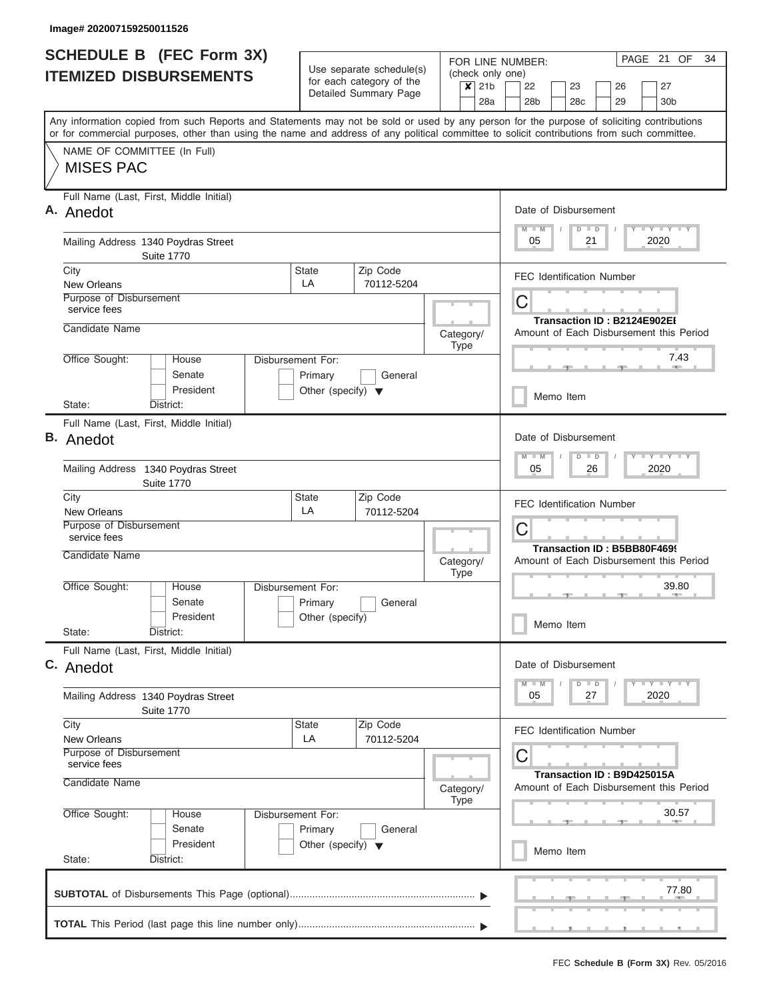| <b>SCHEDULE B (FEC Form 3X)</b><br><b>ITEMIZED DISBURSEMENTS</b>                                                                                                                                                                                                                                                       | FOR LINE NUMBER:<br>Use separate schedule(s)<br>(check only one)<br>for each category of the<br>$x$ 21b<br>Detailed Summary Page<br>28a |                        |                   |                                                                        |  |  |  |  |  |
|------------------------------------------------------------------------------------------------------------------------------------------------------------------------------------------------------------------------------------------------------------------------------------------------------------------------|-----------------------------------------------------------------------------------------------------------------------------------------|------------------------|-------------------|------------------------------------------------------------------------|--|--|--|--|--|
| Any information copied from such Reports and Statements may not be sold or used by any person for the purpose of soliciting contributions<br>or for commercial purposes, other than using the name and address of any political committee to solicit contributions from such committee.<br>NAME OF COMMITTEE (In Full) |                                                                                                                                         |                        |                   |                                                                        |  |  |  |  |  |
| <b>MISES PAC</b>                                                                                                                                                                                                                                                                                                       |                                                                                                                                         |                        |                   |                                                                        |  |  |  |  |  |
| Full Name (Last, First, Middle Initial)<br>A. Anedot                                                                                                                                                                                                                                                                   |                                                                                                                                         |                        |                   | Date of Disbursement<br>Y FY FY FY<br>$M$ $M$<br>$D$ $D$               |  |  |  |  |  |
| Mailing Address 1340 Poydras Street<br><b>Suite 1770</b>                                                                                                                                                                                                                                                               |                                                                                                                                         |                        |                   | 2020<br>05<br>21                                                       |  |  |  |  |  |
| City<br>New Orleans                                                                                                                                                                                                                                                                                                    | <b>State</b><br>LA                                                                                                                      | Zip Code<br>70112-5204 |                   | <b>FEC Identification Number</b>                                       |  |  |  |  |  |
| Purpose of Disbursement<br>service fees                                                                                                                                                                                                                                                                                |                                                                                                                                         |                        |                   | С                                                                      |  |  |  |  |  |
| Candidate Name                                                                                                                                                                                                                                                                                                         |                                                                                                                                         |                        | Category/<br>Type | Transaction ID: B2124E902EI<br>Amount of Each Disbursement this Period |  |  |  |  |  |
| Office Sought:<br>House<br>Senate<br>President                                                                                                                                                                                                                                                                         | Disbursement For:<br>Primary                                                                                                            | General                |                   | 7.43                                                                   |  |  |  |  |  |
| District:<br>State:                                                                                                                                                                                                                                                                                                    | Other (specify) $\blacktriangledown$                                                                                                    |                        |                   | Memo Item                                                              |  |  |  |  |  |
| Full Name (Last, First, Middle Initial)<br>В.<br>Anedot                                                                                                                                                                                                                                                                |                                                                                                                                         |                        |                   | Date of Disbursement<br>Y FY FY FY<br>$M - M$<br>$D$ $D$               |  |  |  |  |  |
| Mailing Address 1340 Poydras Street<br><b>Suite 1770</b>                                                                                                                                                                                                                                                               |                                                                                                                                         |                        |                   | 2020<br>05<br>26                                                       |  |  |  |  |  |
| City<br>New Orleans                                                                                                                                                                                                                                                                                                    | <b>State</b><br>LA                                                                                                                      | Zip Code<br>70112-5204 |                   | <b>FEC Identification Number</b>                                       |  |  |  |  |  |
| Purpose of Disbursement<br>service fees                                                                                                                                                                                                                                                                                |                                                                                                                                         |                        |                   | С<br>Transaction ID: B5BB80F4699                                       |  |  |  |  |  |
| Candidate Name                                                                                                                                                                                                                                                                                                         |                                                                                                                                         |                        | Category/<br>Type | Amount of Each Disbursement this Period                                |  |  |  |  |  |
| Office Sought:<br>House<br>Senate<br>President                                                                                                                                                                                                                                                                         | Disbursement For:<br>Primary<br>Other (specify)                                                                                         | General                |                   | 39.80<br>Memo Item                                                     |  |  |  |  |  |
| State:<br>District:                                                                                                                                                                                                                                                                                                    |                                                                                                                                         |                        |                   |                                                                        |  |  |  |  |  |
| Full Name (Last, First, Middle Initial)<br>C. Anedot                                                                                                                                                                                                                                                                   |                                                                                                                                         |                        |                   | Date of Disbursement                                                   |  |  |  |  |  |
| Mailing Address 1340 Poydras Street<br><b>Suite 1770</b>                                                                                                                                                                                                                                                               |                                                                                                                                         |                        |                   | Y FY FY FY<br>$M - M$<br>$D$ $D$<br>2020<br>05<br>27                   |  |  |  |  |  |
| City                                                                                                                                                                                                                                                                                                                   | State                                                                                                                                   | Zip Code               |                   | <b>FEC Identification Number</b>                                       |  |  |  |  |  |
| <b>New Orleans</b><br>Purpose of Disbursement<br>service fees                                                                                                                                                                                                                                                          | LA                                                                                                                                      | 70112-5204             |                   | С                                                                      |  |  |  |  |  |
| Candidate Name                                                                                                                                                                                                                                                                                                         |                                                                                                                                         |                        | Category/<br>Type | Transaction ID: B9D425015A<br>Amount of Each Disbursement this Period  |  |  |  |  |  |
| Office Sought:<br>House<br>Senate                                                                                                                                                                                                                                                                                      | Disbursement For:<br>Primary                                                                                                            | General                |                   | 30.57                                                                  |  |  |  |  |  |
| President<br>State:<br>District:                                                                                                                                                                                                                                                                                       | Other (specify) $\blacktriangledown$                                                                                                    |                        |                   | Memo Item                                                              |  |  |  |  |  |
|                                                                                                                                                                                                                                                                                                                        |                                                                                                                                         |                        |                   | 77.80                                                                  |  |  |  |  |  |
|                                                                                                                                                                                                                                                                                                                        |                                                                                                                                         |                        |                   |                                                                        |  |  |  |  |  |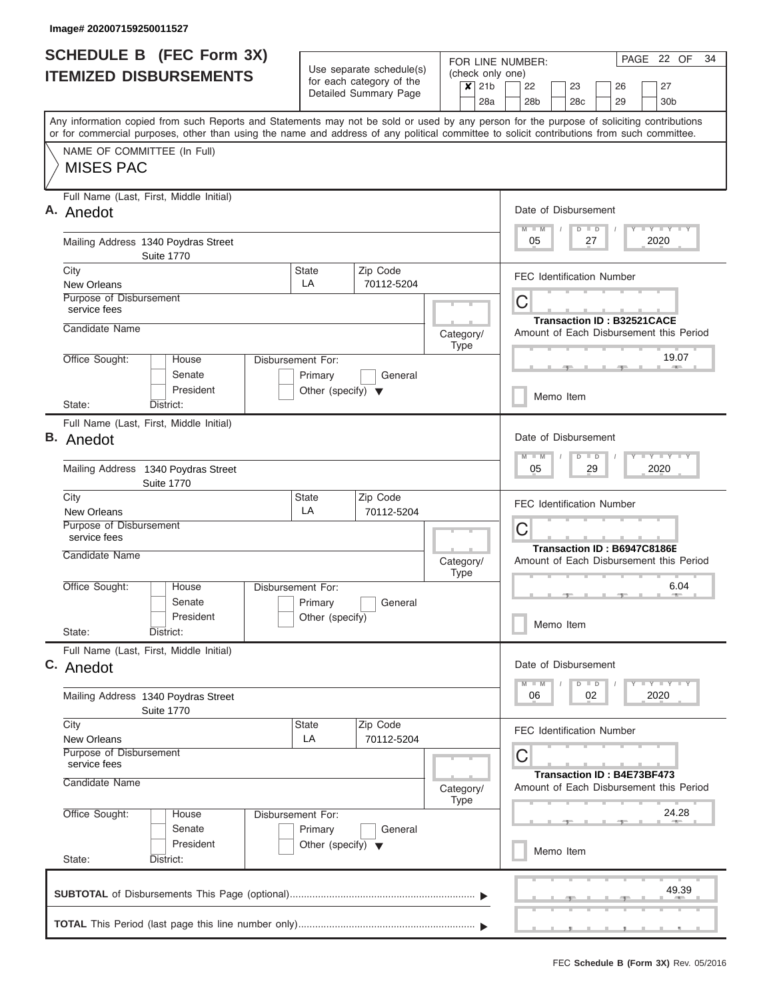| <b>SCHEDULE B (FEC Form 3X)</b><br><b>ITEMIZED DISBURSEMENTS</b>                                                                                                                                                                                                                        | Use separate schedule(s)<br>for each category of the       | FOR LINE NUMBER:<br>(check only one) | PAGE 22 OF<br>34                                                        |  |  |  |  |
|-----------------------------------------------------------------------------------------------------------------------------------------------------------------------------------------------------------------------------------------------------------------------------------------|------------------------------------------------------------|--------------------------------------|-------------------------------------------------------------------------|--|--|--|--|
|                                                                                                                                                                                                                                                                                         | Detailed Summary Page                                      | $\overline{\mathsf{x}}$ 21b<br>28a   | 22<br>23<br>26<br>27<br>28 <sub>b</sub><br>28c<br>29<br>30 <sub>b</sub> |  |  |  |  |
| Any information copied from such Reports and Statements may not be sold or used by any person for the purpose of soliciting contributions<br>or for commercial purposes, other than using the name and address of any political committee to solicit contributions from such committee. |                                                            |                                      |                                                                         |  |  |  |  |
| NAME OF COMMITTEE (In Full)<br><b>MISES PAC</b>                                                                                                                                                                                                                                         |                                                            |                                      |                                                                         |  |  |  |  |
| Full Name (Last, First, Middle Initial)<br>A. Anedot                                                                                                                                                                                                                                    |                                                            |                                      | Date of Disbursement<br>Y I Y I Y I Y<br>$D$ $D$                        |  |  |  |  |
| Mailing Address 1340 Poydras Street<br><b>Suite 1770</b>                                                                                                                                                                                                                                |                                                            |                                      | 05<br>2020<br>27                                                        |  |  |  |  |
| City<br>New Orleans                                                                                                                                                                                                                                                                     | Zip Code<br><b>State</b><br>LA<br>70112-5204               |                                      | <b>FEC Identification Number</b>                                        |  |  |  |  |
| Purpose of Disbursement<br>service fees                                                                                                                                                                                                                                                 |                                                            |                                      | C<br><b>Transaction ID: B32521CACE</b>                                  |  |  |  |  |
| Candidate Name<br>Office Sought:<br>Disbursement For:<br>House                                                                                                                                                                                                                          |                                                            | Category/<br>Type                    | Amount of Each Disbursement this Period<br>19.07                        |  |  |  |  |
| Senate<br>President                                                                                                                                                                                                                                                                     | General<br>Primary<br>Other (specify) $\blacktriangledown$ |                                      |                                                                         |  |  |  |  |
| District:<br>State:                                                                                                                                                                                                                                                                     |                                                            |                                      | Memo Item                                                               |  |  |  |  |
| Full Name (Last, First, Middle Initial)<br><b>B.</b> Anedot                                                                                                                                                                                                                             |                                                            |                                      | Date of Disbursement<br>$Y = Y = Y = Y + Y$<br>$M - M$<br>$D$ $D$       |  |  |  |  |
| Mailing Address 1340 Poydras Street<br><b>Suite 1770</b>                                                                                                                                                                                                                                |                                                            |                                      | 05<br>29<br>2020                                                        |  |  |  |  |
| City<br>New Orleans                                                                                                                                                                                                                                                                     | Zip Code<br><b>State</b><br>LA<br>70112-5204               |                                      | <b>FEC Identification Number</b>                                        |  |  |  |  |
| Purpose of Disbursement<br>service fees<br>Candidate Name                                                                                                                                                                                                                               |                                                            |                                      | C<br>Transaction ID: B6947C8186E                                        |  |  |  |  |
| Office Sought:<br>Disbursement For:<br>House                                                                                                                                                                                                                                            |                                                            | Category/<br><b>Type</b>             | Amount of Each Disbursement this Period<br>6.04                         |  |  |  |  |
| Senate<br>President                                                                                                                                                                                                                                                                     | Primary<br>General<br>Other (specify)                      |                                      | Memo Item                                                               |  |  |  |  |
| State:<br>District:                                                                                                                                                                                                                                                                     |                                                            |                                      |                                                                         |  |  |  |  |
| Full Name (Last, First, Middle Initial)<br>C. Anedot                                                                                                                                                                                                                                    |                                                            |                                      | Date of Disbursement                                                    |  |  |  |  |
| Mailing Address 1340 Poydras Street<br><b>Suite 1770</b>                                                                                                                                                                                                                                |                                                            |                                      | $Y - Y - Y - I - Y$<br>$D$ $D$<br>2020<br>06<br>02                      |  |  |  |  |
| City<br>New Orleans                                                                                                                                                                                                                                                                     | Zip Code<br><b>State</b><br>LA<br>70112-5204               |                                      | <b>FEC Identification Number</b>                                        |  |  |  |  |
| Purpose of Disbursement<br>service fees<br>Candidate Name                                                                                                                                                                                                                               |                                                            |                                      | C<br><b>Transaction ID: B4E73BF473</b>                                  |  |  |  |  |
| Office Sought:<br>Disbursement For:<br>House                                                                                                                                                                                                                                            |                                                            | Category/<br><b>Type</b>             | Amount of Each Disbursement this Period<br>24.28                        |  |  |  |  |
| Senate<br>President                                                                                                                                                                                                                                                                     | Primary<br>General<br>Other (specify) $\blacktriangledown$ |                                      | Memo Item                                                               |  |  |  |  |
| State:<br>District:                                                                                                                                                                                                                                                                     |                                                            |                                      |                                                                         |  |  |  |  |
|                                                                                                                                                                                                                                                                                         |                                                            |                                      | 49.39                                                                   |  |  |  |  |
|                                                                                                                                                                                                                                                                                         |                                                            |                                      |                                                                         |  |  |  |  |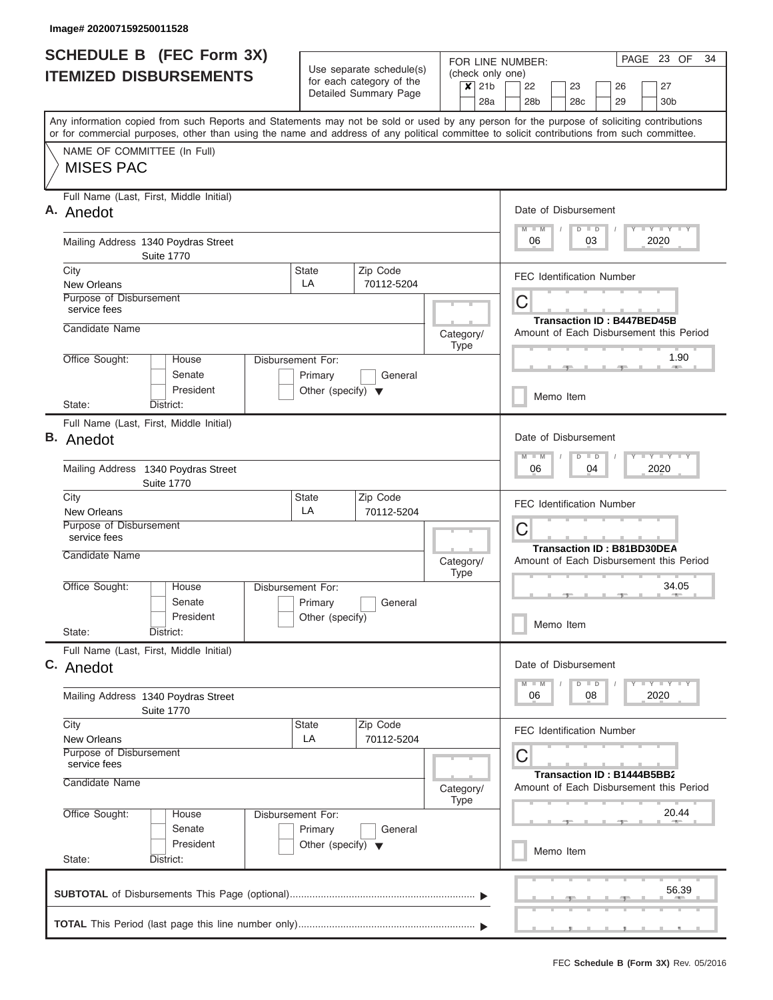| $x$ 21b<br>22<br>23<br>27<br>26<br>Detailed Summary Page<br>28 <sub>b</sub><br>28a<br>28 <sub>c</sub><br>29<br>30 <sub>b</sub><br>Any information copied from such Reports and Statements may not be sold or used by any person for the purpose of soliciting contributions<br>or for commercial purposes, other than using the name and address of any political committee to solicit contributions from such committee.<br>NAME OF COMMITTEE (In Full)<br><b>MISES PAC</b><br>Full Name (Last, First, Middle Initial)<br>Date of Disbursement<br>Y LY LY LY<br>$M$ $M$<br>$D$ $D$<br>06<br>2020<br>Mailing Address 1340 Poydras Street<br>03<br><b>Suite 1770</b><br>Zip Code<br>City<br><b>State</b><br><b>FEC Identification Number</b><br>LA<br>New Orleans<br>70112-5204<br>Purpose of Disbursement<br>C<br>service fees<br><b>Transaction ID: B447BED45B</b><br>Candidate Name<br>Amount of Each Disbursement this Period<br>Category/<br>Type<br>1.90<br>Office Sought:<br>House<br><b>Disbursement For:</b><br>Senate<br>General<br>Primary<br>President<br>Other (specify) $\blacktriangledown$<br>Memo Item<br>District:<br>State:<br>Full Name (Last, First, Middle Initial)<br>Date of Disbursement<br>Y FY FY FY<br>M<br>$-W$<br>$D$ $D$<br>06<br>2020<br>Mailing Address 1340 Poydras Street<br>04<br><b>Suite 1770</b><br>Zip Code<br>City<br><b>State</b><br><b>FEC Identification Number</b><br>LA<br>70112-5204<br>New Orleans<br>Purpose of Disbursement<br>С<br>service fees<br><b>Transaction ID: B81BD30DEA</b><br>Candidate Name<br>Category/<br>Amount of Each Disbursement this Period<br><b>Type</b><br>Office Sought:<br>34.05<br>Disbursement For:<br>House<br>Senate<br>Primary<br>General<br>President<br>Other (specify)<br>Memo Item<br>State:<br>District:<br>Full Name (Last, First, Middle Initial)<br>Date of Disbursement<br>Y LY LY LY<br>$D$ $D$<br>2020<br>06<br>08<br>Mailing Address 1340 Poydras Street<br><b>Suite 1770</b><br>City<br>Zip Code<br><b>State</b><br><b>FEC Identification Number</b><br>LA<br>70112-5204<br>New Orleans<br>Purpose of Disbursement<br>С<br>service fees<br>Transaction ID: B1444B5BB2<br>Candidate Name<br>Amount of Each Disbursement this Period<br>Category/<br><b>Type</b><br>20.44<br>Office Sought:<br>Disbursement For:<br>House<br>Senate<br>Primary<br>General<br>President<br>Other (specify) $\blacktriangledown$<br>Memo Item<br>State:<br>District:<br>56.39 | <b>SCHEDULE B (FEC Form 3X)</b><br><b>ITEMIZED DISBURSEMENTS</b> | Use separate schedule(s)<br>for each category of the | FOR LINE NUMBER:<br>(check only one) | PAGE 23 OF<br>34 |  |  |  |  |
|-------------------------------------------------------------------------------------------------------------------------------------------------------------------------------------------------------------------------------------------------------------------------------------------------------------------------------------------------------------------------------------------------------------------------------------------------------------------------------------------------------------------------------------------------------------------------------------------------------------------------------------------------------------------------------------------------------------------------------------------------------------------------------------------------------------------------------------------------------------------------------------------------------------------------------------------------------------------------------------------------------------------------------------------------------------------------------------------------------------------------------------------------------------------------------------------------------------------------------------------------------------------------------------------------------------------------------------------------------------------------------------------------------------------------------------------------------------------------------------------------------------------------------------------------------------------------------------------------------------------------------------------------------------------------------------------------------------------------------------------------------------------------------------------------------------------------------------------------------------------------------------------------------------------------------------------------------------------------------------------------------------------------------------------------------------------------------------------------------------------------------------------------------------------------------------------------------------------------------------------------------------------------------------------------------------------------------------------------------------------------------------------------------------------------------------------------------|------------------------------------------------------------------|------------------------------------------------------|--------------------------------------|------------------|--|--|--|--|
|                                                                                                                                                                                                                                                                                                                                                                                                                                                                                                                                                                                                                                                                                                                                                                                                                                                                                                                                                                                                                                                                                                                                                                                                                                                                                                                                                                                                                                                                                                                                                                                                                                                                                                                                                                                                                                                                                                                                                                                                                                                                                                                                                                                                                                                                                                                                                                                                                                                       |                                                                  |                                                      |                                      |                  |  |  |  |  |
|                                                                                                                                                                                                                                                                                                                                                                                                                                                                                                                                                                                                                                                                                                                                                                                                                                                                                                                                                                                                                                                                                                                                                                                                                                                                                                                                                                                                                                                                                                                                                                                                                                                                                                                                                                                                                                                                                                                                                                                                                                                                                                                                                                                                                                                                                                                                                                                                                                                       |                                                                  |                                                      |                                      |                  |  |  |  |  |
|                                                                                                                                                                                                                                                                                                                                                                                                                                                                                                                                                                                                                                                                                                                                                                                                                                                                                                                                                                                                                                                                                                                                                                                                                                                                                                                                                                                                                                                                                                                                                                                                                                                                                                                                                                                                                                                                                                                                                                                                                                                                                                                                                                                                                                                                                                                                                                                                                                                       |                                                                  |                                                      |                                      |                  |  |  |  |  |
|                                                                                                                                                                                                                                                                                                                                                                                                                                                                                                                                                                                                                                                                                                                                                                                                                                                                                                                                                                                                                                                                                                                                                                                                                                                                                                                                                                                                                                                                                                                                                                                                                                                                                                                                                                                                                                                                                                                                                                                                                                                                                                                                                                                                                                                                                                                                                                                                                                                       | A. Anedot                                                        |                                                      |                                      |                  |  |  |  |  |
|                                                                                                                                                                                                                                                                                                                                                                                                                                                                                                                                                                                                                                                                                                                                                                                                                                                                                                                                                                                                                                                                                                                                                                                                                                                                                                                                                                                                                                                                                                                                                                                                                                                                                                                                                                                                                                                                                                                                                                                                                                                                                                                                                                                                                                                                                                                                                                                                                                                       |                                                                  |                                                      |                                      |                  |  |  |  |  |
|                                                                                                                                                                                                                                                                                                                                                                                                                                                                                                                                                                                                                                                                                                                                                                                                                                                                                                                                                                                                                                                                                                                                                                                                                                                                                                                                                                                                                                                                                                                                                                                                                                                                                                                                                                                                                                                                                                                                                                                                                                                                                                                                                                                                                                                                                                                                                                                                                                                       |                                                                  |                                                      |                                      |                  |  |  |  |  |
|                                                                                                                                                                                                                                                                                                                                                                                                                                                                                                                                                                                                                                                                                                                                                                                                                                                                                                                                                                                                                                                                                                                                                                                                                                                                                                                                                                                                                                                                                                                                                                                                                                                                                                                                                                                                                                                                                                                                                                                                                                                                                                                                                                                                                                                                                                                                                                                                                                                       |                                                                  |                                                      |                                      |                  |  |  |  |  |
|                                                                                                                                                                                                                                                                                                                                                                                                                                                                                                                                                                                                                                                                                                                                                                                                                                                                                                                                                                                                                                                                                                                                                                                                                                                                                                                                                                                                                                                                                                                                                                                                                                                                                                                                                                                                                                                                                                                                                                                                                                                                                                                                                                                                                                                                                                                                                                                                                                                       |                                                                  |                                                      |                                      |                  |  |  |  |  |
|                                                                                                                                                                                                                                                                                                                                                                                                                                                                                                                                                                                                                                                                                                                                                                                                                                                                                                                                                                                                                                                                                                                                                                                                                                                                                                                                                                                                                                                                                                                                                                                                                                                                                                                                                                                                                                                                                                                                                                                                                                                                                                                                                                                                                                                                                                                                                                                                                                                       |                                                                  |                                                      |                                      |                  |  |  |  |  |
|                                                                                                                                                                                                                                                                                                                                                                                                                                                                                                                                                                                                                                                                                                                                                                                                                                                                                                                                                                                                                                                                                                                                                                                                                                                                                                                                                                                                                                                                                                                                                                                                                                                                                                                                                                                                                                                                                                                                                                                                                                                                                                                                                                                                                                                                                                                                                                                                                                                       |                                                                  |                                                      |                                      |                  |  |  |  |  |
|                                                                                                                                                                                                                                                                                                                                                                                                                                                                                                                                                                                                                                                                                                                                                                                                                                                                                                                                                                                                                                                                                                                                                                                                                                                                                                                                                                                                                                                                                                                                                                                                                                                                                                                                                                                                                                                                                                                                                                                                                                                                                                                                                                                                                                                                                                                                                                                                                                                       | <b>B.</b> Anedot                                                 |                                                      |                                      |                  |  |  |  |  |
|                                                                                                                                                                                                                                                                                                                                                                                                                                                                                                                                                                                                                                                                                                                                                                                                                                                                                                                                                                                                                                                                                                                                                                                                                                                                                                                                                                                                                                                                                                                                                                                                                                                                                                                                                                                                                                                                                                                                                                                                                                                                                                                                                                                                                                                                                                                                                                                                                                                       |                                                                  |                                                      |                                      |                  |  |  |  |  |
|                                                                                                                                                                                                                                                                                                                                                                                                                                                                                                                                                                                                                                                                                                                                                                                                                                                                                                                                                                                                                                                                                                                                                                                                                                                                                                                                                                                                                                                                                                                                                                                                                                                                                                                                                                                                                                                                                                                                                                                                                                                                                                                                                                                                                                                                                                                                                                                                                                                       |                                                                  |                                                      |                                      |                  |  |  |  |  |
|                                                                                                                                                                                                                                                                                                                                                                                                                                                                                                                                                                                                                                                                                                                                                                                                                                                                                                                                                                                                                                                                                                                                                                                                                                                                                                                                                                                                                                                                                                                                                                                                                                                                                                                                                                                                                                                                                                                                                                                                                                                                                                                                                                                                                                                                                                                                                                                                                                                       |                                                                  |                                                      |                                      |                  |  |  |  |  |
|                                                                                                                                                                                                                                                                                                                                                                                                                                                                                                                                                                                                                                                                                                                                                                                                                                                                                                                                                                                                                                                                                                                                                                                                                                                                                                                                                                                                                                                                                                                                                                                                                                                                                                                                                                                                                                                                                                                                                                                                                                                                                                                                                                                                                                                                                                                                                                                                                                                       |                                                                  |                                                      |                                      |                  |  |  |  |  |
|                                                                                                                                                                                                                                                                                                                                                                                                                                                                                                                                                                                                                                                                                                                                                                                                                                                                                                                                                                                                                                                                                                                                                                                                                                                                                                                                                                                                                                                                                                                                                                                                                                                                                                                                                                                                                                                                                                                                                                                                                                                                                                                                                                                                                                                                                                                                                                                                                                                       |                                                                  |                                                      |                                      |                  |  |  |  |  |
|                                                                                                                                                                                                                                                                                                                                                                                                                                                                                                                                                                                                                                                                                                                                                                                                                                                                                                                                                                                                                                                                                                                                                                                                                                                                                                                                                                                                                                                                                                                                                                                                                                                                                                                                                                                                                                                                                                                                                                                                                                                                                                                                                                                                                                                                                                                                                                                                                                                       |                                                                  |                                                      |                                      |                  |  |  |  |  |
|                                                                                                                                                                                                                                                                                                                                                                                                                                                                                                                                                                                                                                                                                                                                                                                                                                                                                                                                                                                                                                                                                                                                                                                                                                                                                                                                                                                                                                                                                                                                                                                                                                                                                                                                                                                                                                                                                                                                                                                                                                                                                                                                                                                                                                                                                                                                                                                                                                                       | C. Anedot                                                        |                                                      |                                      |                  |  |  |  |  |
|                                                                                                                                                                                                                                                                                                                                                                                                                                                                                                                                                                                                                                                                                                                                                                                                                                                                                                                                                                                                                                                                                                                                                                                                                                                                                                                                                                                                                                                                                                                                                                                                                                                                                                                                                                                                                                                                                                                                                                                                                                                                                                                                                                                                                                                                                                                                                                                                                                                       |                                                                  |                                                      |                                      |                  |  |  |  |  |
|                                                                                                                                                                                                                                                                                                                                                                                                                                                                                                                                                                                                                                                                                                                                                                                                                                                                                                                                                                                                                                                                                                                                                                                                                                                                                                                                                                                                                                                                                                                                                                                                                                                                                                                                                                                                                                                                                                                                                                                                                                                                                                                                                                                                                                                                                                                                                                                                                                                       |                                                                  |                                                      |                                      |                  |  |  |  |  |
|                                                                                                                                                                                                                                                                                                                                                                                                                                                                                                                                                                                                                                                                                                                                                                                                                                                                                                                                                                                                                                                                                                                                                                                                                                                                                                                                                                                                                                                                                                                                                                                                                                                                                                                                                                                                                                                                                                                                                                                                                                                                                                                                                                                                                                                                                                                                                                                                                                                       |                                                                  |                                                      |                                      |                  |  |  |  |  |
|                                                                                                                                                                                                                                                                                                                                                                                                                                                                                                                                                                                                                                                                                                                                                                                                                                                                                                                                                                                                                                                                                                                                                                                                                                                                                                                                                                                                                                                                                                                                                                                                                                                                                                                                                                                                                                                                                                                                                                                                                                                                                                                                                                                                                                                                                                                                                                                                                                                       |                                                                  |                                                      |                                      |                  |  |  |  |  |
|                                                                                                                                                                                                                                                                                                                                                                                                                                                                                                                                                                                                                                                                                                                                                                                                                                                                                                                                                                                                                                                                                                                                                                                                                                                                                                                                                                                                                                                                                                                                                                                                                                                                                                                                                                                                                                                                                                                                                                                                                                                                                                                                                                                                                                                                                                                                                                                                                                                       |                                                                  |                                                      |                                      |                  |  |  |  |  |
|                                                                                                                                                                                                                                                                                                                                                                                                                                                                                                                                                                                                                                                                                                                                                                                                                                                                                                                                                                                                                                                                                                                                                                                                                                                                                                                                                                                                                                                                                                                                                                                                                                                                                                                                                                                                                                                                                                                                                                                                                                                                                                                                                                                                                                                                                                                                                                                                                                                       |                                                                  |                                                      |                                      |                  |  |  |  |  |
|                                                                                                                                                                                                                                                                                                                                                                                                                                                                                                                                                                                                                                                                                                                                                                                                                                                                                                                                                                                                                                                                                                                                                                                                                                                                                                                                                                                                                                                                                                                                                                                                                                                                                                                                                                                                                                                                                                                                                                                                                                                                                                                                                                                                                                                                                                                                                                                                                                                       |                                                                  |                                                      |                                      |                  |  |  |  |  |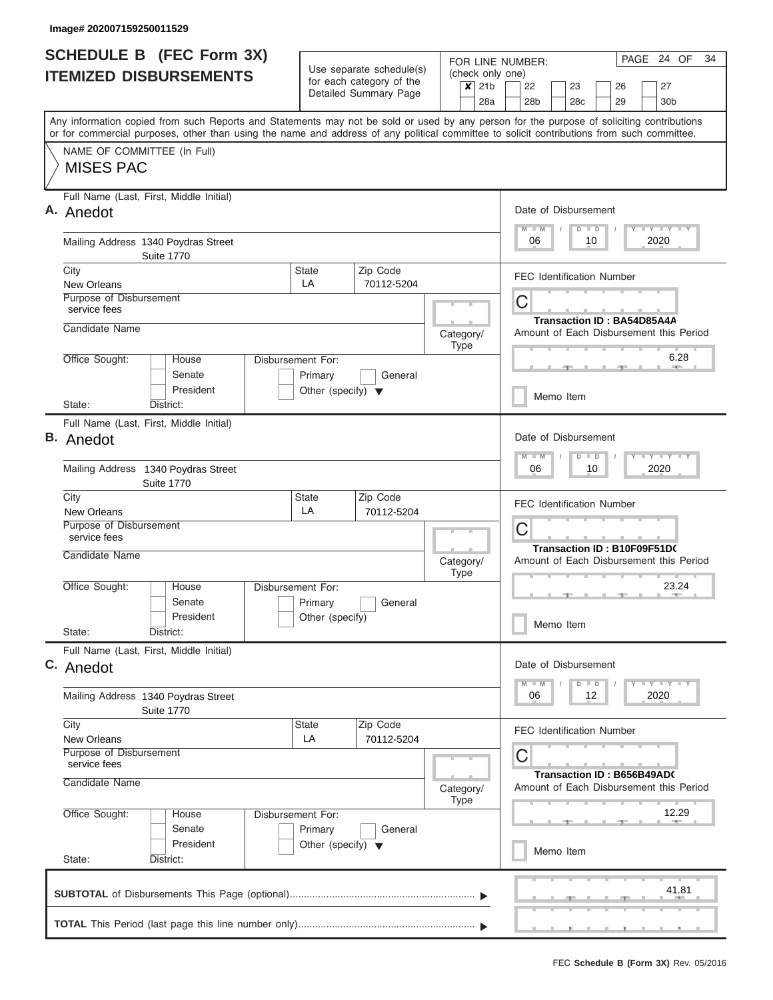| <b>SCHEDULE B (FEC Form 3X)</b><br><b>ITEMIZED DISBURSEMENTS</b>                                                                                                                                                                                                                        |                                                                      | Use separate schedule(s)                          | (check only one)         | 24 OF<br>PAGE<br>34<br>FOR LINE NUMBER:                                    |
|-----------------------------------------------------------------------------------------------------------------------------------------------------------------------------------------------------------------------------------------------------------------------------------------|----------------------------------------------------------------------|---------------------------------------------------|--------------------------|----------------------------------------------------------------------------|
|                                                                                                                                                                                                                                                                                         |                                                                      | for each category of the<br>Detailed Summary Page | $x$ 21b<br>28a           | 22<br>23<br>26<br>27<br>28c<br>29<br>28 <sub>b</sub><br>30 <sub>b</sub>    |
| Any information copied from such Reports and Statements may not be sold or used by any person for the purpose of soliciting contributions<br>or for commercial purposes, other than using the name and address of any political committee to solicit contributions from such committee. |                                                                      |                                                   |                          |                                                                            |
| NAME OF COMMITTEE (In Full)<br><b>MISES PAC</b>                                                                                                                                                                                                                                         |                                                                      |                                                   |                          |                                                                            |
| Full Name (Last, First, Middle Initial)<br>A. Anedot                                                                                                                                                                                                                                    |                                                                      |                                                   |                          | Date of Disbursement<br>Y I Y I Y I Y<br>$M$ $M$<br>$D$ $D$                |
| Mailing Address 1340 Poydras Street<br><b>Suite 1770</b>                                                                                                                                                                                                                                |                                                                      |                                                   |                          | 2020<br>06<br>10                                                           |
| City<br>New Orleans                                                                                                                                                                                                                                                                     | State<br>LA                                                          | Zip Code<br>70112-5204                            |                          | <b>FEC Identification Number</b>                                           |
| Purpose of Disbursement<br>service fees                                                                                                                                                                                                                                                 |                                                                      |                                                   |                          | C<br><b>Transaction ID: BA54D85A4A</b>                                     |
| Candidate Name                                                                                                                                                                                                                                                                          |                                                                      |                                                   | Category/<br>Type        | Amount of Each Disbursement this Period                                    |
| Office Sought:<br>House<br>Senate<br>President                                                                                                                                                                                                                                          | Disbursement For:<br>Primary<br>Other (specify) $\blacktriangledown$ | General                                           |                          | 6.28<br>Memo Item                                                          |
| State:<br>District:                                                                                                                                                                                                                                                                     |                                                                      |                                                   |                          |                                                                            |
| Full Name (Last, First, Middle Initial)<br><b>B.</b> Anedot                                                                                                                                                                                                                             |                                                                      |                                                   |                          | Date of Disbursement<br>Y FY FY FY<br>$M - M$<br>$D$ $D$                   |
| Mailing Address 1340 Poydras Street<br><b>Suite 1770</b>                                                                                                                                                                                                                                |                                                                      |                                                   |                          | 2020<br>06<br>10                                                           |
| City<br>New Orleans                                                                                                                                                                                                                                                                     | <b>State</b><br>LA                                                   | Zip Code<br>70112-5204                            |                          | <b>FEC Identification Number</b>                                           |
| Purpose of Disbursement<br>service fees<br>Candidate Name                                                                                                                                                                                                                               |                                                                      |                                                   |                          | C<br>Transaction ID: B10F09F51D0                                           |
|                                                                                                                                                                                                                                                                                         |                                                                      |                                                   | Category/<br><b>Type</b> | Amount of Each Disbursement this Period<br>23.24                           |
| Office Sought:<br>House<br>Senate<br>President                                                                                                                                                                                                                                          | <b>Disbursement For:</b><br>Primary<br>Other (specify)               | General                                           |                          |                                                                            |
| State:<br>District:                                                                                                                                                                                                                                                                     |                                                                      |                                                   |                          | Memo Item                                                                  |
| Full Name (Last, First, Middle Initial)<br>C. Anedot                                                                                                                                                                                                                                    |                                                                      |                                                   |                          | Date of Disbursement<br>$Y$ $Y$ $Y$ $Y$ $Y$<br>$D$ $D$                     |
| Mailing Address 1340 Poydras Street<br><b>Suite 1770</b>                                                                                                                                                                                                                                |                                                                      |                                                   |                          | 2020<br>06<br>12                                                           |
| City<br><b>New Orleans</b>                                                                                                                                                                                                                                                              | <b>State</b><br>LA                                                   | Zip Code<br>70112-5204                            |                          | <b>FEC Identification Number</b>                                           |
| Purpose of Disbursement<br>service fees<br>Candidate Name                                                                                                                                                                                                                               |                                                                      |                                                   | Category/                | С<br>Transaction ID: B656B49AD0<br>Amount of Each Disbursement this Period |
| Office Sought:<br>House<br>Senate                                                                                                                                                                                                                                                       | Disbursement For:<br>Primary                                         | General                                           | <b>Type</b>              | 12.29                                                                      |
| President<br>State:<br>District:                                                                                                                                                                                                                                                        | Other (specify) $\blacktriangledown$                                 |                                                   |                          | Memo Item                                                                  |
|                                                                                                                                                                                                                                                                                         |                                                                      |                                                   |                          | 41.81                                                                      |
|                                                                                                                                                                                                                                                                                         |                                                                      |                                                   |                          |                                                                            |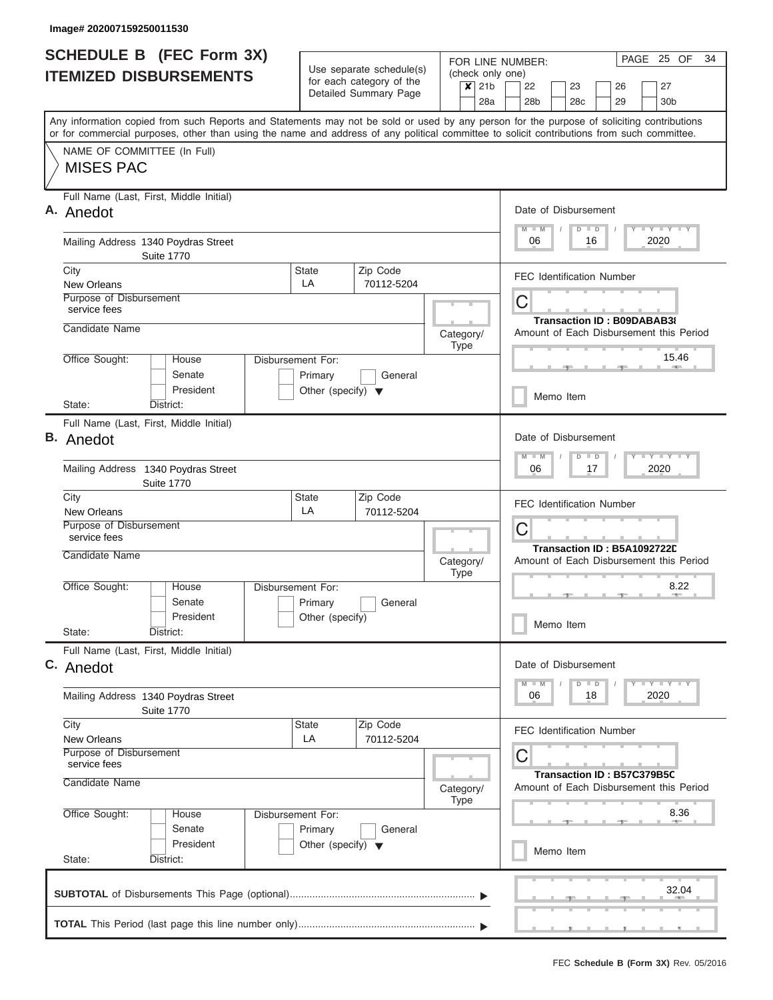| <b>SCHEDULE B (FEC Form 3X)</b><br><b>ITEMIZED DISBURSEMENTS</b>                                                                                                                                                                                                                        | Use separate schedule(s)<br>for each category of the       | FOR LINE NUMBER:<br>(check only one) | 25 OF<br>PAGE<br>34                                                     |
|-----------------------------------------------------------------------------------------------------------------------------------------------------------------------------------------------------------------------------------------------------------------------------------------|------------------------------------------------------------|--------------------------------------|-------------------------------------------------------------------------|
|                                                                                                                                                                                                                                                                                         | Detailed Summary Page                                      | $x$ 21b<br>28a                       | 22<br>23<br>26<br>27<br>28c<br>29<br>28 <sub>b</sub><br>30 <sub>b</sub> |
| Any information copied from such Reports and Statements may not be sold or used by any person for the purpose of soliciting contributions<br>or for commercial purposes, other than using the name and address of any political committee to solicit contributions from such committee. |                                                            |                                      |                                                                         |
| NAME OF COMMITTEE (In Full)<br><b>MISES PAC</b>                                                                                                                                                                                                                                         |                                                            |                                      |                                                                         |
| Full Name (Last, First, Middle Initial)<br>A. Anedot                                                                                                                                                                                                                                    |                                                            |                                      | Date of Disbursement<br>Y I Y I Y I Y<br>$M$ $M$<br>$D$ $D$             |
| Mailing Address 1340 Poydras Street<br><b>Suite 1770</b>                                                                                                                                                                                                                                |                                                            |                                      | 2020<br>06<br>16                                                        |
| City<br>New Orleans                                                                                                                                                                                                                                                                     | State<br>Zip Code<br>LA<br>70112-5204                      |                                      | <b>FEC Identification Number</b>                                        |
| Purpose of Disbursement<br>service fees<br>Candidate Name                                                                                                                                                                                                                               |                                                            |                                      | C<br>Transaction ID: B09DABAB38                                         |
| Office Sought:<br>House                                                                                                                                                                                                                                                                 | Disbursement For:                                          | Category/<br>Type                    | Amount of Each Disbursement this Period<br>15.46                        |
| Senate<br>President                                                                                                                                                                                                                                                                     | General<br>Primary<br>Other (specify) $\blacktriangledown$ |                                      | Memo Item                                                               |
| State:<br>District:                                                                                                                                                                                                                                                                     |                                                            |                                      |                                                                         |
| Full Name (Last, First, Middle Initial)<br><b>B.</b> Anedot                                                                                                                                                                                                                             |                                                            |                                      | Date of Disbursement                                                    |
| Mailing Address 1340 Poydras Street<br><b>Suite 1770</b>                                                                                                                                                                                                                                |                                                            |                                      | $Y = Y = Y = Y + Y$<br>$M - M$<br>$D$ $D$<br>2020<br>06<br>17           |
| City<br>New Orleans                                                                                                                                                                                                                                                                     | Zip Code<br><b>State</b><br>LA<br>70112-5204               |                                      | <b>FEC Identification Number</b>                                        |
| Purpose of Disbursement<br>service fees<br>Candidate Name                                                                                                                                                                                                                               |                                                            |                                      | C<br>Transaction ID: B5A1092722D                                        |
| Office Sought:<br>House                                                                                                                                                                                                                                                                 | <b>Disbursement For:</b>                                   | Category/<br><b>Type</b>             | Amount of Each Disbursement this Period<br>8.22                         |
| Senate<br>President                                                                                                                                                                                                                                                                     | Primary<br>General<br>Other (specify)                      |                                      |                                                                         |
| State:<br>District:                                                                                                                                                                                                                                                                     |                                                            |                                      | Memo Item                                                               |
| Full Name (Last, First, Middle Initial)<br>C. Anedot                                                                                                                                                                                                                                    |                                                            |                                      | Date of Disbursement                                                    |
| Mailing Address 1340 Poydras Street<br><b>Suite 1770</b>                                                                                                                                                                                                                                |                                                            |                                      | $Y$ $Y$ $Y$ $Y$ $Y$<br>$D$ $D$<br>2020<br>06<br>18                      |
| City<br>New Orleans                                                                                                                                                                                                                                                                     | Zip Code<br><b>State</b><br>LA<br>70112-5204               |                                      | <b>FEC Identification Number</b>                                        |
| Purpose of Disbursement<br>service fees<br>Candidate Name                                                                                                                                                                                                                               |                                                            |                                      | C<br>Transaction ID: B57C379B5C                                         |
| Office Sought:<br>House                                                                                                                                                                                                                                                                 | Disbursement For:                                          | Category/<br><b>Type</b>             | Amount of Each Disbursement this Period<br>8.36                         |
| Senate<br>President                                                                                                                                                                                                                                                                     | Primary<br>General<br>Other (specify) $\blacktriangledown$ |                                      | Memo Item                                                               |
| State:<br>District:                                                                                                                                                                                                                                                                     |                                                            |                                      |                                                                         |
|                                                                                                                                                                                                                                                                                         |                                                            |                                      | 32.04                                                                   |
|                                                                                                                                                                                                                                                                                         |                                                            |                                      |                                                                         |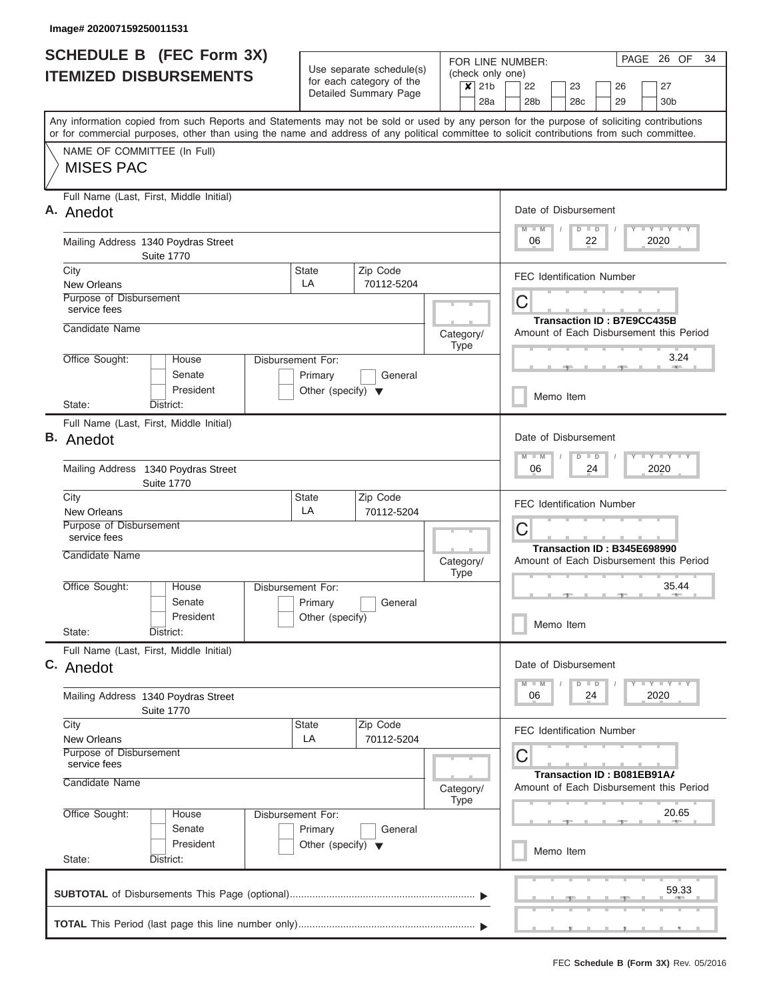| <b>SCHEDULE B (FEC Form 3X)</b><br><b>ITEMIZED DISBURSEMENTS</b>                                                                                                                                                                                                                        | Use separate schedule(s)<br>for each category of the       | FOR LINE NUMBER:<br>(check only one)<br>$\overline{\mathsf{x}}$ 21b | PAGE 26 OF<br>34<br>22<br>23<br>26<br>27                                                             |
|-----------------------------------------------------------------------------------------------------------------------------------------------------------------------------------------------------------------------------------------------------------------------------------------|------------------------------------------------------------|---------------------------------------------------------------------|------------------------------------------------------------------------------------------------------|
|                                                                                                                                                                                                                                                                                         | Detailed Summary Page                                      | 28a                                                                 | 28 <sub>b</sub><br>28c<br>29<br>30 <sub>b</sub>                                                      |
| Any information copied from such Reports and Statements may not be sold or used by any person for the purpose of soliciting contributions<br>or for commercial purposes, other than using the name and address of any political committee to solicit contributions from such committee. |                                                            |                                                                     |                                                                                                      |
| NAME OF COMMITTEE (In Full)<br><b>MISES PAC</b>                                                                                                                                                                                                                                         |                                                            |                                                                     |                                                                                                      |
| Full Name (Last, First, Middle Initial)<br>A. Anedot                                                                                                                                                                                                                                    |                                                            |                                                                     | Date of Disbursement<br>Y FY FY FY<br>$M$ $M$<br>$D$ $D$                                             |
| Mailing Address 1340 Poydras Street<br><b>Suite 1770</b>                                                                                                                                                                                                                                |                                                            |                                                                     | 2020<br>06<br>22                                                                                     |
| City<br>New Orleans                                                                                                                                                                                                                                                                     | Zip Code<br><b>State</b><br>LA<br>70112-5204               |                                                                     | <b>FEC Identification Number</b>                                                                     |
| Purpose of Disbursement<br>service fees                                                                                                                                                                                                                                                 |                                                            |                                                                     | С<br><b>Transaction ID: B7E9CC435B</b>                                                               |
| Candidate Name<br>Office Sought:<br>House                                                                                                                                                                                                                                               | Disbursement For:                                          | Category/<br>Type                                                   | Amount of Each Disbursement this Period<br>3.24                                                      |
| Senate<br>President                                                                                                                                                                                                                                                                     | General<br>Primary<br>Other (specify) $\blacktriangledown$ |                                                                     |                                                                                                      |
| District:<br>State:                                                                                                                                                                                                                                                                     |                                                            |                                                                     | Memo Item                                                                                            |
| Full Name (Last, First, Middle Initial)<br><b>B.</b> Anedot<br>Mailing Address 1340 Poydras Street                                                                                                                                                                                      |                                                            |                                                                     | Date of Disbursement<br>Y FY FY FY<br>$\overline{\mathsf{M}}$<br>$-W$<br>$D$ $D$<br>06<br>2020<br>24 |
| <b>Suite 1770</b><br>City                                                                                                                                                                                                                                                               | Zip Code<br><b>State</b>                                   |                                                                     | <b>FEC Identification Number</b>                                                                     |
| New Orleans<br>Purpose of Disbursement                                                                                                                                                                                                                                                  | LA<br>70112-5204                                           |                                                                     |                                                                                                      |
| service fees<br>Candidate Name                                                                                                                                                                                                                                                          |                                                            | Category/                                                           | С<br>Transaction ID: B345E698990<br>Amount of Each Disbursement this Period                          |
| Office Sought:<br>House                                                                                                                                                                                                                                                                 | Disbursement For:                                          | Type                                                                | 35.44                                                                                                |
| Senate<br>President<br>State:<br>District:                                                                                                                                                                                                                                              | Primary<br>General<br>Other (specify)                      |                                                                     | Memo Item                                                                                            |
| Full Name (Last, First, Middle Initial)<br>C. Anedot                                                                                                                                                                                                                                    |                                                            |                                                                     | Date of Disbursement                                                                                 |
| Mailing Address 1340 Poydras Street<br><b>Suite 1770</b>                                                                                                                                                                                                                                |                                                            |                                                                     | $Y$ $Y$ $Y$ $Y$ $Y$<br>$D$ $D$<br>2020<br>06<br>24                                                   |
| City<br>New Orleans                                                                                                                                                                                                                                                                     | Zip Code<br>State<br>LA<br>70112-5204                      |                                                                     | <b>FEC Identification Number</b>                                                                     |
| Purpose of Disbursement<br>service fees                                                                                                                                                                                                                                                 |                                                            |                                                                     | С<br>Transaction ID: B081EB91A/                                                                      |
| Candidate Name<br>Office Sought:<br>House                                                                                                                                                                                                                                               | Disbursement For:                                          | Category/<br><b>Type</b>                                            | Amount of Each Disbursement this Period<br>20.65                                                     |
| Senate<br>President                                                                                                                                                                                                                                                                     | Primary<br>General<br>Other (specify) $\blacktriangledown$ |                                                                     | Memo Item                                                                                            |
| State:<br>District:                                                                                                                                                                                                                                                                     |                                                            |                                                                     |                                                                                                      |
|                                                                                                                                                                                                                                                                                         |                                                            |                                                                     | 59.33                                                                                                |
|                                                                                                                                                                                                                                                                                         |                                                            |                                                                     |                                                                                                      |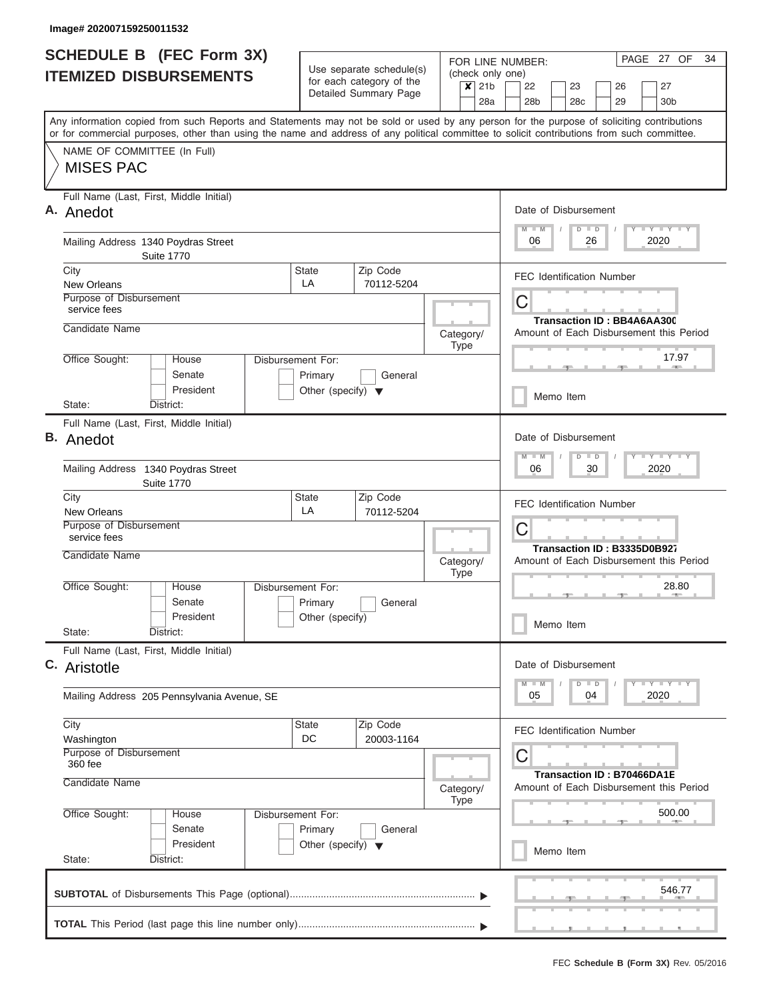| <b>ITEMIZED DISBURSEMENTS</b><br>Any information copied from such Reports and Statements may not be sold or used by any person for the purpose of soliciting contributions |                                                 | Use separate schedule(s)<br>for each category of the | (check only one)            |                                                                                                   |  |  |  |  |  |
|----------------------------------------------------------------------------------------------------------------------------------------------------------------------------|-------------------------------------------------|------------------------------------------------------|-----------------------------|---------------------------------------------------------------------------------------------------|--|--|--|--|--|
|                                                                                                                                                                            |                                                 |                                                      | $\overline{\mathsf{x}}$ 21b | 22<br>23<br>26<br>27                                                                              |  |  |  |  |  |
|                                                                                                                                                                            |                                                 | Detailed Summary Page                                | 28a                         | 28 <sub>b</sub><br>28 <sub>c</sub><br>29<br>30 <sub>b</sub>                                       |  |  |  |  |  |
| or for commercial purposes, other than using the name and address of any political committee to solicit contributions from such committee.                                 |                                                 |                                                      |                             |                                                                                                   |  |  |  |  |  |
| NAME OF COMMITTEE (In Full)<br><b>MISES PAC</b>                                                                                                                            |                                                 |                                                      |                             |                                                                                                   |  |  |  |  |  |
| Full Name (Last, First, Middle Initial)<br>A. Anedot                                                                                                                       |                                                 |                                                      |                             | Date of Disbursement<br>Y FY FY FY<br>$M$ $M$<br>$D$ $D$                                          |  |  |  |  |  |
| Mailing Address 1340 Poydras Street<br><b>Suite 1770</b>                                                                                                                   |                                                 |                                                      |                             | 26<br>2020<br>06                                                                                  |  |  |  |  |  |
| City<br>New Orleans                                                                                                                                                        | <b>State</b><br>LA                              | Zip Code<br>70112-5204                               |                             | <b>FEC Identification Number</b>                                                                  |  |  |  |  |  |
| Purpose of Disbursement<br>service fees                                                                                                                                    |                                                 |                                                      |                             | C<br>Transaction ID: BB4A6AA300                                                                   |  |  |  |  |  |
| Candidate Name                                                                                                                                                             |                                                 |                                                      | Category/<br>Type           | Amount of Each Disbursement this Period                                                           |  |  |  |  |  |
| Office Sought:<br>House<br>Senate                                                                                                                                          | Disbursement For:<br>Primary                    | General                                              |                             | 17.97                                                                                             |  |  |  |  |  |
| President<br>State:<br>District:                                                                                                                                           | Other (specify) $\blacktriangledown$            |                                                      |                             | Memo Item                                                                                         |  |  |  |  |  |
| Full Name (Last, First, Middle Initial)<br><b>B.</b> Anedot                                                                                                                |                                                 |                                                      |                             | Date of Disbursement<br>$T - Y$ $T - Y$ $T - Y$<br>M<br>$D$ $D$<br>$-W$                           |  |  |  |  |  |
| Mailing Address 1340 Poydras Street<br><b>Suite 1770</b>                                                                                                                   |                                                 |                                                      |                             | 30<br>2020<br>06                                                                                  |  |  |  |  |  |
| City<br><b>New Orleans</b>                                                                                                                                                 | <b>State</b><br>LA                              | Zip Code<br>70112-5204                               |                             | <b>FEC Identification Number</b>                                                                  |  |  |  |  |  |
| Purpose of Disbursement<br>service fees<br>Candidate Name                                                                                                                  |                                                 |                                                      |                             | C<br>Transaction ID: B3335D0B927                                                                  |  |  |  |  |  |
| Office Sought:<br>House                                                                                                                                                    | Disbursement For:                               |                                                      | Category/<br><b>Type</b>    | Amount of Each Disbursement this Period<br>28.80                                                  |  |  |  |  |  |
| Senate<br>President                                                                                                                                                        | Primary<br>Other (specify)                      | General                                              |                             |                                                                                                   |  |  |  |  |  |
| State:<br>District:                                                                                                                                                        |                                                 |                                                      |                             | Memo Item                                                                                         |  |  |  |  |  |
| Full Name (Last, First, Middle Initial)<br>C. Aristotle                                                                                                                    |                                                 |                                                      |                             | Date of Disbursement                                                                              |  |  |  |  |  |
| Mailing Address 205 Pennsylvania Avenue, SE                                                                                                                                |                                                 |                                                      |                             | $\mathbf{I}$ $\mathbf{Y}$ $\mathbf{I}$ $\mathbf{Y}$ $\mathbf{I}$ $\mathbf{Y}$<br>2020<br>05<br>04 |  |  |  |  |  |
| City<br>Washington                                                                                                                                                         | <b>State</b><br>DC                              | Zip Code<br>20003-1164                               |                             | <b>FEC Identification Number</b>                                                                  |  |  |  |  |  |
| Purpose of Disbursement<br>360 fee<br>Candidate Name                                                                                                                       |                                                 |                                                      | Category/                   | С<br>Transaction ID: B70466DA1E<br>Amount of Each Disbursement this Period                        |  |  |  |  |  |
| Office Sought:<br>House                                                                                                                                                    | Disbursement For:                               |                                                      | <b>Type</b>                 | 500.00                                                                                            |  |  |  |  |  |
| Senate<br>President<br>State:<br>District:                                                                                                                                 | Primary<br>Other (specify) $\blacktriangledown$ | General                                              |                             | Memo Item                                                                                         |  |  |  |  |  |
|                                                                                                                                                                            |                                                 |                                                      |                             | 546.77                                                                                            |  |  |  |  |  |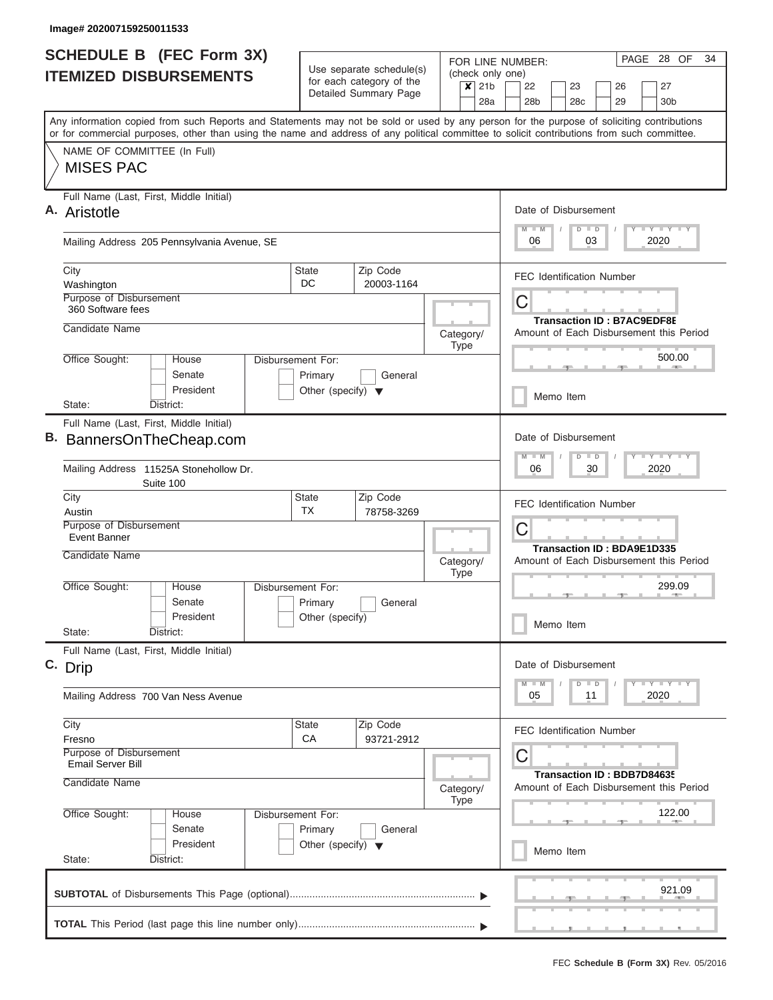| <b>SCHEDULE B</b> (FEC Form 3X)<br><b>ITEMIZED DISBURSEMENTS</b>                                                                                                                                                                                                                        |                     |  |                                                                      | Use separate schedule(s)                          |                          | (check only one)            |     | FOR LINE NUMBER:                                                             |                                   |                      |          |                | PAGE 28 OF<br>34                                                              |
|-----------------------------------------------------------------------------------------------------------------------------------------------------------------------------------------------------------------------------------------------------------------------------------------|---------------------|--|----------------------------------------------------------------------|---------------------------------------------------|--------------------------|-----------------------------|-----|------------------------------------------------------------------------------|-----------------------------------|----------------------|----------|----------------|-------------------------------------------------------------------------------|
|                                                                                                                                                                                                                                                                                         |                     |  |                                                                      | for each category of the<br>Detailed Summary Page |                          | $\overline{\mathsf{x}}$ 21b | 28a | 22<br>28 <sub>b</sub>                                                        | 23<br>28c                         |                      | 26<br>29 |                | 27<br>30 <sub>b</sub>                                                         |
| Any information copied from such Reports and Statements may not be sold or used by any person for the purpose of soliciting contributions<br>or for commercial purposes, other than using the name and address of any political committee to solicit contributions from such committee. |                     |  |                                                                      |                                                   |                          |                             |     |                                                                              |                                   |                      |          |                |                                                                               |
| NAME OF COMMITTEE (In Full)<br><b>MISES PAC</b>                                                                                                                                                                                                                                         |                     |  |                                                                      |                                                   |                          |                             |     |                                                                              |                                   |                      |          |                |                                                                               |
| Full Name (Last, First, Middle Initial)<br>A. Aristotle                                                                                                                                                                                                                                 |                     |  |                                                                      |                                                   |                          |                             |     | $M$ $M$                                                                      | Date of Disbursement              | $D$ $D$              |          |                | <b>LY LY LY</b>                                                               |
| Mailing Address 205 Pennsylvania Avenue, SE                                                                                                                                                                                                                                             |                     |  |                                                                      |                                                   |                          |                             |     | 06                                                                           |                                   | 03                   |          | 2020           |                                                                               |
| City<br>Washington                                                                                                                                                                                                                                                                      |                     |  | <b>State</b><br>DC                                                   | Zip Code<br>20003-1164                            |                          |                             |     |                                                                              | <b>FEC Identification Number</b>  |                      |          |                |                                                                               |
| Purpose of Disbursement<br>360 Software fees                                                                                                                                                                                                                                            |                     |  |                                                                      |                                                   |                          |                             |     | С                                                                            | <b>Transaction ID: B7AC9EDF8E</b> |                      |          |                |                                                                               |
| Candidate Name                                                                                                                                                                                                                                                                          |                     |  |                                                                      |                                                   |                          | Category/<br><b>Type</b>    |     |                                                                              |                                   |                      |          |                | Amount of Each Disbursement this Period                                       |
| Office Sought:<br>House                                                                                                                                                                                                                                                                 | Senate<br>President |  | Disbursement For:<br>Primary<br>Other (specify) $\blacktriangledown$ | General                                           |                          |                             |     |                                                                              |                                   |                      |          |                | 500.00                                                                        |
| State:<br>District:                                                                                                                                                                                                                                                                     |                     |  |                                                                      |                                                   |                          | Memo Item                   |     |                                                                              |                                   |                      |          |                |                                                                               |
| Full Name (Last, First, Middle Initial)<br>B. BannersOnTheCheap.com                                                                                                                                                                                                                     |                     |  |                                                                      |                                                   |                          |                             |     |                                                                              | Date of Disbursement              |                      |          | <b>LEY LEY</b> |                                                                               |
| Mailing Address 11525A Stonehollow Dr.<br>Suite 100                                                                                                                                                                                                                                     |                     |  |                                                                      |                                                   |                          |                             |     | $\overline{M}$<br>$-M$<br>06                                                 | D                                 | $\Box$<br>30         |          | 2020           |                                                                               |
| City<br>Austin<br>Purpose of Disbursement<br>Event Banner                                                                                                                                                                                                                               |                     |  | <b>State</b><br>ТX                                                   | Zip Code<br>78758-3269                            |                          |                             |     | С                                                                            | <b>FEC Identification Number</b>  |                      |          |                |                                                                               |
| Candidate Name                                                                                                                                                                                                                                                                          |                     |  |                                                                      |                                                   | Category/<br><b>Type</b> |                             |     | <b>Transaction ID: BDA9E1D335</b><br>Amount of Each Disbursement this Period |                                   |                      |          |                |                                                                               |
| Office Sought:<br>House                                                                                                                                                                                                                                                                 | Senate              |  | Disbursement For:<br>Primary                                         | General                                           |                          |                             |     |                                                                              |                                   |                      |          |                | 299.09                                                                        |
| State:<br>District:                                                                                                                                                                                                                                                                     | President           |  | Other (specify)                                                      |                                                   |                          |                             |     | Memo Item                                                                    |                                   |                      |          |                |                                                                               |
| Full Name (Last, First, Middle Initial)<br>C. Drip                                                                                                                                                                                                                                      |                     |  |                                                                      |                                                   |                          |                             |     |                                                                              | Date of Disbursement              |                      |          |                |                                                                               |
| Mailing Address 700 Van Ness Avenue                                                                                                                                                                                                                                                     |                     |  |                                                                      |                                                   |                          |                             |     | 05                                                                           | D                                 | $\blacksquare$<br>11 |          | 2020           | $\mathbf{I}$ $\mathbf{Y}$ $\mathbf{I}$ $\mathbf{Y}$ $\mathbf{I}$ $\mathbf{Y}$ |
| City<br>Fresno                                                                                                                                                                                                                                                                          |                     |  | State<br>СA                                                          | Zip Code<br>93721-2912                            |                          |                             |     |                                                                              | <b>FEC Identification Number</b>  |                      |          |                |                                                                               |
| <b>Purpose of Disbursement</b><br><b>Email Server Bill</b><br>Candidate Name                                                                                                                                                                                                            |                     |  |                                                                      |                                                   |                          | Category/                   |     | С                                                                            | Transaction ID: BDB7D84635        |                      |          |                | Amount of Each Disbursement this Period                                       |
| Office Sought:<br>House                                                                                                                                                                                                                                                                 | Senate              |  | Disbursement For:<br>Primary                                         | General                                           |                          | <b>Type</b>                 |     |                                                                              |                                   |                      |          |                | 122.00                                                                        |
| State:<br>District:                                                                                                                                                                                                                                                                     | President           |  | Other (specify) $\blacktriangledown$                                 |                                                   |                          |                             |     |                                                                              | Memo Item                         |                      |          |                |                                                                               |
|                                                                                                                                                                                                                                                                                         |                     |  |                                                                      |                                                   |                          |                             |     |                                                                              |                                   |                      |          |                | 921.09                                                                        |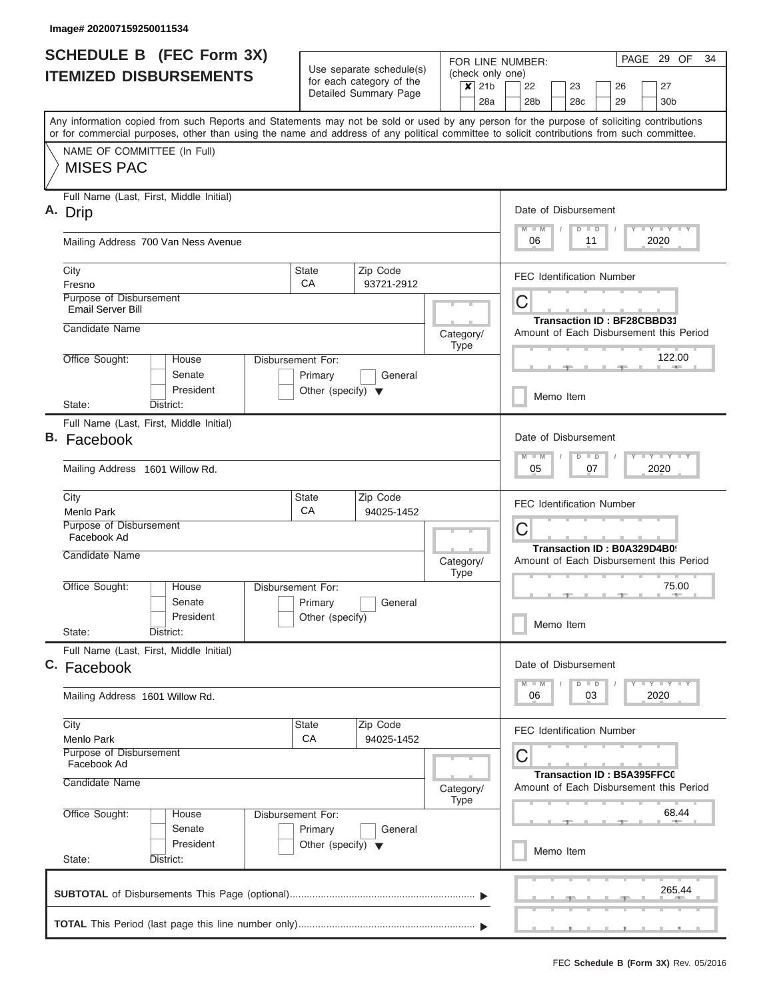| <b>SCHEDULE B</b> (FEC Form 3X)<br><b>ITEMIZED DISBURSEMENTS</b>                                                                                                                                                                                                                        | Use separate schedule(s)                                             |                                                   |           |             |                |                                          | PAGE 29 OF<br>FOR LINE NUMBER:<br>(check only one)                          |                                             |                                   |  |                                                                               |  |  |  |  |  |
|-----------------------------------------------------------------------------------------------------------------------------------------------------------------------------------------------------------------------------------------------------------------------------------------|----------------------------------------------------------------------|---------------------------------------------------|-----------|-------------|----------------|------------------------------------------|-----------------------------------------------------------------------------|---------------------------------------------|-----------------------------------|--|-------------------------------------------------------------------------------|--|--|--|--|--|
|                                                                                                                                                                                                                                                                                         |                                                                      | for each category of the<br>Detailed Summary Page |           |             | $x$ 21b<br>28a | 22<br>28 <sub>b</sub>                    |                                                                             | 23<br>28 <sub>c</sub>                       | 26<br>29                          |  | 27<br>30 <sub>b</sub>                                                         |  |  |  |  |  |
| Any information copied from such Reports and Statements may not be sold or used by any person for the purpose of soliciting contributions<br>or for commercial purposes, other than using the name and address of any political committee to solicit contributions from such committee. |                                                                      |                                                   |           |             |                |                                          |                                                                             |                                             |                                   |  |                                                                               |  |  |  |  |  |
| NAME OF COMMITTEE (In Full)<br><b>MISES PAC</b>                                                                                                                                                                                                                                         |                                                                      |                                                   |           |             |                |                                          |                                                                             |                                             |                                   |  |                                                                               |  |  |  |  |  |
| Full Name (Last, First, Middle Initial)<br>A. Drip                                                                                                                                                                                                                                      |                                                                      |                                                   |           |             |                | Date of Disbursement                     |                                                                             | D<br>$\blacksquare$                         |                                   |  | <b>LEY LEY LEY</b>                                                            |  |  |  |  |  |
| Mailing Address 700 Van Ness Avenue                                                                                                                                                                                                                                                     |                                                                      |                                                   |           |             |                | 06                                       |                                                                             | 11                                          |                                   |  | 2020                                                                          |  |  |  |  |  |
| City<br>Fresno                                                                                                                                                                                                                                                                          | <b>State</b><br>CA                                                   | Zip Code<br>93721-2912                            |           |             |                | FEC Identification Number                |                                                                             |                                             |                                   |  |                                                                               |  |  |  |  |  |
| Purpose of Disbursement<br><b>Email Server Bill</b>                                                                                                                                                                                                                                     |                                                                      |                                                   |           |             |                | C<br><b>Transaction ID: BF28CBBD31</b>   |                                                                             |                                             |                                   |  |                                                                               |  |  |  |  |  |
| Candidate Name                                                                                                                                                                                                                                                                          |                                                                      |                                                   | Category/ | <b>Type</b> |                | Amount of Each Disbursement this Period  |                                                                             |                                             |                                   |  |                                                                               |  |  |  |  |  |
| Office Sought:<br>House<br>Senate<br>President                                                                                                                                                                                                                                          | Disbursement For:<br>Primary<br>Other (specify) $\blacktriangledown$ | General                                           |           |             |                | 122.00<br><b>CONTRACTOR</b><br>Memo Item |                                                                             |                                             |                                   |  |                                                                               |  |  |  |  |  |
| State:<br>District:                                                                                                                                                                                                                                                                     |                                                                      |                                                   |           |             |                |                                          |                                                                             |                                             |                                   |  |                                                                               |  |  |  |  |  |
| Full Name (Last, First, Middle Initial)<br>B. Facebook                                                                                                                                                                                                                                  |                                                                      |                                                   |           |             |                |                                          |                                                                             | Date of Disbursement<br>$\blacksquare$<br>D |                                   |  | $- Y$<br><b>TILY</b>                                                          |  |  |  |  |  |
| Mailing Address 1601 Willow Rd.                                                                                                                                                                                                                                                         |                                                                      |                                                   |           |             |                | $-M$<br>05                               |                                                                             | 07                                          |                                   |  | 2020                                                                          |  |  |  |  |  |
| City<br>Menlo Park                                                                                                                                                                                                                                                                      | <b>State</b><br>CA                                                   | Zip Code<br>94025-1452                            |           |             |                | <b>FEC Identification Number</b>         |                                                                             |                                             |                                   |  |                                                                               |  |  |  |  |  |
| Purpose of Disbursement<br>Facebook Ad<br>Candidate Name                                                                                                                                                                                                                                | Category/                                                            |                                                   |           |             |                |                                          | C<br>Transaction ID: B0A329D4B09<br>Amount of Each Disbursement this Period |                                             |                                   |  |                                                                               |  |  |  |  |  |
| Office Sought:<br>House                                                                                                                                                                                                                                                                 | Disbursement For:                                                    |                                                   |           | <b>Type</b> |                |                                          |                                                                             |                                             |                                   |  | 75.00                                                                         |  |  |  |  |  |
| Senate<br>President                                                                                                                                                                                                                                                                     | Primary<br>Other (specify)                                           | General                                           |           |             |                |                                          | Memo Item                                                                   |                                             |                                   |  |                                                                               |  |  |  |  |  |
| State:<br>District:<br>Full Name (Last, First, Middle Initial)                                                                                                                                                                                                                          |                                                                      |                                                   |           |             |                |                                          |                                                                             |                                             |                                   |  |                                                                               |  |  |  |  |  |
| C. Facebook                                                                                                                                                                                                                                                                             |                                                                      |                                                   |           |             |                | Date of Disbursement                     |                                                                             | $\overline{D}$<br>$\blacksquare$            |                                   |  | $\mathbf{I}$ $\mathbf{Y}$ $\mathbf{I}$ $\mathbf{Y}$ $\mathbf{I}$ $\mathbf{Y}$ |  |  |  |  |  |
| Mailing Address 1601 Willow Rd.                                                                                                                                                                                                                                                         |                                                                      |                                                   |           |             |                | 06                                       |                                                                             | 03                                          |                                   |  | 2020                                                                          |  |  |  |  |  |
| City<br>Menlo Park<br>Purpose of Disbursement                                                                                                                                                                                                                                           | <b>State</b><br>СA                                                   | Zip Code<br>94025-1452                            |           |             |                | <b>FEC Identification Number</b><br>С    |                                                                             |                                             |                                   |  |                                                                               |  |  |  |  |  |
| Facebook Ad<br>Candidate Name                                                                                                                                                                                                                                                           |                                                                      |                                                   | Category/ |             |                |                                          |                                                                             |                                             | <b>Transaction ID: B5A395FFC0</b> |  | Amount of Each Disbursement this Period                                       |  |  |  |  |  |
| Office Sought:<br>House<br>Senate                                                                                                                                                                                                                                                       | Disbursement For:<br>Primary                                         | General                                           |           | <b>Type</b> |                |                                          |                                                                             |                                             |                                   |  | 68.44                                                                         |  |  |  |  |  |
| President<br>State:<br>District:                                                                                                                                                                                                                                                        | Other (specify) $\blacktriangledown$                                 |                                                   |           |             |                |                                          | Memo Item                                                                   |                                             |                                   |  |                                                                               |  |  |  |  |  |
|                                                                                                                                                                                                                                                                                         |                                                                      |                                                   |           |             |                |                                          |                                                                             |                                             |                                   |  | 265.44                                                                        |  |  |  |  |  |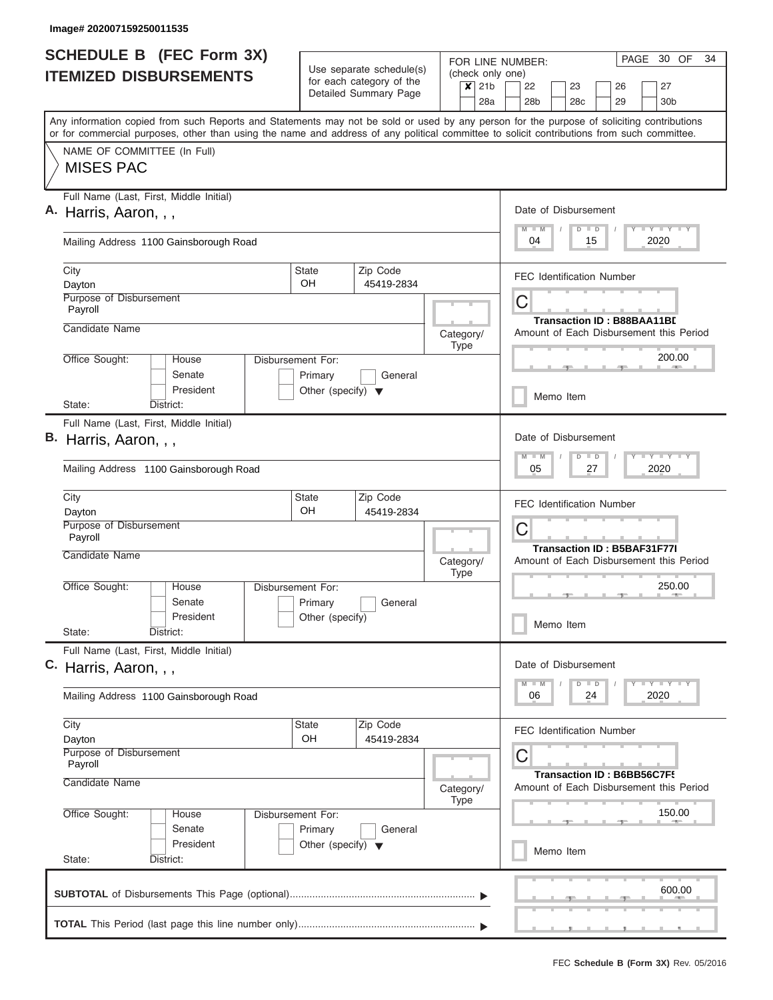| <b>SCHEDULE B</b> (FEC Form 3X)                                                                                                                                                                                                                                                         |                                      | Use separate schedule(s) |                                                 | PAGE 30 OF<br>34<br>FOR LINE NUMBER:                                                              |  |  |  |  |  |  |  |  |  |  |
|-----------------------------------------------------------------------------------------------------------------------------------------------------------------------------------------------------------------------------------------------------------------------------------------|--------------------------------------|--------------------------|-------------------------------------------------|---------------------------------------------------------------------------------------------------|--|--|--|--|--|--|--|--|--|--|
| <b>ITEMIZED DISBURSEMENTS</b>                                                                                                                                                                                                                                                           |                                      | for each category of the | (check only one)<br>$\overline{\mathsf{x}}$ 21b | 22<br>26<br>27<br>23                                                                              |  |  |  |  |  |  |  |  |  |  |
|                                                                                                                                                                                                                                                                                         |                                      | Detailed Summary Page    | 28a                                             | 28 <sub>b</sub><br>29<br>28 <sub>c</sub><br>30 <sub>b</sub>                                       |  |  |  |  |  |  |  |  |  |  |
| Any information copied from such Reports and Statements may not be sold or used by any person for the purpose of soliciting contributions<br>or for commercial purposes, other than using the name and address of any political committee to solicit contributions from such committee. |                                      |                          |                                                 |                                                                                                   |  |  |  |  |  |  |  |  |  |  |
| NAME OF COMMITTEE (In Full)<br><b>MISES PAC</b>                                                                                                                                                                                                                                         |                                      |                          |                                                 |                                                                                                   |  |  |  |  |  |  |  |  |  |  |
| Full Name (Last, First, Middle Initial)<br>A. Harris, Aaron, , ,                                                                                                                                                                                                                        |                                      |                          |                                                 | Date of Disbursement<br>Y LY LY LY<br>$D$ $D$                                                     |  |  |  |  |  |  |  |  |  |  |
| Mailing Address 1100 Gainsborough Road                                                                                                                                                                                                                                                  |                                      |                          |                                                 | 2020<br>04<br>15                                                                                  |  |  |  |  |  |  |  |  |  |  |
| City<br>Dayton                                                                                                                                                                                                                                                                          | <b>State</b><br>OH                   | Zip Code<br>45419-2834   |                                                 | <b>FEC Identification Number</b>                                                                  |  |  |  |  |  |  |  |  |  |  |
| Purpose of Disbursement<br>Payroll                                                                                                                                                                                                                                                      |                                      |                          |                                                 | C<br><b>Transaction ID: B88BAA11BD</b>                                                            |  |  |  |  |  |  |  |  |  |  |
| Candidate Name                                                                                                                                                                                                                                                                          |                                      |                          | Category/<br><b>Type</b>                        | Amount of Each Disbursement this Period                                                           |  |  |  |  |  |  |  |  |  |  |
| Office Sought:<br>House<br>Senate                                                                                                                                                                                                                                                       | <b>Disbursement For:</b><br>Primary  | General                  |                                                 | 200.00                                                                                            |  |  |  |  |  |  |  |  |  |  |
| President<br>State:<br>District:                                                                                                                                                                                                                                                        | Other (specify) $\blacktriangledown$ |                          |                                                 | Memo Item                                                                                         |  |  |  |  |  |  |  |  |  |  |
| Full Name (Last, First, Middle Initial)<br>B. Harris, Aaron, , ,                                                                                                                                                                                                                        |                                      |                          |                                                 | Date of Disbursement                                                                              |  |  |  |  |  |  |  |  |  |  |
| Mailing Address 1100 Gainsborough Road                                                                                                                                                                                                                                                  |                                      |                          |                                                 | $\Box Y \Box Y$<br>$\overline{M}$<br>$\overline{D}$<br>$\blacksquare$<br>$-M$<br>2020<br>05<br>27 |  |  |  |  |  |  |  |  |  |  |
| City<br>Dayton                                                                                                                                                                                                                                                                          | <b>State</b><br>OH                   | Zip Code<br>45419-2834   |                                                 | <b>FEC Identification Number</b>                                                                  |  |  |  |  |  |  |  |  |  |  |
| Purpose of Disbursement<br>Payroll                                                                                                                                                                                                                                                      |                                      |                          |                                                 | C<br><b>Transaction ID: B5BAF31F77I</b>                                                           |  |  |  |  |  |  |  |  |  |  |
| Candidate Name                                                                                                                                                                                                                                                                          |                                      |                          | Category/<br><b>Type</b>                        | Amount of Each Disbursement this Period                                                           |  |  |  |  |  |  |  |  |  |  |
| Office Sought:<br>House<br>Senate                                                                                                                                                                                                                                                       | Disbursement For:<br>Primary         | General                  |                                                 | 250.00                                                                                            |  |  |  |  |  |  |  |  |  |  |
| President<br>State:<br>District:                                                                                                                                                                                                                                                        | Other (specify)                      |                          |                                                 | Memo Item                                                                                         |  |  |  |  |  |  |  |  |  |  |
| Full Name (Last, First, Middle Initial)<br>C. Harris, Aaron, , ,                                                                                                                                                                                                                        |                                      |                          |                                                 | Date of Disbursement                                                                              |  |  |  |  |  |  |  |  |  |  |
| Mailing Address 1100 Gainsborough Road                                                                                                                                                                                                                                                  |                                      |                          |                                                 | $T$ $Y$ $T$ $Y$ $T$ $Y$<br>D<br>$\blacksquare$<br>24<br>2020<br>06                                |  |  |  |  |  |  |  |  |  |  |
| City<br>Dayton                                                                                                                                                                                                                                                                          | State<br>OH                          | Zip Code<br>45419-2834   |                                                 | <b>FEC Identification Number</b>                                                                  |  |  |  |  |  |  |  |  |  |  |
| Purpose of Disbursement<br>Payroll                                                                                                                                                                                                                                                      |                                      |                          |                                                 | C<br>Transaction ID: B6BB56C7F!                                                                   |  |  |  |  |  |  |  |  |  |  |
| Candidate Name                                                                                                                                                                                                                                                                          |                                      |                          | Category/<br><b>Type</b>                        | Amount of Each Disbursement this Period                                                           |  |  |  |  |  |  |  |  |  |  |
| Office Sought:<br>House<br>Senate                                                                                                                                                                                                                                                       | Disbursement For:<br>Primary         | General                  |                                                 | 150.00                                                                                            |  |  |  |  |  |  |  |  |  |  |
| President<br>State:<br>District:                                                                                                                                                                                                                                                        | Other (specify) $\blacktriangledown$ |                          |                                                 | Memo Item                                                                                         |  |  |  |  |  |  |  |  |  |  |
|                                                                                                                                                                                                                                                                                         |                                      |                          |                                                 | 600.00                                                                                            |  |  |  |  |  |  |  |  |  |  |
|                                                                                                                                                                                                                                                                                         |                                      |                          |                                                 |                                                                                                   |  |  |  |  |  |  |  |  |  |  |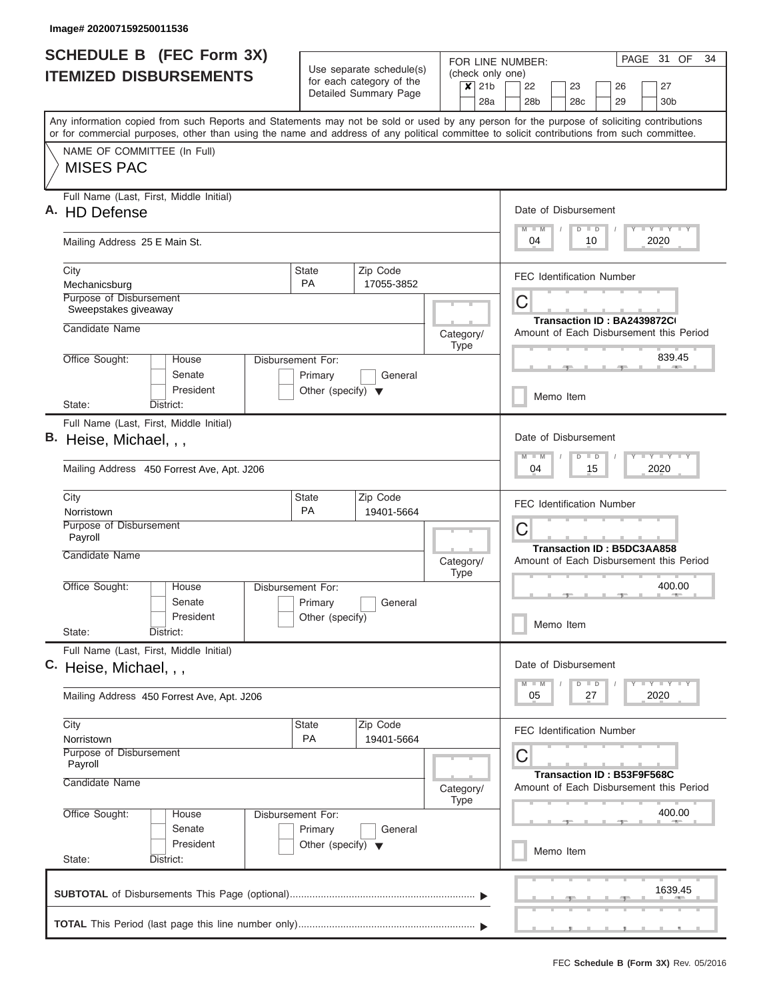| <b>SCHEDULE B</b> (FEC Form 3X)<br><b>ITEMIZED DISBURSEMENTS</b>                                                                                                                                                                                                                                                       |                                                                      | Use separate schedule(s)                                      | (check only one)               | PAGE 31 OF<br>34<br>FOR LINE NUMBER:                                                |  |  |  |  |  |  |  |  |  |  |
|------------------------------------------------------------------------------------------------------------------------------------------------------------------------------------------------------------------------------------------------------------------------------------------------------------------------|----------------------------------------------------------------------|---------------------------------------------------------------|--------------------------------|-------------------------------------------------------------------------------------|--|--|--|--|--|--|--|--|--|--|
|                                                                                                                                                                                                                                                                                                                        |                                                                      | for each category of the<br>Detailed Summary Page             | 21b<br>$\boldsymbol{x}$<br>28a | 22<br>23<br>26<br>27<br>28 <sub>b</sub><br>28 <sub>c</sub><br>29<br>30 <sub>b</sub> |  |  |  |  |  |  |  |  |  |  |
| Any information copied from such Reports and Statements may not be sold or used by any person for the purpose of soliciting contributions<br>or for commercial purposes, other than using the name and address of any political committee to solicit contributions from such committee.<br>NAME OF COMMITTEE (In Full) |                                                                      |                                                               |                                |                                                                                     |  |  |  |  |  |  |  |  |  |  |
| <b>MISES PAC</b>                                                                                                                                                                                                                                                                                                       |                                                                      |                                                               |                                |                                                                                     |  |  |  |  |  |  |  |  |  |  |
| Full Name (Last, First, Middle Initial)<br><b>HD Defense</b>                                                                                                                                                                                                                                                           |                                                                      |                                                               |                                | Date of Disbursement<br><b>TEY LY LY</b><br>$M - M$<br>$D$ $D$                      |  |  |  |  |  |  |  |  |  |  |
| Mailing Address 25 E Main St.                                                                                                                                                                                                                                                                                          |                                                                      |                                                               |                                | 10<br>2020<br>04                                                                    |  |  |  |  |  |  |  |  |  |  |
| City<br>Mechanicsburg                                                                                                                                                                                                                                                                                                  | State<br><b>PA</b>                                                   | Zip Code<br>17055-3852                                        |                                | <b>FEC Identification Number</b>                                                    |  |  |  |  |  |  |  |  |  |  |
| Purpose of Disbursement<br>Sweepstakes giveaway                                                                                                                                                                                                                                                                        |                                                                      |                                                               |                                | C<br>Transaction ID: BA2439872C(                                                    |  |  |  |  |  |  |  |  |  |  |
| Candidate Name                                                                                                                                                                                                                                                                                                         |                                                                      |                                                               | Category/<br>Type              | Amount of Each Disbursement this Period                                             |  |  |  |  |  |  |  |  |  |  |
| Office Sought:<br>House<br>Senate                                                                                                                                                                                                                                                                                      | Disbursement For:<br>Primary                                         | General                                                       |                                | 839.45                                                                              |  |  |  |  |  |  |  |  |  |  |
| President<br>District:<br>State:                                                                                                                                                                                                                                                                                       | Other (specify) $\blacktriangledown$                                 |                                                               |                                | Memo Item                                                                           |  |  |  |  |  |  |  |  |  |  |
| Full Name (Last, First, Middle Initial)<br>Heise, Michael, , ,                                                                                                                                                                                                                                                         |                                                                      | Date of Disbursement<br><b>LY LY LY</b><br>$M - M$<br>$D$ $D$ |                                |                                                                                     |  |  |  |  |  |  |  |  |  |  |
| Mailing Address 450 Forrest Ave, Apt. J206                                                                                                                                                                                                                                                                             |                                                                      |                                                               |                                | 04<br>15<br>2020                                                                    |  |  |  |  |  |  |  |  |  |  |
| City<br>Norristown                                                                                                                                                                                                                                                                                                     | State<br><b>PA</b>                                                   | Zip Code<br>19401-5664                                        |                                | <b>FEC Identification Number</b>                                                    |  |  |  |  |  |  |  |  |  |  |
| Purpose of Disbursement<br>Payroll                                                                                                                                                                                                                                                                                     |                                                                      |                                                               |                                | C<br><b>Transaction ID: B5DC3AA858</b>                                              |  |  |  |  |  |  |  |  |  |  |
| Candidate Name                                                                                                                                                                                                                                                                                                         |                                                                      |                                                               | Category/<br><b>Type</b>       | Amount of Each Disbursement this Period                                             |  |  |  |  |  |  |  |  |  |  |
| Office Sought:<br>House<br>Senate<br>President                                                                                                                                                                                                                                                                         | Disbursement For:<br>Primary<br>Other (specify)                      | General                                                       |                                | 400.00                                                                              |  |  |  |  |  |  |  |  |  |  |
| State:<br>District:                                                                                                                                                                                                                                                                                                    |                                                                      |                                                               |                                | Memo Item                                                                           |  |  |  |  |  |  |  |  |  |  |
| Full Name (Last, First, Middle Initial)<br>C. Heise, Michael, , ,                                                                                                                                                                                                                                                      |                                                                      |                                                               |                                | Date of Disbursement<br>$T - Y$ $T - Y$ $T - Y$                                     |  |  |  |  |  |  |  |  |  |  |
| Mailing Address 450 Forrest Ave, Apt. J206                                                                                                                                                                                                                                                                             |                                                                      |                                                               |                                | $M - M$<br>$D$ $D$<br>2020<br>05<br>27                                              |  |  |  |  |  |  |  |  |  |  |
| City<br>Norristown                                                                                                                                                                                                                                                                                                     | State<br>PA                                                          | Zip Code<br>19401-5664                                        |                                | <b>FEC Identification Number</b>                                                    |  |  |  |  |  |  |  |  |  |  |
| Purpose of Disbursement<br>Payroll                                                                                                                                                                                                                                                                                     |                                                                      |                                                               |                                | С<br>Transaction ID: B53F9F568C                                                     |  |  |  |  |  |  |  |  |  |  |
| Candidate Name                                                                                                                                                                                                                                                                                                         |                                                                      |                                                               | Category/<br>Type              | Amount of Each Disbursement this Period                                             |  |  |  |  |  |  |  |  |  |  |
| Office Sought:<br>House<br>Senate<br>President                                                                                                                                                                                                                                                                         | Disbursement For:<br>Primary<br>Other (specify) $\blacktriangledown$ | General                                                       |                                | 400.00                                                                              |  |  |  |  |  |  |  |  |  |  |
| State:<br>District:                                                                                                                                                                                                                                                                                                    |                                                                      |                                                               |                                | Memo Item                                                                           |  |  |  |  |  |  |  |  |  |  |
|                                                                                                                                                                                                                                                                                                                        |                                                                      |                                                               |                                | 1639.45                                                                             |  |  |  |  |  |  |  |  |  |  |
|                                                                                                                                                                                                                                                                                                                        |                                                                      |                                                               |                                | <b>.</b><br>__<br>___                                                               |  |  |  |  |  |  |  |  |  |  |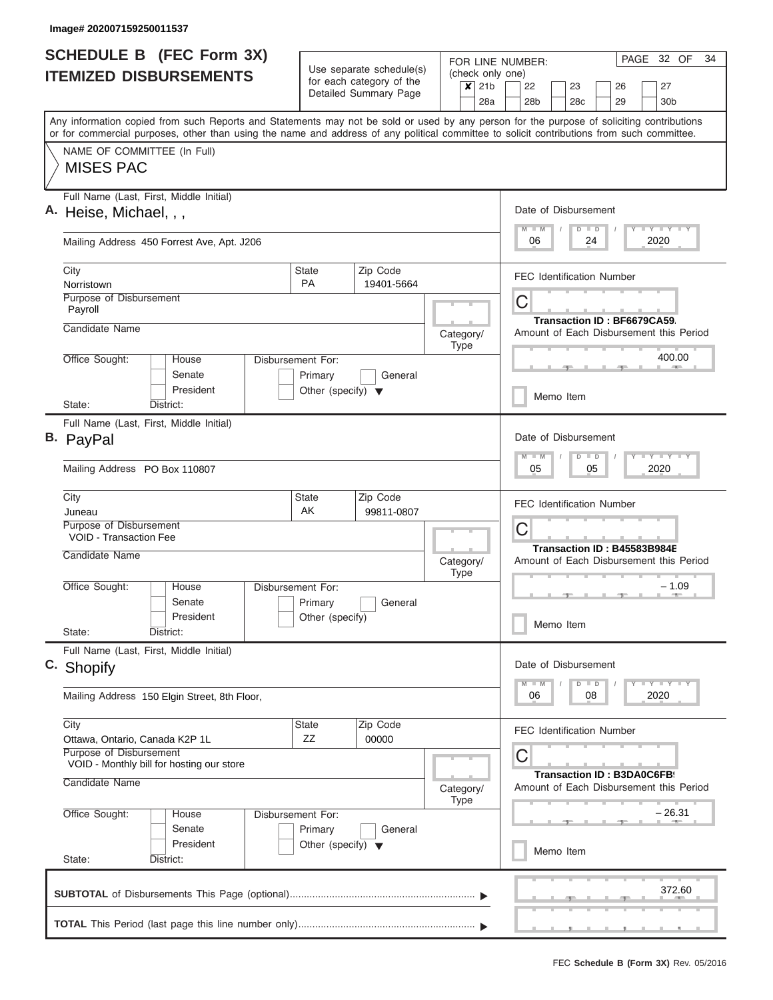| (check only one)<br>for each category of the<br>$x$ 21b<br>22<br>23<br>26<br>27<br>Detailed Summary Page<br>28a<br>28 <sub>b</sub><br>28c<br>29<br>30 <sub>b</sub><br>Any information copied from such Reports and Statements may not be sold or used by any person for the purpose of soliciting contributions<br>or for commercial purposes, other than using the name and address of any political committee to solicit contributions from such committee.<br>NAME OF COMMITTEE (In Full)<br><b>MISES PAC</b><br>Full Name (Last, First, Middle Initial)<br>Date of Disbursement<br>Y FY FY FY<br>$D$ $D$<br>24<br>2020<br>Mailing Address 450 Forrest Ave, Apt. J206<br>06<br>City<br><b>State</b><br>Zip Code<br><b>FEC Identification Number</b><br><b>PA</b><br>Norristown<br>19401-5664<br>Purpose of Disbursement<br>C<br>Payroll<br>Transaction ID: BF6679CA59<br>Candidate Name<br>Category/<br><b>Type</b><br>400.00<br>Office Sought:<br>House<br>Disbursement For:<br><b>Contract Contract</b><br>Senate<br>Primary<br>General<br>President<br>Other (specify) $\blacktriangledown$<br>Memo Item<br>State:<br>District:<br>Full Name (Last, First, Middle Initial)<br>Date of Disbursement<br>B. PayPal<br>$-1 - Y - 1 - Y - 1 - Y$<br>M<br>$-W$<br>$D$ $D$<br>05<br>05<br>2020<br>Mailing Address PO Box 110807<br>City<br><b>State</b><br>Zip Code<br><b>FEC Identification Number</b><br>AK<br>99811-0807<br>Juneau<br>Purpose of Disbursement<br>C<br><b>VOID - Transaction Fee</b><br>Transaction ID: B45583B984E<br>Candidate Name<br>Category/<br><b>Type</b><br>Office Sought:<br>– 1.09<br>House<br>Disbursement For:<br><b>AND A</b><br>Senate<br>Primary<br>General<br>President<br>Other (specify)<br>Memo Item<br>State:<br>District:<br>Full Name (Last, First, Middle Initial)<br>C. Shopify<br>Date of Disbursement<br>$\mathbf{I}$ $\mathbf{Y}$ $\mathbf{I}$ $\mathbf{Y}$ $\mathbf{I}$ $\mathbf{Y}$<br>$D$ $D$<br>2020<br>08<br>Mailing Address 150 Elgin Street, 8th Floor,<br>06<br>City<br><b>State</b><br>Zip Code<br><b>FEC Identification Number</b><br><b>ZZ</b><br>00000<br>Ottawa, Ontario, Canada K2P 1L<br>Purpose of Disbursement<br>С<br>VOID - Monthly bill for hosting our store<br><b>Transaction ID: B3DA0C6FB9</b><br>Candidate Name<br>Amount of Each Disbursement this Period<br>Category/<br><b>Type</b><br>– 26.31<br>Office Sought:<br>House<br>Disbursement For:<br>Senate<br>Primary<br>General<br>President<br>Other (specify) $\blacktriangledown$<br>Memo Item<br>State:<br>District:<br>372.60 | <b>SCHEDULE B</b> (FEC Form 3X) |  | Use separate schedule(s) |  | PAGE 32 OF<br>FOR LINE NUMBER: |                                         |  |                                         |  |  |  |  |  |  |  |  |
|------------------------------------------------------------------------------------------------------------------------------------------------------------------------------------------------------------------------------------------------------------------------------------------------------------------------------------------------------------------------------------------------------------------------------------------------------------------------------------------------------------------------------------------------------------------------------------------------------------------------------------------------------------------------------------------------------------------------------------------------------------------------------------------------------------------------------------------------------------------------------------------------------------------------------------------------------------------------------------------------------------------------------------------------------------------------------------------------------------------------------------------------------------------------------------------------------------------------------------------------------------------------------------------------------------------------------------------------------------------------------------------------------------------------------------------------------------------------------------------------------------------------------------------------------------------------------------------------------------------------------------------------------------------------------------------------------------------------------------------------------------------------------------------------------------------------------------------------------------------------------------------------------------------------------------------------------------------------------------------------------------------------------------------------------------------------------------------------------------------------------------------------------------------------------------------------------------------------------------------------------------------------------------------------------------------------------------------------------------------------------------------------------------------------------------------------------------------------------------------------------------------------------------------------------------|---------------------------------|--|--------------------------|--|--------------------------------|-----------------------------------------|--|-----------------------------------------|--|--|--|--|--|--|--|--|
|                                                                                                                                                                                                                                                                                                                                                                                                                                                                                                                                                                                                                                                                                                                                                                                                                                                                                                                                                                                                                                                                                                                                                                                                                                                                                                                                                                                                                                                                                                                                                                                                                                                                                                                                                                                                                                                                                                                                                                                                                                                                                                                                                                                                                                                                                                                                                                                                                                                                                                                                                            | <b>ITEMIZED DISBURSEMENTS</b>   |  |                          |  |                                |                                         |  |                                         |  |  |  |  |  |  |  |  |
|                                                                                                                                                                                                                                                                                                                                                                                                                                                                                                                                                                                                                                                                                                                                                                                                                                                                                                                                                                                                                                                                                                                                                                                                                                                                                                                                                                                                                                                                                                                                                                                                                                                                                                                                                                                                                                                                                                                                                                                                                                                                                                                                                                                                                                                                                                                                                                                                                                                                                                                                                            |                                 |  |                          |  |                                |                                         |  |                                         |  |  |  |  |  |  |  |  |
|                                                                                                                                                                                                                                                                                                                                                                                                                                                                                                                                                                                                                                                                                                                                                                                                                                                                                                                                                                                                                                                                                                                                                                                                                                                                                                                                                                                                                                                                                                                                                                                                                                                                                                                                                                                                                                                                                                                                                                                                                                                                                                                                                                                                                                                                                                                                                                                                                                                                                                                                                            |                                 |  |                          |  |                                |                                         |  |                                         |  |  |  |  |  |  |  |  |
|                                                                                                                                                                                                                                                                                                                                                                                                                                                                                                                                                                                                                                                                                                                                                                                                                                                                                                                                                                                                                                                                                                                                                                                                                                                                                                                                                                                                                                                                                                                                                                                                                                                                                                                                                                                                                                                                                                                                                                                                                                                                                                                                                                                                                                                                                                                                                                                                                                                                                                                                                            | A. Heise, Michael, , ,          |  |                          |  |                                |                                         |  |                                         |  |  |  |  |  |  |  |  |
|                                                                                                                                                                                                                                                                                                                                                                                                                                                                                                                                                                                                                                                                                                                                                                                                                                                                                                                                                                                                                                                                                                                                                                                                                                                                                                                                                                                                                                                                                                                                                                                                                                                                                                                                                                                                                                                                                                                                                                                                                                                                                                                                                                                                                                                                                                                                                                                                                                                                                                                                                            |                                 |  |                          |  |                                |                                         |  |                                         |  |  |  |  |  |  |  |  |
|                                                                                                                                                                                                                                                                                                                                                                                                                                                                                                                                                                                                                                                                                                                                                                                                                                                                                                                                                                                                                                                                                                                                                                                                                                                                                                                                                                                                                                                                                                                                                                                                                                                                                                                                                                                                                                                                                                                                                                                                                                                                                                                                                                                                                                                                                                                                                                                                                                                                                                                                                            |                                 |  |                          |  |                                |                                         |  |                                         |  |  |  |  |  |  |  |  |
|                                                                                                                                                                                                                                                                                                                                                                                                                                                                                                                                                                                                                                                                                                                                                                                                                                                                                                                                                                                                                                                                                                                                                                                                                                                                                                                                                                                                                                                                                                                                                                                                                                                                                                                                                                                                                                                                                                                                                                                                                                                                                                                                                                                                                                                                                                                                                                                                                                                                                                                                                            |                                 |  |                          |  |                                | Amount of Each Disbursement this Period |  |                                         |  |  |  |  |  |  |  |  |
|                                                                                                                                                                                                                                                                                                                                                                                                                                                                                                                                                                                                                                                                                                                                                                                                                                                                                                                                                                                                                                                                                                                                                                                                                                                                                                                                                                                                                                                                                                                                                                                                                                                                                                                                                                                                                                                                                                                                                                                                                                                                                                                                                                                                                                                                                                                                                                                                                                                                                                                                                            |                                 |  |                          |  |                                |                                         |  |                                         |  |  |  |  |  |  |  |  |
|                                                                                                                                                                                                                                                                                                                                                                                                                                                                                                                                                                                                                                                                                                                                                                                                                                                                                                                                                                                                                                                                                                                                                                                                                                                                                                                                                                                                                                                                                                                                                                                                                                                                                                                                                                                                                                                                                                                                                                                                                                                                                                                                                                                                                                                                                                                                                                                                                                                                                                                                                            |                                 |  |                          |  |                                |                                         |  |                                         |  |  |  |  |  |  |  |  |
|                                                                                                                                                                                                                                                                                                                                                                                                                                                                                                                                                                                                                                                                                                                                                                                                                                                                                                                                                                                                                                                                                                                                                                                                                                                                                                                                                                                                                                                                                                                                                                                                                                                                                                                                                                                                                                                                                                                                                                                                                                                                                                                                                                                                                                                                                                                                                                                                                                                                                                                                                            |                                 |  |                          |  |                                |                                         |  |                                         |  |  |  |  |  |  |  |  |
|                                                                                                                                                                                                                                                                                                                                                                                                                                                                                                                                                                                                                                                                                                                                                                                                                                                                                                                                                                                                                                                                                                                                                                                                                                                                                                                                                                                                                                                                                                                                                                                                                                                                                                                                                                                                                                                                                                                                                                                                                                                                                                                                                                                                                                                                                                                                                                                                                                                                                                                                                            |                                 |  |                          |  |                                |                                         |  |                                         |  |  |  |  |  |  |  |  |
|                                                                                                                                                                                                                                                                                                                                                                                                                                                                                                                                                                                                                                                                                                                                                                                                                                                                                                                                                                                                                                                                                                                                                                                                                                                                                                                                                                                                                                                                                                                                                                                                                                                                                                                                                                                                                                                                                                                                                                                                                                                                                                                                                                                                                                                                                                                                                                                                                                                                                                                                                            |                                 |  |                          |  |                                |                                         |  | Amount of Each Disbursement this Period |  |  |  |  |  |  |  |  |
|                                                                                                                                                                                                                                                                                                                                                                                                                                                                                                                                                                                                                                                                                                                                                                                                                                                                                                                                                                                                                                                                                                                                                                                                                                                                                                                                                                                                                                                                                                                                                                                                                                                                                                                                                                                                                                                                                                                                                                                                                                                                                                                                                                                                                                                                                                                                                                                                                                                                                                                                                            |                                 |  |                          |  |                                |                                         |  |                                         |  |  |  |  |  |  |  |  |
|                                                                                                                                                                                                                                                                                                                                                                                                                                                                                                                                                                                                                                                                                                                                                                                                                                                                                                                                                                                                                                                                                                                                                                                                                                                                                                                                                                                                                                                                                                                                                                                                                                                                                                                                                                                                                                                                                                                                                                                                                                                                                                                                                                                                                                                                                                                                                                                                                                                                                                                                                            |                                 |  |                          |  |                                |                                         |  |                                         |  |  |  |  |  |  |  |  |
|                                                                                                                                                                                                                                                                                                                                                                                                                                                                                                                                                                                                                                                                                                                                                                                                                                                                                                                                                                                                                                                                                                                                                                                                                                                                                                                                                                                                                                                                                                                                                                                                                                                                                                                                                                                                                                                                                                                                                                                                                                                                                                                                                                                                                                                                                                                                                                                                                                                                                                                                                            |                                 |  |                          |  |                                |                                         |  |                                         |  |  |  |  |  |  |  |  |
|                                                                                                                                                                                                                                                                                                                                                                                                                                                                                                                                                                                                                                                                                                                                                                                                                                                                                                                                                                                                                                                                                                                                                                                                                                                                                                                                                                                                                                                                                                                                                                                                                                                                                                                                                                                                                                                                                                                                                                                                                                                                                                                                                                                                                                                                                                                                                                                                                                                                                                                                                            |                                 |  |                          |  |                                |                                         |  |                                         |  |  |  |  |  |  |  |  |
|                                                                                                                                                                                                                                                                                                                                                                                                                                                                                                                                                                                                                                                                                                                                                                                                                                                                                                                                                                                                                                                                                                                                                                                                                                                                                                                                                                                                                                                                                                                                                                                                                                                                                                                                                                                                                                                                                                                                                                                                                                                                                                                                                                                                                                                                                                                                                                                                                                                                                                                                                            |                                 |  |                          |  |                                |                                         |  |                                         |  |  |  |  |  |  |  |  |
|                                                                                                                                                                                                                                                                                                                                                                                                                                                                                                                                                                                                                                                                                                                                                                                                                                                                                                                                                                                                                                                                                                                                                                                                                                                                                                                                                                                                                                                                                                                                                                                                                                                                                                                                                                                                                                                                                                                                                                                                                                                                                                                                                                                                                                                                                                                                                                                                                                                                                                                                                            |                                 |  |                          |  |                                |                                         |  |                                         |  |  |  |  |  |  |  |  |
|                                                                                                                                                                                                                                                                                                                                                                                                                                                                                                                                                                                                                                                                                                                                                                                                                                                                                                                                                                                                                                                                                                                                                                                                                                                                                                                                                                                                                                                                                                                                                                                                                                                                                                                                                                                                                                                                                                                                                                                                                                                                                                                                                                                                                                                                                                                                                                                                                                                                                                                                                            |                                 |  |                          |  |                                |                                         |  |                                         |  |  |  |  |  |  |  |  |
|                                                                                                                                                                                                                                                                                                                                                                                                                                                                                                                                                                                                                                                                                                                                                                                                                                                                                                                                                                                                                                                                                                                                                                                                                                                                                                                                                                                                                                                                                                                                                                                                                                                                                                                                                                                                                                                                                                                                                                                                                                                                                                                                                                                                                                                                                                                                                                                                                                                                                                                                                            |                                 |  |                          |  |                                |                                         |  |                                         |  |  |  |  |  |  |  |  |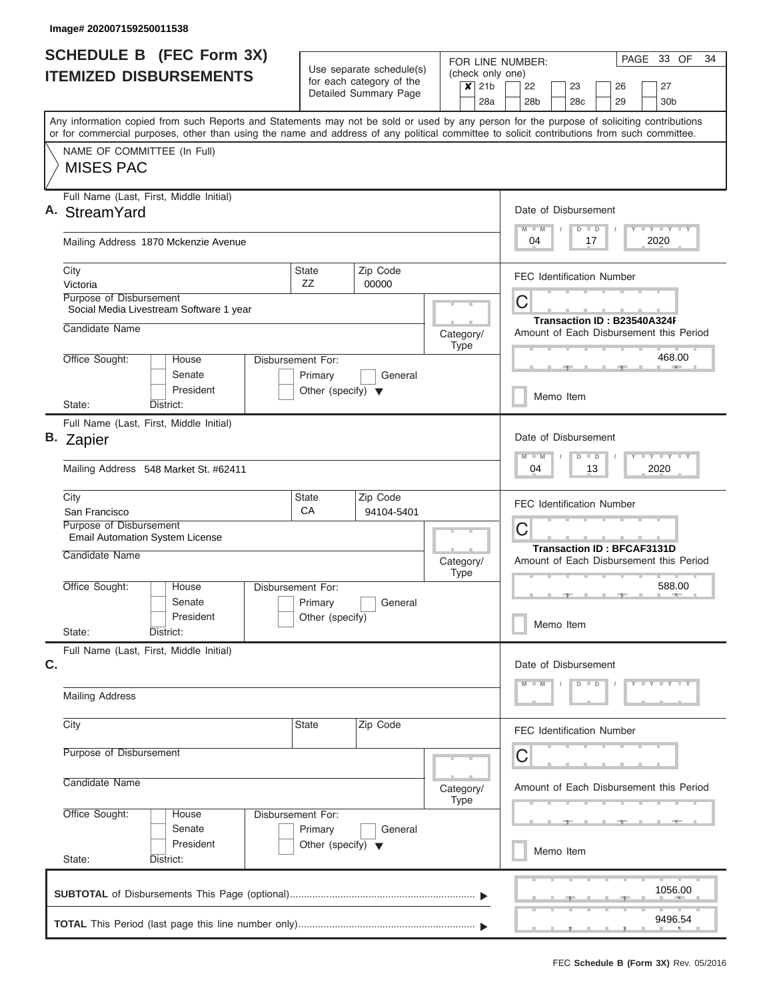| <b>SCHEDULE B (FEC Form 3X)</b> |                               |                                                                                                                                                                                                                                                                                         |                                                         | Use separate schedule(s)             |                        |           |                          | PAGE 33 OF<br>34<br>FOR LINE NUMBER: |                                                                        |           |     |               |    |  |  |                                             |  |  |  |  |
|---------------------------------|-------------------------------|-----------------------------------------------------------------------------------------------------------------------------------------------------------------------------------------------------------------------------------------------------------------------------------------|---------------------------------------------------------|--------------------------------------|------------------------|-----------|--------------------------|--------------------------------------|------------------------------------------------------------------------|-----------|-----|---------------|----|--|--|---------------------------------------------|--|--|--|--|
|                                 | <b>ITEMIZED DISBURSEMENTS</b> |                                                                                                                                                                                                                                                                                         | for each category of the<br>$\overline{\mathsf{x}}$ 21b |                                      |                        |           |                          |                                      | (check only one)<br>22<br>26<br>27<br>23                               |           |     |               |    |  |  |                                             |  |  |  |  |
|                                 |                               |                                                                                                                                                                                                                                                                                         |                                                         |                                      | Detailed Summary Page  |           |                          | 28a                                  | 28 <sub>b</sub>                                                        |           | 28c |               | 29 |  |  | 30 <sub>b</sub>                             |  |  |  |  |
|                                 |                               | Any information copied from such Reports and Statements may not be sold or used by any person for the purpose of soliciting contributions<br>or for commercial purposes, other than using the name and address of any political committee to solicit contributions from such committee. |                                                         |                                      |                        |           |                          |                                      |                                                                        |           |     |               |    |  |  |                                             |  |  |  |  |
|                                 |                               | NAME OF COMMITTEE (In Full)                                                                                                                                                                                                                                                             |                                                         |                                      |                        |           |                          |                                      |                                                                        |           |     |               |    |  |  |                                             |  |  |  |  |
|                                 | <b>MISES PAC</b>              |                                                                                                                                                                                                                                                                                         |                                                         |                                      |                        |           |                          |                                      |                                                                        |           |     |               |    |  |  |                                             |  |  |  |  |
|                                 | A. StreamYard                 | Full Name (Last, First, Middle Initial)                                                                                                                                                                                                                                                 |                                                         |                                      |                        |           |                          |                                      | Date of Disbursement                                                   |           |     |               |    |  |  |                                             |  |  |  |  |
|                                 |                               | Mailing Address 1870 Mckenzie Avenue                                                                                                                                                                                                                                                    |                                                         |                                      |                        |           |                          |                                      | 04                                                                     |           |     | $D$ $D$<br>17 |    |  |  | Y FY FY FY<br>2020                          |  |  |  |  |
| City<br>Victoria                |                               |                                                                                                                                                                                                                                                                                         |                                                         | <b>State</b><br>ZZ                   | Zip Code<br>00000      |           |                          |                                      | <b>FEC Identification Number</b>                                       |           |     |               |    |  |  |                                             |  |  |  |  |
|                                 | Purpose of Disbursement       | Social Media Livestream Software 1 year                                                                                                                                                                                                                                                 |                                                         |                                      |                        |           |                          |                                      | C                                                                      |           |     |               |    |  |  |                                             |  |  |  |  |
|                                 | Candidate Name                |                                                                                                                                                                                                                                                                                         |                                                         |                                      |                        | Category/ | <b>Type</b>              |                                      | Transaction ID: B23540A324F<br>Amount of Each Disbursement this Period |           |     |               |    |  |  |                                             |  |  |  |  |
|                                 | Office Sought:                | House<br>Senate                                                                                                                                                                                                                                                                         |                                                         | Disbursement For:<br>Primary         | General                |           |                          |                                      |                                                                        |           |     |               |    |  |  | 468.00<br><b>Contract Contract Contract</b> |  |  |  |  |
| State:                          |                               | President<br>District:                                                                                                                                                                                                                                                                  |                                                         | Other (specify) $\blacktriangledown$ |                        |           |                          |                                      | Memo Item                                                              |           |     |               |    |  |  |                                             |  |  |  |  |
|                                 |                               | Full Name (Last, First, Middle Initial)                                                                                                                                                                                                                                                 |                                                         |                                      |                        |           |                          |                                      |                                                                        |           |     |               |    |  |  |                                             |  |  |  |  |
| B. Zapier                       |                               |                                                                                                                                                                                                                                                                                         |                                                         |                                      |                        |           |                          |                                      | Date of Disbursement                                                   |           |     |               |    |  |  |                                             |  |  |  |  |
|                                 |                               | Mailing Address 548 Market St. #62411                                                                                                                                                                                                                                                   |                                                         |                                      |                        |           |                          |                                      | 04                                                                     |           |     | $D$ $D$<br>13 |    |  |  | $T - Y$ $T - Y$ $T - Y$<br>2020             |  |  |  |  |
| City                            | San Francisco                 |                                                                                                                                                                                                                                                                                         |                                                         | <b>State</b><br>CA                   | Zip Code<br>94104-5401 |           |                          |                                      | <b>FEC Identification Number</b>                                       |           |     |               |    |  |  |                                             |  |  |  |  |
|                                 | Purpose of Disbursement       | Email Automation System License                                                                                                                                                                                                                                                         |                                                         |                                      |                        |           |                          |                                      | C<br><b>Transaction ID: BFCAF3131D</b>                                 |           |     |               |    |  |  |                                             |  |  |  |  |
|                                 | Candidate Name                |                                                                                                                                                                                                                                                                                         |                                                         |                                      |                        |           | Category/<br><b>Type</b> |                                      | Amount of Each Disbursement this Period                                |           |     |               |    |  |  |                                             |  |  |  |  |
|                                 | Office Sought:                | House<br>Senate                                                                                                                                                                                                                                                                         |                                                         | Disbursement For:<br>Primary         | General                |           |                          |                                      |                                                                        |           |     |               |    |  |  | 588.00                                      |  |  |  |  |
| State:                          |                               | President<br>District:                                                                                                                                                                                                                                                                  |                                                         | Other (specify)                      |                        |           |                          |                                      |                                                                        | Memo Item |     |               |    |  |  |                                             |  |  |  |  |
|                                 |                               | Full Name (Last, First, Middle Initial)                                                                                                                                                                                                                                                 |                                                         |                                      |                        |           |                          |                                      |                                                                        |           |     |               |    |  |  |                                             |  |  |  |  |
| C.                              |                               |                                                                                                                                                                                                                                                                                         |                                                         |                                      |                        |           |                          |                                      | Date of Disbursement                                                   |           |     |               |    |  |  |                                             |  |  |  |  |
|                                 | <b>Mailing Address</b>        |                                                                                                                                                                                                                                                                                         |                                                         |                                      |                        |           |                          |                                      |                                                                        |           |     | $D$ $D$       |    |  |  | $Y - Y - Y - Y - I - Y$                     |  |  |  |  |
| City                            |                               |                                                                                                                                                                                                                                                                                         |                                                         | <b>State</b>                         | Zip Code               |           |                          |                                      | <b>FEC Identification Number</b>                                       |           |     |               |    |  |  |                                             |  |  |  |  |
|                                 | Purpose of Disbursement       |                                                                                                                                                                                                                                                                                         |                                                         |                                      |                        |           |                          |                                      | C                                                                      |           |     |               |    |  |  |                                             |  |  |  |  |
|                                 | Candidate Name                |                                                                                                                                                                                                                                                                                         |                                                         |                                      |                        |           | Category/<br><b>Type</b> |                                      | Amount of Each Disbursement this Period                                |           |     |               |    |  |  |                                             |  |  |  |  |
|                                 | Office Sought:                | House<br>Senate                                                                                                                                                                                                                                                                         |                                                         | Disbursement For:<br>Primary         | General                |           |                          |                                      |                                                                        |           |     |               |    |  |  |                                             |  |  |  |  |
| State:                          |                               | President<br>District:                                                                                                                                                                                                                                                                  |                                                         | Other (specify) $\blacktriangledown$ |                        |           |                          |                                      |                                                                        | Memo Item |     |               |    |  |  |                                             |  |  |  |  |
|                                 |                               |                                                                                                                                                                                                                                                                                         |                                                         |                                      |                        |           |                          |                                      |                                                                        |           |     |               |    |  |  | 1056.00                                     |  |  |  |  |
|                                 |                               |                                                                                                                                                                                                                                                                                         |                                                         |                                      |                        |           |                          |                                      |                                                                        |           |     |               |    |  |  | 9496.54                                     |  |  |  |  |
|                                 |                               |                                                                                                                                                                                                                                                                                         |                                                         |                                      |                        |           |                          |                                      |                                                                        |           |     |               |    |  |  |                                             |  |  |  |  |